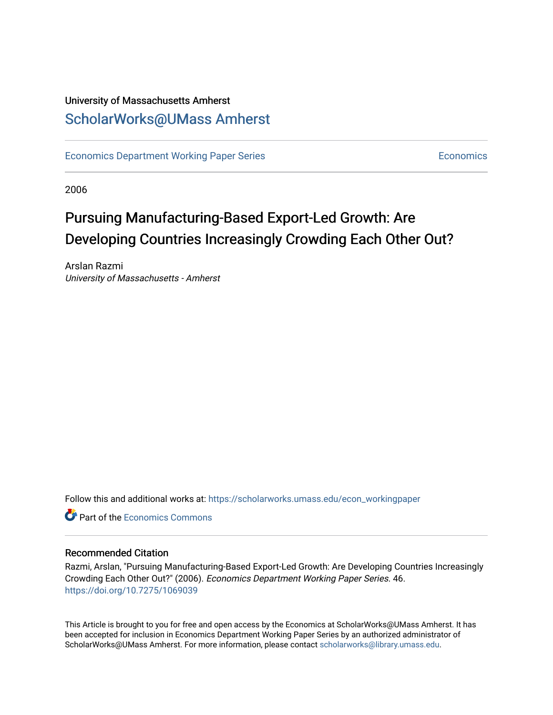# University of Massachusetts Amherst [ScholarWorks@UMass Amherst](https://scholarworks.umass.edu/)

[Economics Department Working Paper Series](https://scholarworks.umass.edu/econ_workingpaper) **Economics** [Economics](https://scholarworks.umass.edu/economics) Economics

2006

# Pursuing Manufacturing-Based Export-Led Growth: Are Developing Countries Increasingly Crowding Each Other Out?

Arslan Razmi University of Massachusetts - Amherst

Follow this and additional works at: [https://scholarworks.umass.edu/econ\\_workingpaper](https://scholarworks.umass.edu/econ_workingpaper?utm_source=scholarworks.umass.edu%2Fecon_workingpaper%2F46&utm_medium=PDF&utm_campaign=PDFCoverPages) 

**C** Part of the [Economics Commons](http://network.bepress.com/hgg/discipline/340?utm_source=scholarworks.umass.edu%2Fecon_workingpaper%2F46&utm_medium=PDF&utm_campaign=PDFCoverPages)

#### Recommended Citation

Razmi, Arslan, "Pursuing Manufacturing-Based Export-Led Growth: Are Developing Countries Increasingly Crowding Each Other Out?" (2006). Economics Department Working Paper Series. 46. <https://doi.org/10.7275/1069039>

This Article is brought to you for free and open access by the Economics at ScholarWorks@UMass Amherst. It has been accepted for inclusion in Economics Department Working Paper Series by an authorized administrator of ScholarWorks@UMass Amherst. For more information, please contact [scholarworks@library.umass.edu.](mailto:scholarworks@library.umass.edu)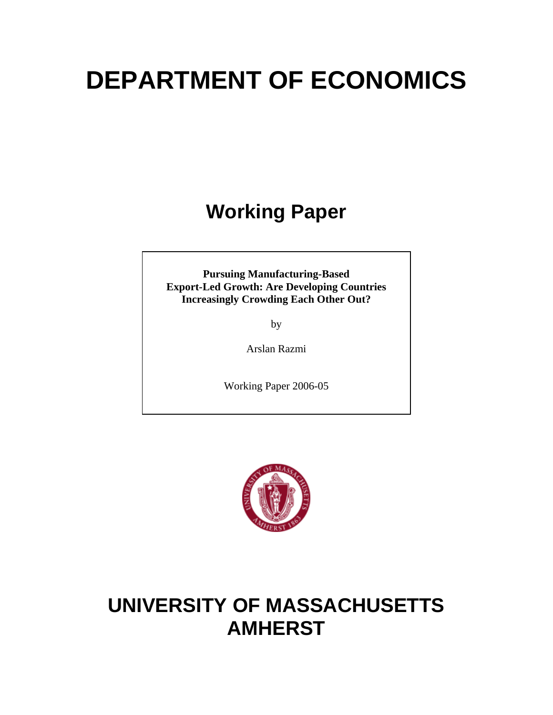# **DEPARTMENT OF ECONOMICS**

# **Working Paper**

**Pursuing Manufacturing-Based Export-Led Growth: Are Developing Countries Increasingly Crowding Each Other Out?** 

by

Arslan Razmi

Working Paper 2006-05



# **UNIVERSITY OF MASSACHUSETTS AMHERST**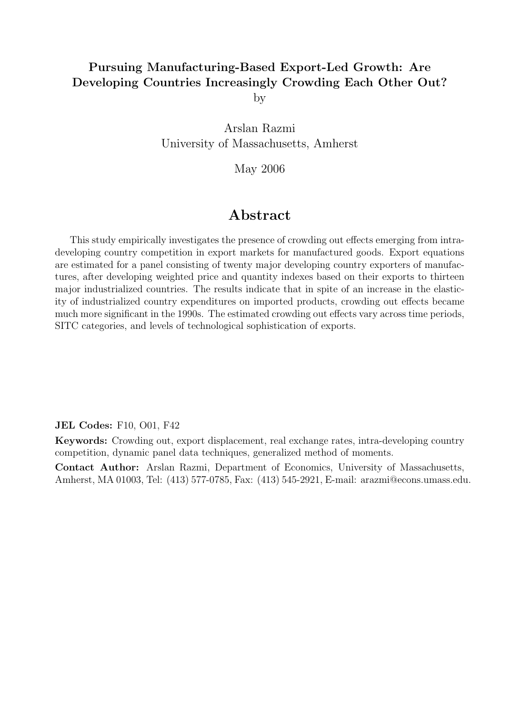# Pursuing Manufacturing-Based Export-Led Growth: Are Developing Countries Increasingly Crowding Each Other Out?

by

Arslan Razmi University of Massachusetts, Amherst

May 2006

# Abstract

This study empirically investigates the presence of crowding out effects emerging from intradeveloping country competition in export markets for manufactured goods. Export equations are estimated for a panel consisting of twenty major developing country exporters of manufactures, after developing weighted price and quantity indexes based on their exports to thirteen major industrialized countries. The results indicate that in spite of an increase in the elasticity of industrialized country expenditures on imported products, crowding out effects became much more significant in the 1990s. The estimated crowding out effects vary across time periods, SITC categories, and levels of technological sophistication of exports.

JEL Codes: F10, O01, F42

Keywords: Crowding out, export displacement, real exchange rates, intra-developing country competition, dynamic panel data techniques, generalized method of moments.

Contact Author: Arslan Razmi, Department of Economics, University of Massachusetts, Amherst, MA 01003, Tel: (413) 577-0785, Fax: (413) 545-2921, E-mail: arazmi@econs.umass.edu.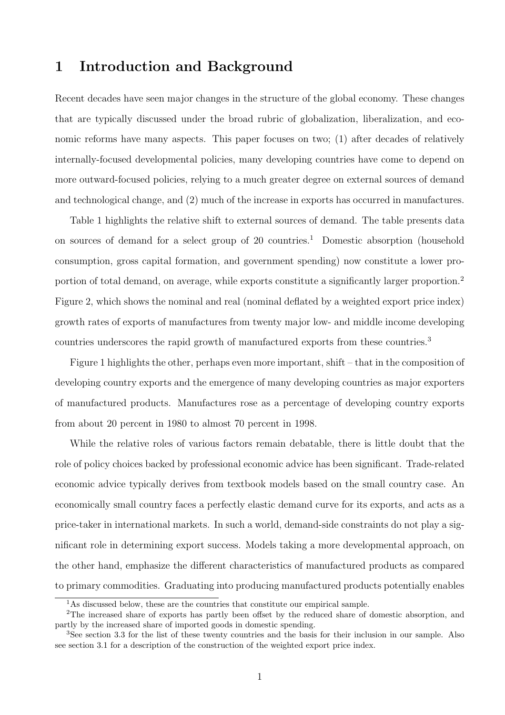# 1 Introduction and Background

Recent decades have seen major changes in the structure of the global economy. These changes that are typically discussed under the broad rubric of globalization, liberalization, and economic reforms have many aspects. This paper focuses on two; (1) after decades of relatively internally-focused developmental policies, many developing countries have come to depend on more outward-focused policies, relying to a much greater degree on external sources of demand and technological change, and (2) much of the increase in exports has occurred in manufactures.

Table 1 highlights the relative shift to external sources of demand. The table presents data on sources of demand for a select group of  $20$  countries.<sup>1</sup> Domestic absorption (household consumption, gross capital formation, and government spending) now constitute a lower proportion of total demand, on average, while exports constitute a significantly larger proportion.<sup>2</sup> Figure 2, which shows the nominal and real (nominal deflated by a weighted export price index) growth rates of exports of manufactures from twenty major low- and middle income developing countries underscores the rapid growth of manufactured exports from these countries.<sup>3</sup>

Figure 1 highlights the other, perhaps even more important, shift – that in the composition of developing country exports and the emergence of many developing countries as major exporters of manufactured products. Manufactures rose as a percentage of developing country exports from about 20 percent in 1980 to almost 70 percent in 1998.

While the relative roles of various factors remain debatable, there is little doubt that the role of policy choices backed by professional economic advice has been significant. Trade-related economic advice typically derives from textbook models based on the small country case. An economically small country faces a perfectly elastic demand curve for its exports, and acts as a price-taker in international markets. In such a world, demand-side constraints do not play a significant role in determining export success. Models taking a more developmental approach, on the other hand, emphasize the different characteristics of manufactured products as compared to primary commodities. Graduating into producing manufactured products potentially enables

<sup>&</sup>lt;sup>1</sup>As discussed below, these are the countries that constitute our empirical sample.

<sup>2</sup>The increased share of exports has partly been offset by the reduced share of domestic absorption, and partly by the increased share of imported goods in domestic spending.

<sup>3</sup>See section 3.3 for the list of these twenty countries and the basis for their inclusion in our sample. Also see section 3.1 for a description of the construction of the weighted export price index.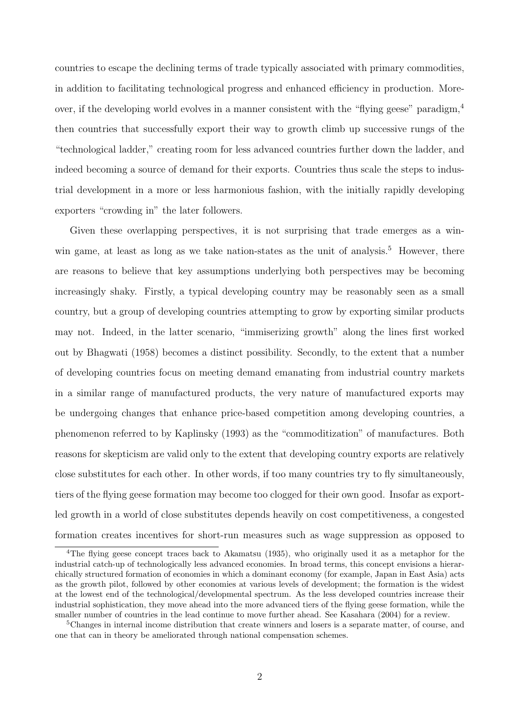countries to escape the declining terms of trade typically associated with primary commodities, in addition to facilitating technological progress and enhanced efficiency in production. Moreover, if the developing world evolves in a manner consistent with the "flying geese" paradigm,  $4$ then countries that successfully export their way to growth climb up successive rungs of the "technological ladder," creating room for less advanced countries further down the ladder, and indeed becoming a source of demand for their exports. Countries thus scale the steps to industrial development in a more or less harmonious fashion, with the initially rapidly developing exporters "crowding in" the later followers.

Given these overlapping perspectives, it is not surprising that trade emerges as a winwin game, at least as long as we take nation-states as the unit of analysis.<sup>5</sup> However, there are reasons to believe that key assumptions underlying both perspectives may be becoming increasingly shaky. Firstly, a typical developing country may be reasonably seen as a small country, but a group of developing countries attempting to grow by exporting similar products may not. Indeed, in the latter scenario, "immiserizing growth" along the lines first worked out by Bhagwati (1958) becomes a distinct possibility. Secondly, to the extent that a number of developing countries focus on meeting demand emanating from industrial country markets in a similar range of manufactured products, the very nature of manufactured exports may be undergoing changes that enhance price-based competition among developing countries, a phenomenon referred to by Kaplinsky (1993) as the "commoditization" of manufactures. Both reasons for skepticism are valid only to the extent that developing country exports are relatively close substitutes for each other. In other words, if too many countries try to fly simultaneously, tiers of the flying geese formation may become too clogged for their own good. Insofar as exportled growth in a world of close substitutes depends heavily on cost competitiveness, a congested formation creates incentives for short-run measures such as wage suppression as opposed to

<sup>&</sup>lt;sup>4</sup>The flying geese concept traces back to Akamatsu (1935), who originally used it as a metaphor for the industrial catch-up of technologically less advanced economies. In broad terms, this concept envisions a hierarchically structured formation of economies in which a dominant economy (for example, Japan in East Asia) acts as the growth pilot, followed by other economies at various levels of development; the formation is the widest at the lowest end of the technological/developmental spectrum. As the less developed countries increase their industrial sophistication, they move ahead into the more advanced tiers of the flying geese formation, while the smaller number of countries in the lead continue to move further ahead. See Kasahara (2004) for a review.

<sup>5</sup>Changes in internal income distribution that create winners and losers is a separate matter, of course, and one that can in theory be ameliorated through national compensation schemes.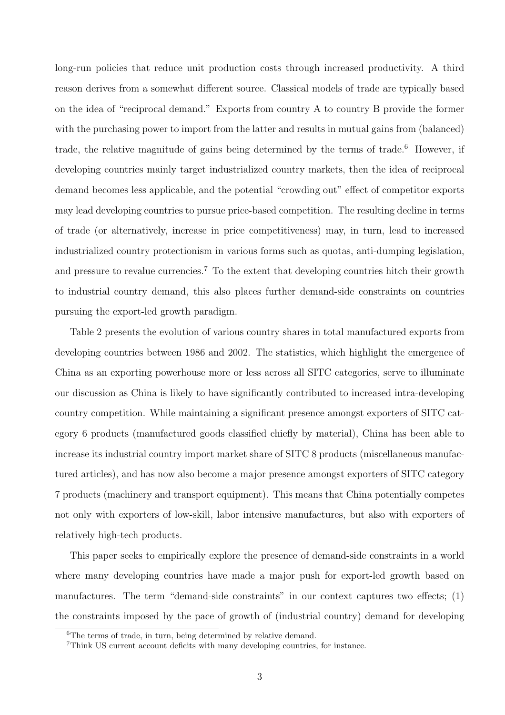long-run policies that reduce unit production costs through increased productivity. A third reason derives from a somewhat different source. Classical models of trade are typically based on the idea of "reciprocal demand." Exports from country A to country B provide the former with the purchasing power to import from the latter and results in mutual gains from (balanced) trade, the relative magnitude of gains being determined by the terms of trade.<sup>6</sup> However, if developing countries mainly target industrialized country markets, then the idea of reciprocal demand becomes less applicable, and the potential "crowding out" effect of competitor exports may lead developing countries to pursue price-based competition. The resulting decline in terms of trade (or alternatively, increase in price competitiveness) may, in turn, lead to increased industrialized country protectionism in various forms such as quotas, anti-dumping legislation, and pressure to revalue currencies.<sup>7</sup> To the extent that developing countries hitch their growth to industrial country demand, this also places further demand-side constraints on countries pursuing the export-led growth paradigm.

Table 2 presents the evolution of various country shares in total manufactured exports from developing countries between 1986 and 2002. The statistics, which highlight the emergence of China as an exporting powerhouse more or less across all SITC categories, serve to illuminate our discussion as China is likely to have significantly contributed to increased intra-developing country competition. While maintaining a significant presence amongst exporters of SITC category 6 products (manufactured goods classified chiefly by material), China has been able to increase its industrial country import market share of SITC 8 products (miscellaneous manufactured articles), and has now also become a major presence amongst exporters of SITC category 7 products (machinery and transport equipment). This means that China potentially competes not only with exporters of low-skill, labor intensive manufactures, but also with exporters of relatively high-tech products.

This paper seeks to empirically explore the presence of demand-side constraints in a world where many developing countries have made a major push for export-led growth based on manufactures. The term "demand-side constraints" in our context captures two effects; (1) the constraints imposed by the pace of growth of (industrial country) demand for developing

<sup>6</sup>The terms of trade, in turn, being determined by relative demand.

<sup>7</sup>Think US current account deficits with many developing countries, for instance.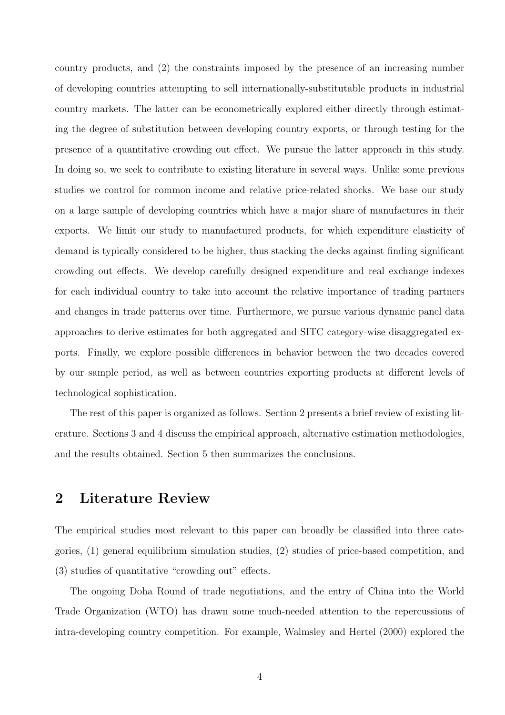country products, and (2) the constraints imposed by the presence of an increasing number of developing countries attempting to sell internationally-substitutable products in industrial country markets. The latter can be econometrically explored either directly through estimating the degree of substitution between developing country exports, or through testing for the presence of a quantitative crowding out effect. We pursue the latter approach in this study. In doing so, we seek to contribute to existing literature in several ways. Unlike some previous studies we control for common income and relative price-related shocks. We base our study on a large sample of developing countries which have a major share of manufactures in their exports. We limit our study to manufactured products, for which expenditure elasticity of demand is typically considered to be higher, thus stacking the decks against finding significant crowding out effects. We develop carefully designed expenditure and real exchange indexes for each individual country to take into account the relative importance of trading partners and changes in trade patterns over time. Furthermore, we pursue various dynamic panel data approaches to derive estimates for both aggregated and SITC category-wise disaggregated exports. Finally, we explore possible differences in behavior between the two decades covered by our sample period, as well as between countries exporting products at different levels of technological sophistication.

The rest of this paper is organized as follows. Section 2 presents a brief review of existing literature. Sections 3 and 4 discuss the empirical approach, alternative estimation methodologies, and the results obtained. Section 5 then summarizes the conclusions.

### 2 Literature Review

The empirical studies most relevant to this paper can broadly be classified into three categories, (1) general equilibrium simulation studies, (2) studies of price-based competition, and (3) studies of quantitative "crowding out" effects.

The ongoing Doha Round of trade negotiations, and the entry of China into the World Trade Organization (WTO) has drawn some much-needed attention to the repercussions of intra-developing country competition. For example, Walmsley and Hertel (2000) explored the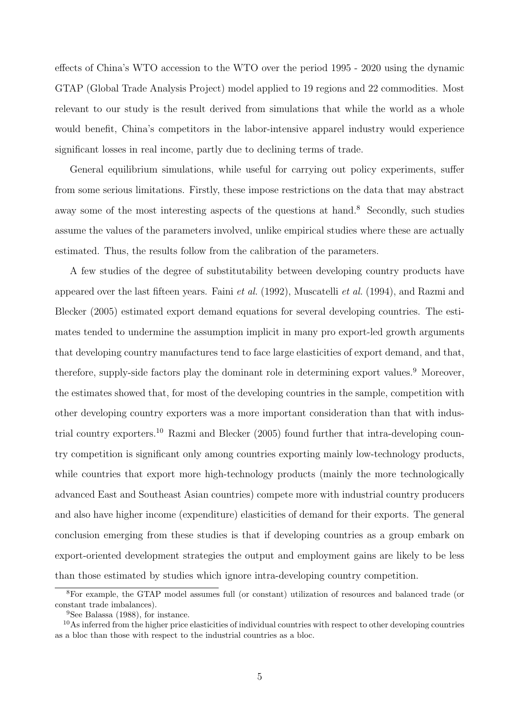effects of China's WTO accession to the WTO over the period 1995 - 2020 using the dynamic GTAP (Global Trade Analysis Project) model applied to 19 regions and 22 commodities. Most relevant to our study is the result derived from simulations that while the world as a whole would benefit, China's competitors in the labor-intensive apparel industry would experience significant losses in real income, partly due to declining terms of trade.

General equilibrium simulations, while useful for carrying out policy experiments, suffer from some serious limitations. Firstly, these impose restrictions on the data that may abstract away some of the most interesting aspects of the questions at hand.<sup>8</sup> Secondly, such studies assume the values of the parameters involved, unlike empirical studies where these are actually estimated. Thus, the results follow from the calibration of the parameters.

A few studies of the degree of substitutability between developing country products have appeared over the last fifteen years. Faini *et al.* (1992), Muscatelli *et al.* (1994), and Razmi and Blecker (2005) estimated export demand equations for several developing countries. The estimates tended to undermine the assumption implicit in many pro export-led growth arguments that developing country manufactures tend to face large elasticities of export demand, and that, therefore, supply-side factors play the dominant role in determining export values.<sup>9</sup> Moreover, the estimates showed that, for most of the developing countries in the sample, competition with other developing country exporters was a more important consideration than that with industrial country exporters.<sup>10</sup> Razmi and Blecker (2005) found further that intra-developing country competition is significant only among countries exporting mainly low-technology products, while countries that export more high-technology products (mainly the more technologically advanced East and Southeast Asian countries) compete more with industrial country producers and also have higher income (expenditure) elasticities of demand for their exports. The general conclusion emerging from these studies is that if developing countries as a group embark on export-oriented development strategies the output and employment gains are likely to be less than those estimated by studies which ignore intra-developing country competition.

<sup>8</sup>For example, the GTAP model assumes full (or constant) utilization of resources and balanced trade (or constant trade imbalances).

<sup>9</sup>See Balassa (1988), for instance.

 $10\text{As}$  inferred from the higher price elasticities of individual countries with respect to other developing countries as a bloc than those with respect to the industrial countries as a bloc.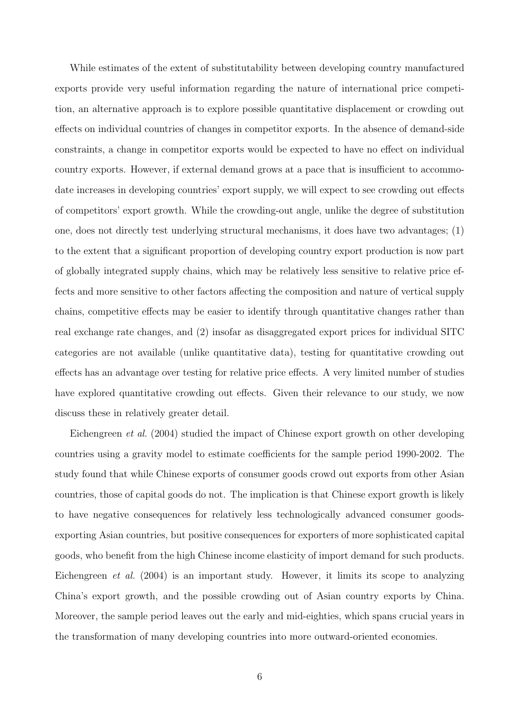While estimates of the extent of substitutability between developing country manufactured exports provide very useful information regarding the nature of international price competition, an alternative approach is to explore possible quantitative displacement or crowding out effects on individual countries of changes in competitor exports. In the absence of demand-side constraints, a change in competitor exports would be expected to have no effect on individual country exports. However, if external demand grows at a pace that is insufficient to accommodate increases in developing countries' export supply, we will expect to see crowding out effects of competitors' export growth. While the crowding-out angle, unlike the degree of substitution one, does not directly test underlying structural mechanisms, it does have two advantages; (1) to the extent that a significant proportion of developing country export production is now part of globally integrated supply chains, which may be relatively less sensitive to relative price effects and more sensitive to other factors affecting the composition and nature of vertical supply chains, competitive effects may be easier to identify through quantitative changes rather than real exchange rate changes, and (2) insofar as disaggregated export prices for individual SITC categories are not available (unlike quantitative data), testing for quantitative crowding out effects has an advantage over testing for relative price effects. A very limited number of studies have explored quantitative crowding out effects. Given their relevance to our study, we now discuss these in relatively greater detail.

Eichengreen et al. (2004) studied the impact of Chinese export growth on other developing countries using a gravity model to estimate coefficients for the sample period 1990-2002. The study found that while Chinese exports of consumer goods crowd out exports from other Asian countries, those of capital goods do not. The implication is that Chinese export growth is likely to have negative consequences for relatively less technologically advanced consumer goodsexporting Asian countries, but positive consequences for exporters of more sophisticated capital goods, who benefit from the high Chinese income elasticity of import demand for such products. Eichengreen et al. (2004) is an important study. However, it limits its scope to analyzing China's export growth, and the possible crowding out of Asian country exports by China. Moreover, the sample period leaves out the early and mid-eighties, which spans crucial years in the transformation of many developing countries into more outward-oriented economies.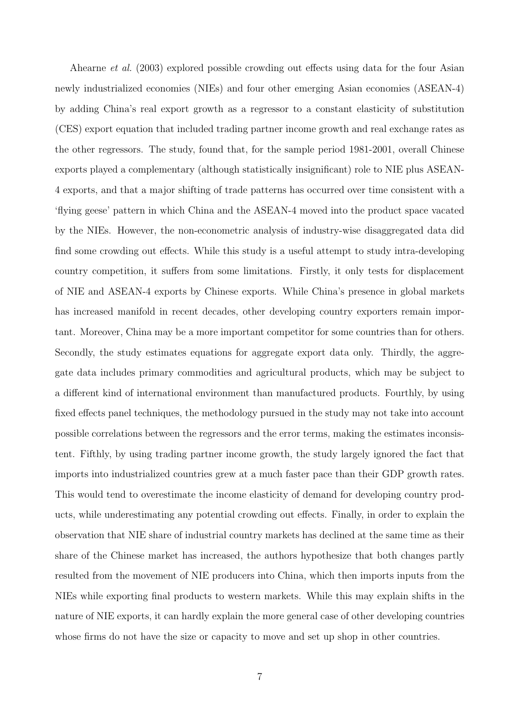Ahearne et al. (2003) explored possible crowding out effects using data for the four Asian newly industrialized economies (NIEs) and four other emerging Asian economies (ASEAN-4) by adding China's real export growth as a regressor to a constant elasticity of substitution (CES) export equation that included trading partner income growth and real exchange rates as the other regressors. The study, found that, for the sample period 1981-2001, overall Chinese exports played a complementary (although statistically insignificant) role to NIE plus ASEAN-4 exports, and that a major shifting of trade patterns has occurred over time consistent with a 'flying geese' pattern in which China and the ASEAN-4 moved into the product space vacated by the NIEs. However, the non-econometric analysis of industry-wise disaggregated data did find some crowding out effects. While this study is a useful attempt to study intra-developing country competition, it suffers from some limitations. Firstly, it only tests for displacement of NIE and ASEAN-4 exports by Chinese exports. While China's presence in global markets has increased manifold in recent decades, other developing country exporters remain important. Moreover, China may be a more important competitor for some countries than for others. Secondly, the study estimates equations for aggregate export data only. Thirdly, the aggregate data includes primary commodities and agricultural products, which may be subject to a different kind of international environment than manufactured products. Fourthly, by using fixed effects panel techniques, the methodology pursued in the study may not take into account possible correlations between the regressors and the error terms, making the estimates inconsistent. Fifthly, by using trading partner income growth, the study largely ignored the fact that imports into industrialized countries grew at a much faster pace than their GDP growth rates. This would tend to overestimate the income elasticity of demand for developing country products, while underestimating any potential crowding out effects. Finally, in order to explain the observation that NIE share of industrial country markets has declined at the same time as their share of the Chinese market has increased, the authors hypothesize that both changes partly resulted from the movement of NIE producers into China, which then imports inputs from the NIEs while exporting final products to western markets. While this may explain shifts in the nature of NIE exports, it can hardly explain the more general case of other developing countries whose firms do not have the size or capacity to move and set up shop in other countries.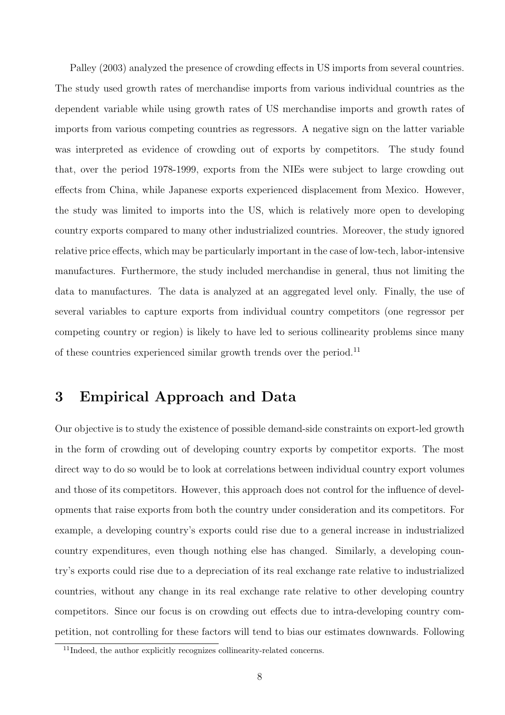Palley (2003) analyzed the presence of crowding effects in US imports from several countries. The study used growth rates of merchandise imports from various individual countries as the dependent variable while using growth rates of US merchandise imports and growth rates of imports from various competing countries as regressors. A negative sign on the latter variable was interpreted as evidence of crowding out of exports by competitors. The study found that, over the period 1978-1999, exports from the NIEs were subject to large crowding out effects from China, while Japanese exports experienced displacement from Mexico. However, the study was limited to imports into the US, which is relatively more open to developing country exports compared to many other industrialized countries. Moreover, the study ignored relative price effects, which may be particularly important in the case of low-tech, labor-intensive manufactures. Furthermore, the study included merchandise in general, thus not limiting the data to manufactures. The data is analyzed at an aggregated level only. Finally, the use of several variables to capture exports from individual country competitors (one regressor per competing country or region) is likely to have led to serious collinearity problems since many of these countries experienced similar growth trends over the period.<sup>11</sup>

# 3 Empirical Approach and Data

Our objective is to study the existence of possible demand-side constraints on export-led growth in the form of crowding out of developing country exports by competitor exports. The most direct way to do so would be to look at correlations between individual country export volumes and those of its competitors. However, this approach does not control for the influence of developments that raise exports from both the country under consideration and its competitors. For example, a developing country's exports could rise due to a general increase in industrialized country expenditures, even though nothing else has changed. Similarly, a developing country's exports could rise due to a depreciation of its real exchange rate relative to industrialized countries, without any change in its real exchange rate relative to other developing country competitors. Since our focus is on crowding out effects due to intra-developing country competition, not controlling for these factors will tend to bias our estimates downwards. Following

<sup>&</sup>lt;sup>11</sup>Indeed, the author explicitly recognizes collinearity-related concerns.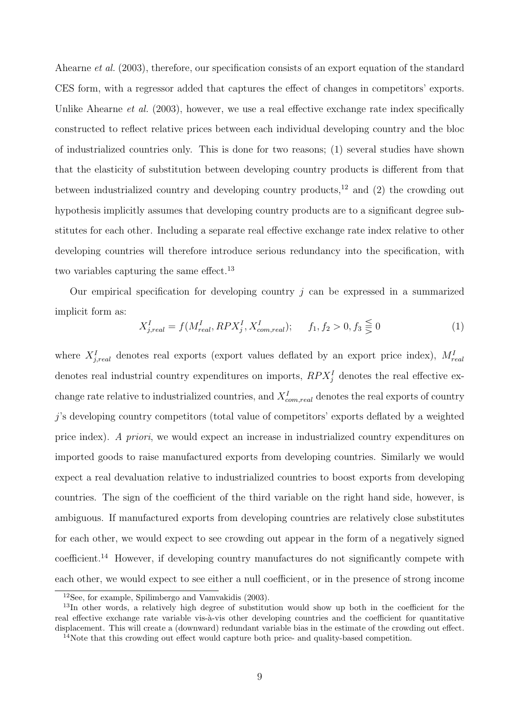Ahearne *et al.* (2003), therefore, our specification consists of an export equation of the standard CES form, with a regressor added that captures the effect of changes in competitors' exports. Unlike Ahearne *et al.* (2003), however, we use a real effective exchange rate index specifically constructed to reflect relative prices between each individual developing country and the bloc of industrialized countries only. This is done for two reasons; (1) several studies have shown that the elasticity of substitution between developing country products is different from that between industrialized country and developing country products,<sup>12</sup> and  $(2)$  the crowding out hypothesis implicitly assumes that developing country products are to a significant degree substitutes for each other. Including a separate real effective exchange rate index relative to other developing countries will therefore introduce serious redundancy into the specification, with two variables capturing the same effect.<sup>13</sup>

Our empirical specification for developing country  $j$  can be expressed in a summarized implicit form as:

$$
X_{j,real}^I = f(M_{real}^I, RPX_j^I, X_{com,real}^I); \t f_1, f_2 > 0, f_3 \leq 0
$$
\t(1)

where  $X_{j,real}^I$  denotes real exports (export values deflated by an export price index),  $M_{real}^I$ denotes real industrial country expenditures on imports,  $RPX_j^I$  denotes the real effective exchange rate relative to industrialized countries, and  $X_{com,real}^I$  denotes the real exports of country j's developing country competitors (total value of competitors' exports deflated by a weighted price index). A priori, we would expect an increase in industrialized country expenditures on imported goods to raise manufactured exports from developing countries. Similarly we would expect a real devaluation relative to industrialized countries to boost exports from developing countries. The sign of the coefficient of the third variable on the right hand side, however, is ambiguous. If manufactured exports from developing countries are relatively close substitutes for each other, we would expect to see crowding out appear in the form of a negatively signed coefficient.<sup>14</sup> However, if developing country manufactures do not significantly compete with each other, we would expect to see either a null coefficient, or in the presence of strong income

<sup>12</sup>See, for example, Spilimbergo and Vamvakidis (2003).

<sup>&</sup>lt;sup>13</sup>In other words, a relatively high degree of substitution would show up both in the coefficient for the real effective exchange rate variable vis-à-vis other developing countries and the coefficient for quantitative displacement. This will create a (downward) redundant variable bias in the estimate of the crowding out effect.

<sup>&</sup>lt;sup>14</sup>Note that this crowding out effect would capture both price- and quality-based competition.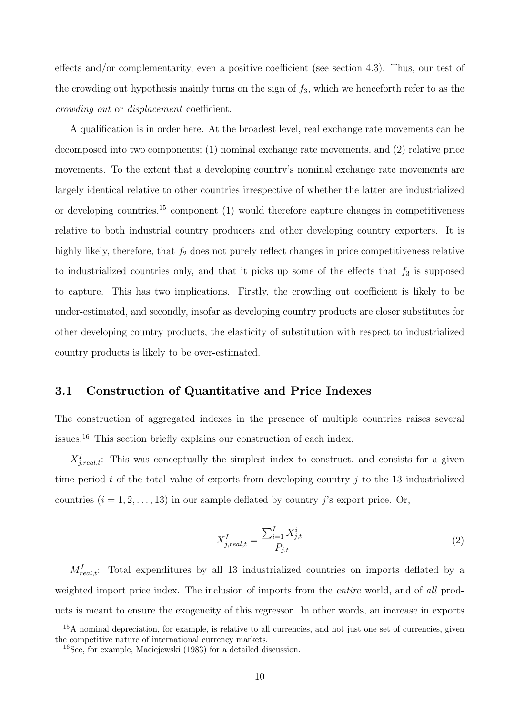effects and/or complementarity, even a positive coefficient (see section 4.3). Thus, our test of the crowding out hypothesis mainly turns on the sign of  $f_3$ , which we henceforth refer to as the crowding out or displacement coefficient.

A qualification is in order here. At the broadest level, real exchange rate movements can be decomposed into two components; (1) nominal exchange rate movements, and (2) relative price movements. To the extent that a developing country's nominal exchange rate movements are largely identical relative to other countries irrespective of whether the latter are industrialized or developing countries,  $15$  component (1) would therefore capture changes in competitiveness relative to both industrial country producers and other developing country exporters. It is highly likely, therefore, that  $f_2$  does not purely reflect changes in price competitiveness relative to industrialized countries only, and that it picks up some of the effects that  $f_3$  is supposed to capture. This has two implications. Firstly, the crowding out coefficient is likely to be under-estimated, and secondly, insofar as developing country products are closer substitutes for other developing country products, the elasticity of substitution with respect to industrialized country products is likely to be over-estimated.

#### 3.1 Construction of Quantitative and Price Indexes

The construction of aggregated indexes in the presence of multiple countries raises several issues.<sup>16</sup> This section briefly explains our construction of each index.

 $X_{j,real,t}^I$ : This was conceptually the simplest index to construct, and consists for a given time period t of the total value of exports from developing country  $\dot{\eta}$  to the 13 industrialized countries  $(i = 1, 2, \ldots, 13)$  in our sample deflated by country j's export price. Or,

$$
X_{j,real,t}^{I} = \frac{\sum_{i=1}^{I} X_{j,t}^{i}}{P_{j,t}}
$$
\n(2)

 $M_{real,t}^I$ : Total expenditures by all 13 industrialized countries on imports deflated by a weighted import price index. The inclusion of imports from the *entire* world, and of all products is meant to ensure the exogeneity of this regressor. In other words, an increase in exports

<sup>&</sup>lt;sup>15</sup>A nominal depreciation, for example, is relative to all currencies, and not just one set of currencies, given the competitive nature of international currency markets.

<sup>16</sup>See, for example, Maciejewski (1983) for a detailed discussion.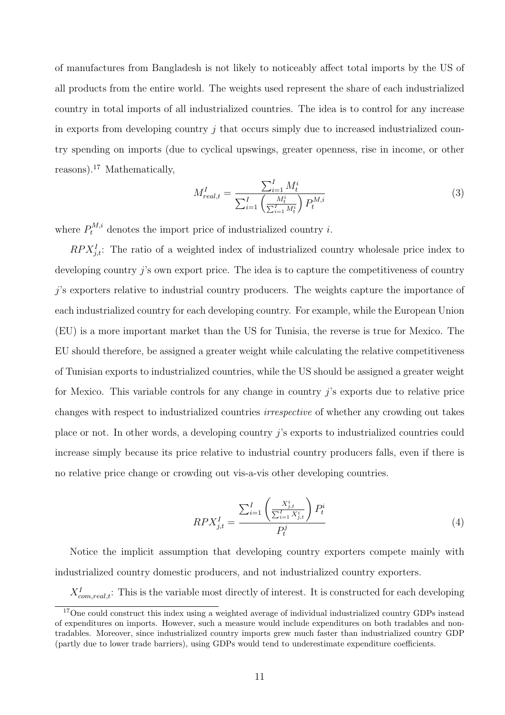of manufactures from Bangladesh is not likely to noticeably affect total imports by the US of all products from the entire world. The weights used represent the share of each industrialized country in total imports of all industrialized countries. The idea is to control for any increase in exports from developing country  $j$  that occurs simply due to increased industrialized country spending on imports (due to cyclical upswings, greater openness, rise in income, or other reasons).<sup>17</sup> Mathematically,

$$
M_{real,t}^I = \frac{\sum_{i=1}^I M_t^i}{\sum_{i=1}^I \left(\frac{M_t^i}{\sum_{i=1}^I M_t^i}\right) P_t^{M,i}}
$$
(3)

where  $P_t^{M,i}$  denotes the import price of industrialized country *i*.

 $RPX_{j,t}^I$ : The ratio of a weighted index of industrialized country wholesale price index to developing country  $\hat{j}$ 's own export price. The idea is to capture the competitiveness of country j's exporters relative to industrial country producers. The weights capture the importance of each industrialized country for each developing country. For example, while the European Union (EU) is a more important market than the US for Tunisia, the reverse is true for Mexico. The EU should therefore, be assigned a greater weight while calculating the relative competitiveness of Tunisian exports to industrialized countries, while the US should be assigned a greater weight for Mexico. This variable controls for any change in country j's exports due to relative price changes with respect to industrialized countries irrespective of whether any crowding out takes place or not. In other words, a developing country j's exports to industrialized countries could increase simply because its price relative to industrial country producers falls, even if there is no relative price change or crowding out vis-a-vis other developing countries.

$$
RPX_{j,t}^{I} = \frac{\sum_{i=1}^{I} \left(\frac{X_{j,t}^{i}}{\sum_{i=1}^{I} X_{j,t}^{i}}\right) P_{t}^{i}}{P_{t}^{j}}
$$
(4)

Notice the implicit assumption that developing country exporters compete mainly with industrialized country domestic producers, and not industrialized country exporters.

 $X_{com,real,t}^I$ : This is the variable most directly of interest. It is constructed for each developing

<sup>&</sup>lt;sup>17</sup>One could construct this index using a weighted average of individual industrialized country GDPs instead of expenditures on imports. However, such a measure would include expenditures on both tradables and nontradables. Moreover, since industrialized country imports grew much faster than industrialized country GDP (partly due to lower trade barriers), using GDPs would tend to underestimate expenditure coefficients.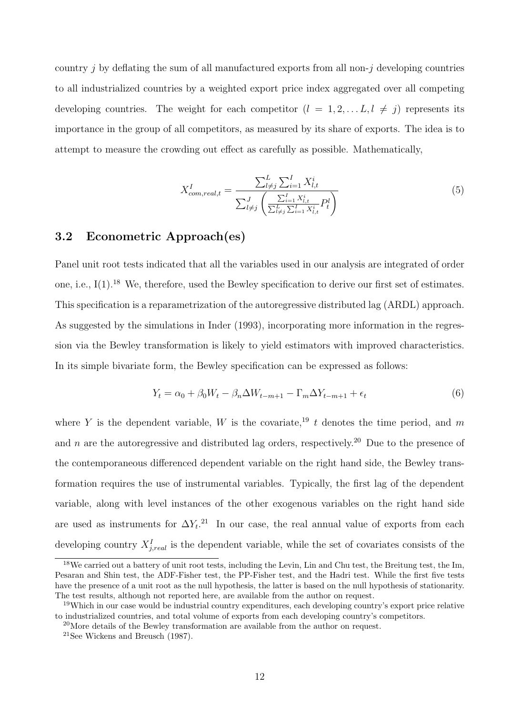country j by deflating the sum of all manufactured exports from all non-j developing countries to all industrialized countries by a weighted export price index aggregated over all competing developing countries. The weight for each competitor  $(l = 1, 2, \ldots L, l \neq j)$  represents its importance in the group of all competitors, as measured by its share of exports. The idea is to attempt to measure the crowding out effect as carefully as possible. Mathematically,

$$
X_{com, real, t}^{I} = \frac{\sum_{l \neq j}^{L} \sum_{i=1}^{I} X_{l, t}^{i}}{\sum_{l \neq j}^{J} \left( \frac{\sum_{i=1}^{L} X_{l, t}^{i}}{\sum_{l \neq j}^{L} \sum_{i=1}^{I} X_{l, t}^{i}} P_{t}^{l} \right)}
$$
(5)

#### 3.2 Econometric Approach(es)

Panel unit root tests indicated that all the variables used in our analysis are integrated of order one, i.e.,  $I(1)$ <sup>18</sup> We, therefore, used the Bewley specification to derive our first set of estimates. This specification is a reparametrization of the autoregressive distributed lag (ARDL) approach. As suggested by the simulations in Inder (1993), incorporating more information in the regression via the Bewley transformation is likely to yield estimators with improved characteristics. In its simple bivariate form, the Bewley specification can be expressed as follows:

$$
Y_t = \alpha_0 + \beta_0 W_t - \beta_n \Delta W_{t-m+1} - \Gamma_m \Delta Y_{t-m+1} + \epsilon_t
$$
\n
$$
\tag{6}
$$

where Y is the dependent variable, W is the covariate,<sup>19</sup> t denotes the time period, and m and n are the autoregressive and distributed lag orders, respectively.<sup>20</sup> Due to the presence of the contemporaneous differenced dependent variable on the right hand side, the Bewley transformation requires the use of instrumental variables. Typically, the first lag of the dependent variable, along with level instances of the other exogenous variables on the right hand side are used as instruments for  $\Delta Y_t$ <sup>21</sup>. In our case, the real annual value of exports from each developing country  $X_{j,real}^I$  is the dependent variable, while the set of covariates consists of the

<sup>&</sup>lt;sup>18</sup>We carried out a battery of unit root tests, including the Levin, Lin and Chu test, the Breitung test, the Im, Pesaran and Shin test, the ADF-Fisher test, the PP-Fisher test, and the Hadri test. While the first five tests have the presence of a unit root as the null hypothesis, the latter is based on the null hypothesis of stationarity. The test results, although not reported here, are available from the author on request.

<sup>&</sup>lt;sup>19</sup>Which in our case would be industrial country expenditures, each developing country's export price relative to industrialized countries, and total volume of exports from each developing country's competitors.

<sup>20</sup>More details of the Bewley transformation are available from the author on request.

<sup>21</sup>See Wickens and Breusch (1987).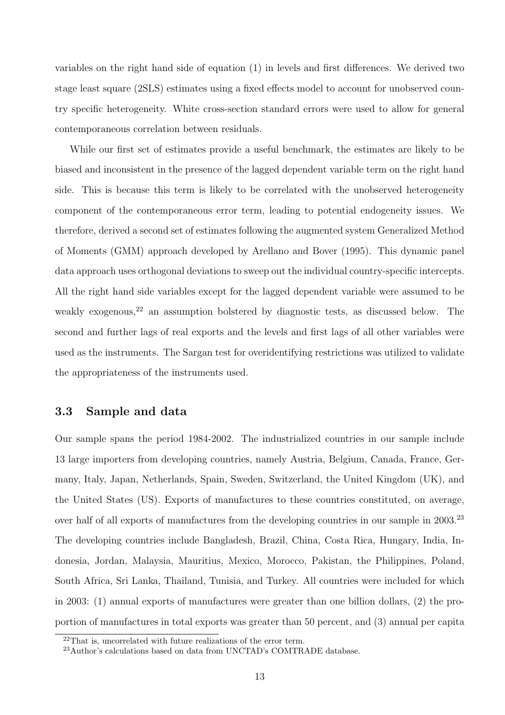variables on the right hand side of equation (1) in levels and first differences. We derived two stage least square (2SLS) estimates using a fixed effects model to account for unobserved country specific heterogeneity. White cross-section standard errors were used to allow for general contemporaneous correlation between residuals.

While our first set of estimates provide a useful benchmark, the estimates are likely to be biased and inconsistent in the presence of the lagged dependent variable term on the right hand side. This is because this term is likely to be correlated with the unobserved heterogeneity component of the contemporaneous error term, leading to potential endogeneity issues. We therefore, derived a second set of estimates following the augmented system Generalized Method of Moments (GMM) approach developed by Arellano and Bover (1995). This dynamic panel data approach uses orthogonal deviations to sweep out the individual country-specific intercepts. All the right hand side variables except for the lagged dependent variable were assumed to be weakly exogenous,  $22$  an assumption bolstered by diagnostic tests, as discussed below. The second and further lags of real exports and the levels and first lags of all other variables were used as the instruments. The Sargan test for overidentifying restrictions was utilized to validate the appropriateness of the instruments used.

#### 3.3 Sample and data

Our sample spans the period 1984-2002. The industrialized countries in our sample include 13 large importers from developing countries, namely Austria, Belgium, Canada, France, Germany, Italy, Japan, Netherlands, Spain, Sweden, Switzerland, the United Kingdom (UK), and the United States (US). Exports of manufactures to these countries constituted, on average, over half of all exports of manufactures from the developing countries in our sample in 2003.<sup>23</sup> The developing countries include Bangladesh, Brazil, China, Costa Rica, Hungary, India, Indonesia, Jordan, Malaysia, Mauritius, Mexico, Morocco, Pakistan, the Philippines, Poland, South Africa, Sri Lanka, Thailand, Tunisia, and Turkey. All countries were included for which in 2003: (1) annual exports of manufactures were greater than one billion dollars, (2) the proportion of manufactures in total exports was greater than 50 percent, and (3) annual per capita

 $22$ That is, uncorrelated with future realizations of the error term.

<sup>23</sup>Author's calculations based on data from UNCTAD's COMTRADE database.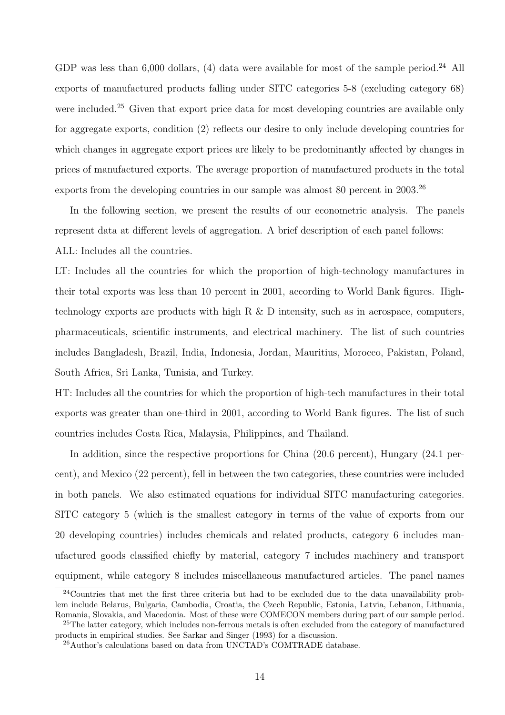GDP was less than  $6,000$  dollars, (4) data were available for most of the sample period.<sup>24</sup> All exports of manufactured products falling under SITC categories 5-8 (excluding category 68) were included.<sup>25</sup> Given that export price data for most developing countries are available only for aggregate exports, condition (2) reflects our desire to only include developing countries for which changes in aggregate export prices are likely to be predominantly affected by changes in prices of manufactured exports. The average proportion of manufactured products in the total exports from the developing countries in our sample was almost 80 percent in 2003.<sup>26</sup>

In the following section, we present the results of our econometric analysis. The panels represent data at different levels of aggregation. A brief description of each panel follows: ALL: Includes all the countries.

LT: Includes all the countries for which the proportion of high-technology manufactures in their total exports was less than 10 percent in 2001, according to World Bank figures. Hightechnology exports are products with high R  $\&$  D intensity, such as in aerospace, computers, pharmaceuticals, scientific instruments, and electrical machinery. The list of such countries includes Bangladesh, Brazil, India, Indonesia, Jordan, Mauritius, Morocco, Pakistan, Poland, South Africa, Sri Lanka, Tunisia, and Turkey.

HT: Includes all the countries for which the proportion of high-tech manufactures in their total exports was greater than one-third in 2001, according to World Bank figures. The list of such countries includes Costa Rica, Malaysia, Philippines, and Thailand.

In addition, since the respective proportions for China (20.6 percent), Hungary (24.1 percent), and Mexico (22 percent), fell in between the two categories, these countries were included in both panels. We also estimated equations for individual SITC manufacturing categories. SITC category 5 (which is the smallest category in terms of the value of exports from our 20 developing countries) includes chemicals and related products, category 6 includes manufactured goods classified chiefly by material, category 7 includes machinery and transport equipment, while category 8 includes miscellaneous manufactured articles. The panel names

 $24$ Countries that met the first three criteria but had to be excluded due to the data unavailability problem include Belarus, Bulgaria, Cambodia, Croatia, the Czech Republic, Estonia, Latvia, Lebanon, Lithuania, Romania, Slovakia, and Macedonia. Most of these were COMECON members during part of our sample period.

<sup>&</sup>lt;sup>25</sup>The latter category, which includes non-ferrous metals is often excluded from the category of manufactured products in empirical studies. See Sarkar and Singer (1993) for a discussion.

<sup>26</sup>Author's calculations based on data from UNCTAD's COMTRADE database.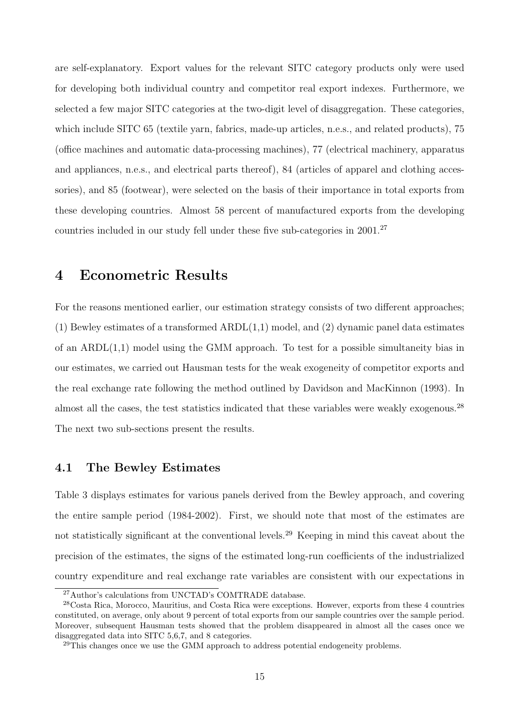are self-explanatory. Export values for the relevant SITC category products only were used for developing both individual country and competitor real export indexes. Furthermore, we selected a few major SITC categories at the two-digit level of disaggregation. These categories, which include SITC 65 (textile yarn, fabrics, made-up articles, n.e.s., and related products), 75 (office machines and automatic data-processing machines), 77 (electrical machinery, apparatus and appliances, n.e.s., and electrical parts thereof), 84 (articles of apparel and clothing accessories), and 85 (footwear), were selected on the basis of their importance in total exports from these developing countries. Almost 58 percent of manufactured exports from the developing countries included in our study fell under these five sub-categories in  $2001<sup>27</sup>$ 

### 4 Econometric Results

For the reasons mentioned earlier, our estimation strategy consists of two different approaches;  $(1)$  Bewley estimates of a transformed ARDL $(1,1)$  model, and  $(2)$  dynamic panel data estimates of an ARDL(1,1) model using the GMM approach. To test for a possible simultaneity bias in our estimates, we carried out Hausman tests for the weak exogeneity of competitor exports and the real exchange rate following the method outlined by Davidson and MacKinnon (1993). In almost all the cases, the test statistics indicated that these variables were weakly exogenous.<sup>28</sup> The next two sub-sections present the results.

#### 4.1 The Bewley Estimates

Table 3 displays estimates for various panels derived from the Bewley approach, and covering the entire sample period (1984-2002). First, we should note that most of the estimates are not statistically significant at the conventional levels.<sup>29</sup> Keeping in mind this caveat about the precision of the estimates, the signs of the estimated long-run coefficients of the industrialized country expenditure and real exchange rate variables are consistent with our expectations in

<sup>27</sup>Author's calculations from UNCTAD's COMTRADE database.

<sup>28</sup>Costa Rica, Morocco, Mauritius, and Costa Rica were exceptions. However, exports from these 4 countries constituted, on average, only about 9 percent of total exports from our sample countries over the sample period. Moreover, subsequent Hausman tests showed that the problem disappeared in almost all the cases once we disaggregated data into SITC 5,6,7, and 8 categories.

<sup>&</sup>lt;sup>29</sup>This changes once we use the GMM approach to address potential endogeneity problems.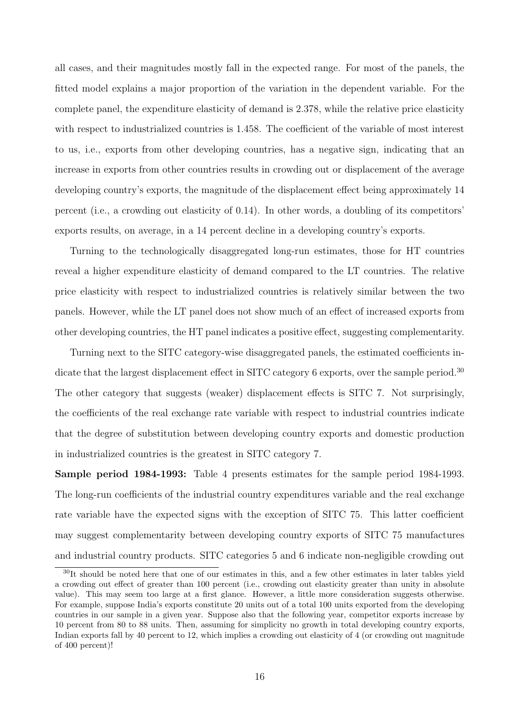all cases, and their magnitudes mostly fall in the expected range. For most of the panels, the fitted model explains a major proportion of the variation in the dependent variable. For the complete panel, the expenditure elasticity of demand is 2.378, while the relative price elasticity with respect to industrialized countries is 1.458. The coefficient of the variable of most interest to us, i.e., exports from other developing countries, has a negative sign, indicating that an increase in exports from other countries results in crowding out or displacement of the average developing country's exports, the magnitude of the displacement effect being approximately 14 percent (i.e., a crowding out elasticity of 0.14). In other words, a doubling of its competitors' exports results, on average, in a 14 percent decline in a developing country's exports.

Turning to the technologically disaggregated long-run estimates, those for HT countries reveal a higher expenditure elasticity of demand compared to the LT countries. The relative price elasticity with respect to industrialized countries is relatively similar between the two panels. However, while the LT panel does not show much of an effect of increased exports from other developing countries, the HT panel indicates a positive effect, suggesting complementarity.

Turning next to the SITC category-wise disaggregated panels, the estimated coefficients indicate that the largest displacement effect in SITC category 6 exports, over the sample period.<sup>30</sup> The other category that suggests (weaker) displacement effects is SITC 7. Not surprisingly, the coefficients of the real exchange rate variable with respect to industrial countries indicate that the degree of substitution between developing country exports and domestic production in industrialized countries is the greatest in SITC category 7.

Sample period 1984-1993: Table 4 presents estimates for the sample period 1984-1993. The long-run coefficients of the industrial country expenditures variable and the real exchange rate variable have the expected signs with the exception of SITC 75. This latter coefficient may suggest complementarity between developing country exports of SITC 75 manufactures and industrial country products. SITC categories 5 and 6 indicate non-negligible crowding out

<sup>30</sup>It should be noted here that one of our estimates in this, and a few other estimates in later tables yield a crowding out effect of greater than 100 percent (i.e., crowding out elasticity greater than unity in absolute value). This may seem too large at a first glance. However, a little more consideration suggests otherwise. For example, suppose India's exports constitute 20 units out of a total 100 units exported from the developing countries in our sample in a given year. Suppose also that the following year, competitor exports increase by 10 percent from 80 to 88 units. Then, assuming for simplicity no growth in total developing country exports, Indian exports fall by 40 percent to 12, which implies a crowding out elasticity of 4 (or crowding out magnitude of 400 percent)!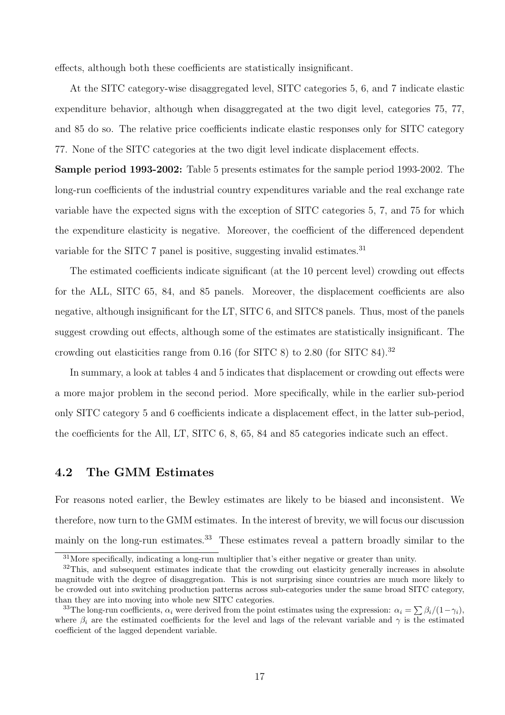effects, although both these coefficients are statistically insignificant.

At the SITC category-wise disaggregated level, SITC categories 5, 6, and 7 indicate elastic expenditure behavior, although when disaggregated at the two digit level, categories 75, 77, and 85 do so. The relative price coefficients indicate elastic responses only for SITC category 77. None of the SITC categories at the two digit level indicate displacement effects.

Sample period 1993-2002: Table 5 presents estimates for the sample period 1993-2002. The long-run coefficients of the industrial country expenditures variable and the real exchange rate variable have the expected signs with the exception of SITC categories 5, 7, and 75 for which the expenditure elasticity is negative. Moreover, the coefficient of the differenced dependent variable for the SITC 7 panel is positive, suggesting invalid estimates.<sup>31</sup>

The estimated coefficients indicate significant (at the 10 percent level) crowding out effects for the ALL, SITC 65, 84, and 85 panels. Moreover, the displacement coefficients are also negative, although insignificant for the LT, SITC 6, and SITC8 panels. Thus, most of the panels suggest crowding out effects, although some of the estimates are statistically insignificant. The crowding out elasticities range from 0.16 (for SITC 8) to 2.80 (for SITC 84).<sup>32</sup>

In summary, a look at tables 4 and 5 indicates that displacement or crowding out effects were a more major problem in the second period. More specifically, while in the earlier sub-period only SITC category 5 and 6 coefficients indicate a displacement effect, in the latter sub-period, the coefficients for the All, LT, SITC 6, 8, 65, 84 and 85 categories indicate such an effect.

#### 4.2 The GMM Estimates

For reasons noted earlier, the Bewley estimates are likely to be biased and inconsistent. We therefore, now turn to the GMM estimates. In the interest of brevity, we will focus our discussion mainly on the long-run estimates.<sup>33</sup> These estimates reveal a pattern broadly similar to the

<sup>31</sup>More specifically, indicating a long-run multiplier that's either negative or greater than unity.

<sup>&</sup>lt;sup>32</sup>This, and subsequent estimates indicate that the crowding out elasticity generally increases in absolute magnitude with the degree of disaggregation. This is not surprising since countries are much more likely to be crowded out into switching production patterns across sub-categories under the same broad SITC category, than they are into moving into whole new SITC categories.

an they are mto moving mto whole hew SITC categories.<br><sup>33</sup>The long-run coefficients,  $\alpha_i$  were derived from the point estimates using the expression:  $\alpha_i = \sum \beta_i/(1-\gamma_i)$ , where  $\beta_i$  are the estimated coefficients for the level and lags of the relevant variable and  $\gamma$  is the estimated coefficient of the lagged dependent variable.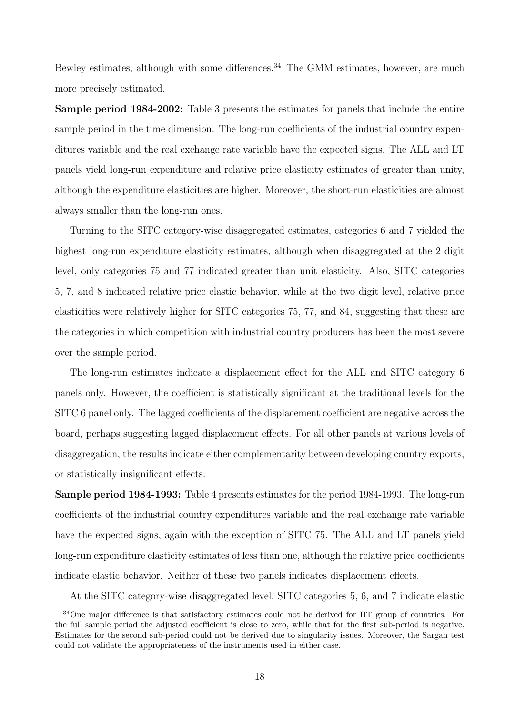Bewley estimates, although with some differences.<sup>34</sup> The GMM estimates, however, are much more precisely estimated.

Sample period 1984-2002: Table 3 presents the estimates for panels that include the entire sample period in the time dimension. The long-run coefficients of the industrial country expenditures variable and the real exchange rate variable have the expected signs. The ALL and LT panels yield long-run expenditure and relative price elasticity estimates of greater than unity, although the expenditure elasticities are higher. Moreover, the short-run elasticities are almost always smaller than the long-run ones.

Turning to the SITC category-wise disaggregated estimates, categories 6 and 7 yielded the highest long-run expenditure elasticity estimates, although when disaggregated at the 2 digit level, only categories 75 and 77 indicated greater than unit elasticity. Also, SITC categories 5, 7, and 8 indicated relative price elastic behavior, while at the two digit level, relative price elasticities were relatively higher for SITC categories 75, 77, and 84, suggesting that these are the categories in which competition with industrial country producers has been the most severe over the sample period.

The long-run estimates indicate a displacement effect for the ALL and SITC category 6 panels only. However, the coefficient is statistically significant at the traditional levels for the SITC 6 panel only. The lagged coefficients of the displacement coefficient are negative across the board, perhaps suggesting lagged displacement effects. For all other panels at various levels of disaggregation, the results indicate either complementarity between developing country exports, or statistically insignificant effects.

Sample period 1984-1993: Table 4 presents estimates for the period 1984-1993. The long-run coefficients of the industrial country expenditures variable and the real exchange rate variable have the expected signs, again with the exception of SITC 75. The ALL and LT panels yield long-run expenditure elasticity estimates of less than one, although the relative price coefficients indicate elastic behavior. Neither of these two panels indicates displacement effects.

At the SITC category-wise disaggregated level, SITC categories 5, 6, and 7 indicate elastic

<sup>&</sup>lt;sup>34</sup>One major difference is that satisfactory estimates could not be derived for HT group of countries. For the full sample period the adjusted coefficient is close to zero, while that for the first sub-period is negative. Estimates for the second sub-period could not be derived due to singularity issues. Moreover, the Sargan test could not validate the appropriateness of the instruments used in either case.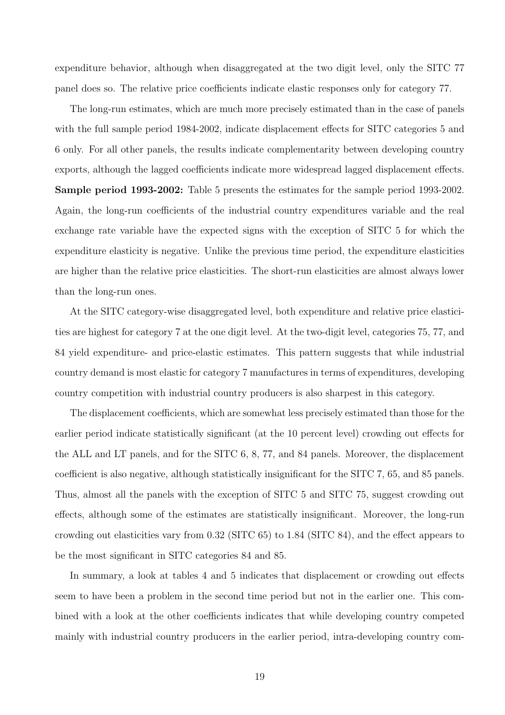expenditure behavior, although when disaggregated at the two digit level, only the SITC 77 panel does so. The relative price coefficients indicate elastic responses only for category 77.

The long-run estimates, which are much more precisely estimated than in the case of panels with the full sample period 1984-2002, indicate displacement effects for SITC categories 5 and 6 only. For all other panels, the results indicate complementarity between developing country exports, although the lagged coefficients indicate more widespread lagged displacement effects. Sample period 1993-2002: Table 5 presents the estimates for the sample period 1993-2002. Again, the long-run coefficients of the industrial country expenditures variable and the real exchange rate variable have the expected signs with the exception of SITC 5 for which the expenditure elasticity is negative. Unlike the previous time period, the expenditure elasticities are higher than the relative price elasticities. The short-run elasticities are almost always lower than the long-run ones.

At the SITC category-wise disaggregated level, both expenditure and relative price elasticities are highest for category 7 at the one digit level. At the two-digit level, categories 75, 77, and 84 yield expenditure- and price-elastic estimates. This pattern suggests that while industrial country demand is most elastic for category 7 manufactures in terms of expenditures, developing country competition with industrial country producers is also sharpest in this category.

The displacement coefficients, which are somewhat less precisely estimated than those for the earlier period indicate statistically significant (at the 10 percent level) crowding out effects for the ALL and LT panels, and for the SITC 6, 8, 77, and 84 panels. Moreover, the displacement coefficient is also negative, although statistically insignificant for the SITC 7, 65, and 85 panels. Thus, almost all the panels with the exception of SITC 5 and SITC 75, suggest crowding out effects, although some of the estimates are statistically insignificant. Moreover, the long-run crowding out elasticities vary from 0.32 (SITC 65) to 1.84 (SITC 84), and the effect appears to be the most significant in SITC categories 84 and 85.

In summary, a look at tables 4 and 5 indicates that displacement or crowding out effects seem to have been a problem in the second time period but not in the earlier one. This combined with a look at the other coefficients indicates that while developing country competed mainly with industrial country producers in the earlier period, intra-developing country com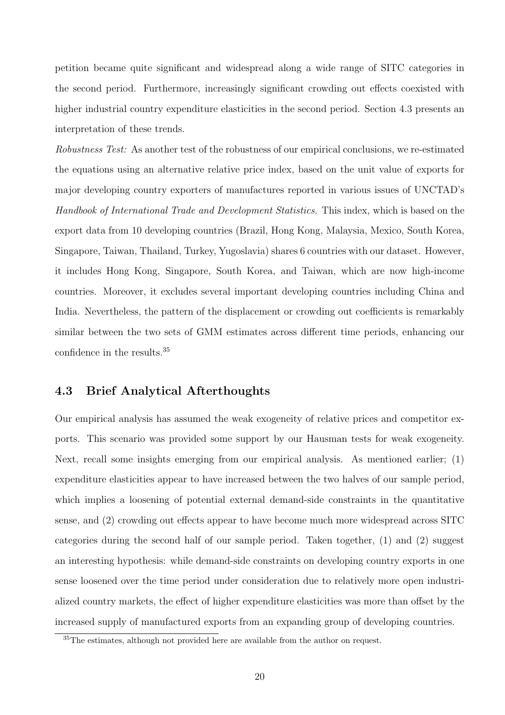petition became quite significant and widespread along a wide range of SITC categories in the second period. Furthermore, increasingly significant crowding out effects coexisted with higher industrial country expenditure elasticities in the second period. Section 4.3 presents an interpretation of these trends.

Robustness Test: As another test of the robustness of our empirical conclusions, we re-estimated the equations using an alternative relative price index, based on the unit value of exports for major developing country exporters of manufactures reported in various issues of UNCTAD's Handbook of International Trade and Development Statistics. This index, which is based on the export data from 10 developing countries (Brazil, Hong Kong, Malaysia, Mexico, South Korea, Singapore, Taiwan, Thailand, Turkey, Yugoslavia) shares 6 countries with our dataset. However, it includes Hong Kong, Singapore, South Korea, and Taiwan, which are now high-income countries. Moreover, it excludes several important developing countries including China and India. Nevertheless, the pattern of the displacement or crowding out coefficients is remarkably similar between the two sets of GMM estimates across different time periods, enhancing our confidence in the results.<sup>35</sup>

#### 4.3 Brief Analytical Afterthoughts

Our empirical analysis has assumed the weak exogeneity of relative prices and competitor exports. This scenario was provided some support by our Hausman tests for weak exogeneity. Next, recall some insights emerging from our empirical analysis. As mentioned earlier; (1) expenditure elasticities appear to have increased between the two halves of our sample period, which implies a loosening of potential external demand-side constraints in the quantitative sense, and (2) crowding out effects appear to have become much more widespread across SITC categories during the second half of our sample period. Taken together,  $(1)$  and  $(2)$  suggest an interesting hypothesis: while demand-side constraints on developing country exports in one sense loosened over the time period under consideration due to relatively more open industrialized country markets, the effect of higher expenditure elasticities was more than offset by the increased supply of manufactured exports from an expanding group of developing countries.

<sup>35</sup>The estimates, although not provided here are available from the author on request.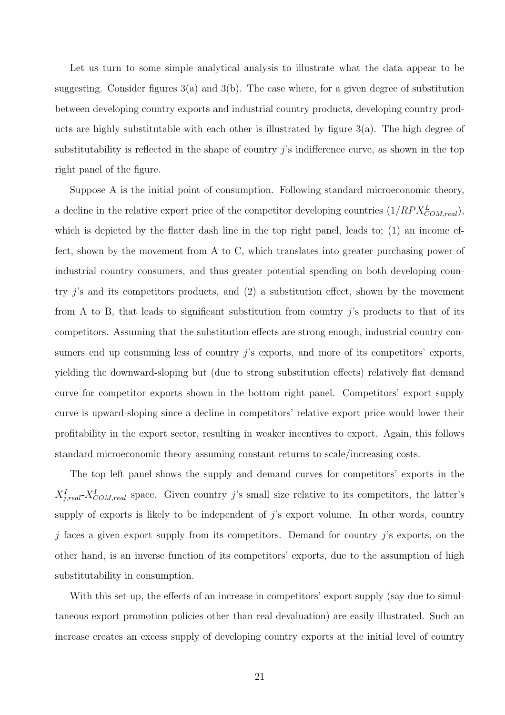Let us turn to some simple analytical analysis to illustrate what the data appear to be suggesting. Consider figures  $3(a)$  and  $3(b)$ . The case where, for a given degree of substitution between developing country exports and industrial country products, developing country products are highly substitutable with each other is illustrated by figure  $3(a)$ . The high degree of substitutability is reflected in the shape of country  $i$ 's indifference curve, as shown in the top right panel of the figure.

Suppose A is the initial point of consumption. Following standard microeconomic theory, a decline in the relative export price of the competitor developing countries  $(1/RPX_{COM, real}^L)$ , which is depicted by the flatter dash line in the top right panel, leads to;  $(1)$  an income effect, shown by the movement from A to C, which translates into greater purchasing power of industrial country consumers, and thus greater potential spending on both developing country j's and its competitors products, and (2) a substitution effect, shown by the movement from A to B, that leads to significant substitution from country  $j$ 's products to that of its competitors. Assuming that the substitution effects are strong enough, industrial country consumers end up consuming less of country j's exports, and more of its competitors' exports, yielding the downward-sloping but (due to strong substitution effects) relatively flat demand curve for competitor exports shown in the bottom right panel. Competitors' export supply curve is upward-sloping since a decline in competitors' relative export price would lower their profitability in the export sector, resulting in weaker incentives to export. Again, this follows standard microeconomic theory assuming constant returns to scale/increasing costs.

The top left panel shows the supply and demand curves for competitors' exports in the  $X_{j,real}^I$ - $X_{COM,real}^I$  space. Given country j's small size relative to its competitors, the latter's supply of exports is likely to be independent of  $j$ 's export volume. In other words, country  $j$  faces a given export supply from its competitors. Demand for country  $j$ 's exports, on the other hand, is an inverse function of its competitors' exports, due to the assumption of high substitutability in consumption.

With this set-up, the effects of an increase in competitors' export supply (say due to simultaneous export promotion policies other than real devaluation) are easily illustrated. Such an increase creates an excess supply of developing country exports at the initial level of country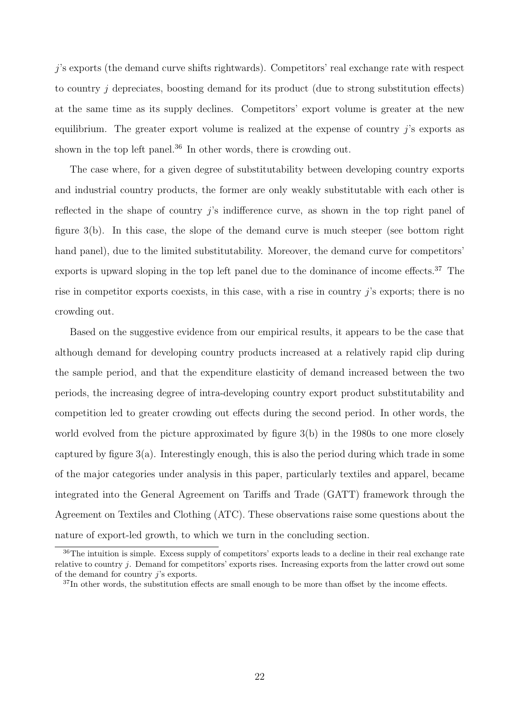j's exports (the demand curve shifts rightwards). Competitors' real exchange rate with respect to country  $i$  depreciates, boosting demand for its product (due to strong substitution effects) at the same time as its supply declines. Competitors' export volume is greater at the new equilibrium. The greater export volume is realized at the expense of country  $i$ 's exports as shown in the top left panel.<sup>36</sup> In other words, there is crowding out.

The case where, for a given degree of substitutability between developing country exports and industrial country products, the former are only weakly substitutable with each other is reflected in the shape of country j's indifference curve, as shown in the top right panel of figure 3(b). In this case, the slope of the demand curve is much steeper (see bottom right hand panel), due to the limited substitutability. Moreover, the demand curve for competitors' exports is upward sloping in the top left panel due to the dominance of income effects.<sup>37</sup> The rise in competitor exports coexists, in this case, with a rise in country j's exports; there is no crowding out.

Based on the suggestive evidence from our empirical results, it appears to be the case that although demand for developing country products increased at a relatively rapid clip during the sample period, and that the expenditure elasticity of demand increased between the two periods, the increasing degree of intra-developing country export product substitutability and competition led to greater crowding out effects during the second period. In other words, the world evolved from the picture approximated by figure 3(b) in the 1980s to one more closely captured by figure  $3(a)$ . Interestingly enough, this is also the period during which trade in some of the major categories under analysis in this paper, particularly textiles and apparel, became integrated into the General Agreement on Tariffs and Trade (GATT) framework through the Agreement on Textiles and Clothing (ATC). These observations raise some questions about the nature of export-led growth, to which we turn in the concluding section.

<sup>36</sup>The intuition is simple. Excess supply of competitors' exports leads to a decline in their real exchange rate relative to country j. Demand for competitors' exports rises. Increasing exports from the latter crowd out some of the demand for country j's exports.

<sup>&</sup>lt;sup>37</sup>In other words, the substitution effects are small enough to be more than offset by the income effects.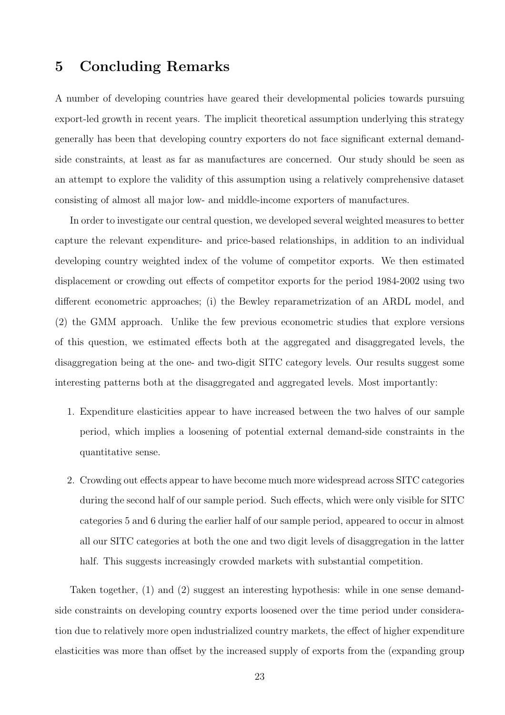# 5 Concluding Remarks

A number of developing countries have geared their developmental policies towards pursuing export-led growth in recent years. The implicit theoretical assumption underlying this strategy generally has been that developing country exporters do not face significant external demandside constraints, at least as far as manufactures are concerned. Our study should be seen as an attempt to explore the validity of this assumption using a relatively comprehensive dataset consisting of almost all major low- and middle-income exporters of manufactures.

In order to investigate our central question, we developed several weighted measures to better capture the relevant expenditure- and price-based relationships, in addition to an individual developing country weighted index of the volume of competitor exports. We then estimated displacement or crowding out effects of competitor exports for the period 1984-2002 using two different econometric approaches; (i) the Bewley reparametrization of an ARDL model, and (2) the GMM approach. Unlike the few previous econometric studies that explore versions of this question, we estimated effects both at the aggregated and disaggregated levels, the disaggregation being at the one- and two-digit SITC category levels. Our results suggest some interesting patterns both at the disaggregated and aggregated levels. Most importantly:

- 1. Expenditure elasticities appear to have increased between the two halves of our sample period, which implies a loosening of potential external demand-side constraints in the quantitative sense.
- 2. Crowding out effects appear to have become much more widespread across SITC categories during the second half of our sample period. Such effects, which were only visible for SITC categories 5 and 6 during the earlier half of our sample period, appeared to occur in almost all our SITC categories at both the one and two digit levels of disaggregation in the latter half. This suggests increasingly crowded markets with substantial competition.

Taken together, (1) and (2) suggest an interesting hypothesis: while in one sense demandside constraints on developing country exports loosened over the time period under consideration due to relatively more open industrialized country markets, the effect of higher expenditure elasticities was more than offset by the increased supply of exports from the (expanding group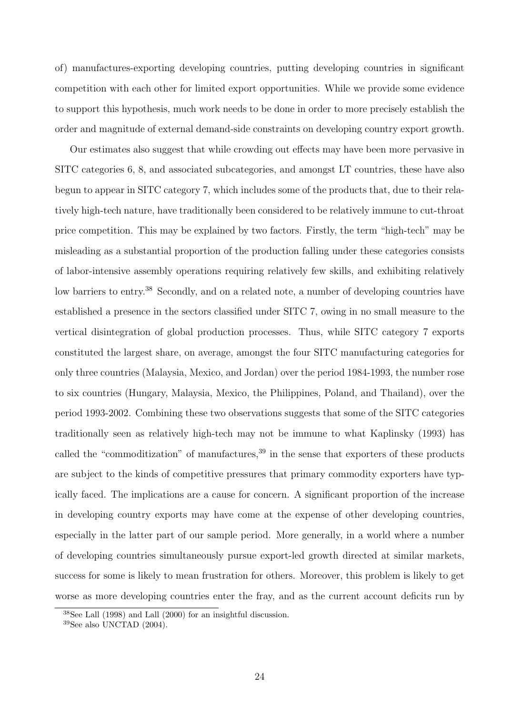of) manufactures-exporting developing countries, putting developing countries in significant competition with each other for limited export opportunities. While we provide some evidence to support this hypothesis, much work needs to be done in order to more precisely establish the order and magnitude of external demand-side constraints on developing country export growth.

Our estimates also suggest that while crowding out effects may have been more pervasive in SITC categories 6, 8, and associated subcategories, and amongst LT countries, these have also begun to appear in SITC category 7, which includes some of the products that, due to their relatively high-tech nature, have traditionally been considered to be relatively immune to cut-throat price competition. This may be explained by two factors. Firstly, the term "high-tech" may be misleading as a substantial proportion of the production falling under these categories consists of labor-intensive assembly operations requiring relatively few skills, and exhibiting relatively low barriers to entry.<sup>38</sup> Secondly, and on a related note, a number of developing countries have established a presence in the sectors classified under SITC 7, owing in no small measure to the vertical disintegration of global production processes. Thus, while SITC category 7 exports constituted the largest share, on average, amongst the four SITC manufacturing categories for only three countries (Malaysia, Mexico, and Jordan) over the period 1984-1993, the number rose to six countries (Hungary, Malaysia, Mexico, the Philippines, Poland, and Thailand), over the period 1993-2002. Combining these two observations suggests that some of the SITC categories traditionally seen as relatively high-tech may not be immune to what Kaplinsky (1993) has called the "commoditization" of manufactures, $39$  in the sense that exporters of these products are subject to the kinds of competitive pressures that primary commodity exporters have typically faced. The implications are a cause for concern. A significant proportion of the increase in developing country exports may have come at the expense of other developing countries, especially in the latter part of our sample period. More generally, in a world where a number of developing countries simultaneously pursue export-led growth directed at similar markets, success for some is likely to mean frustration for others. Moreover, this problem is likely to get worse as more developing countries enter the fray, and as the current account deficits run by

 $38$ See Lall (1998) and Lall (2000) for an insightful discussion.

 $39$ See also UNCTAD  $(2004)$ .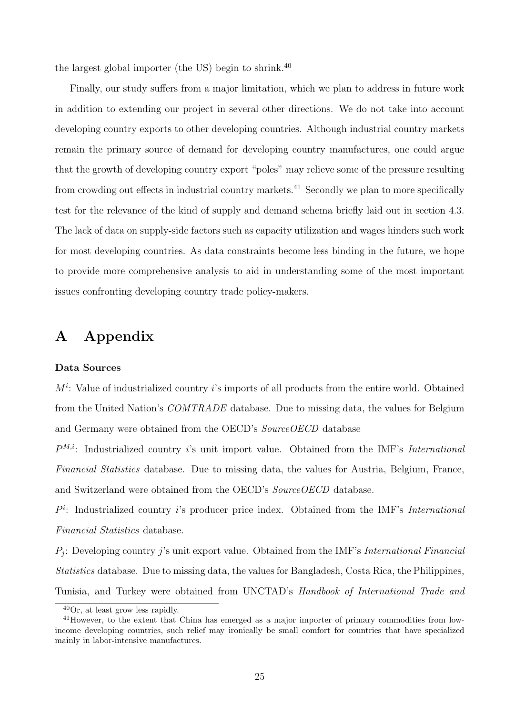the largest global importer (the US) begin to shrink. $40$ 

Finally, our study suffers from a major limitation, which we plan to address in future work in addition to extending our project in several other directions. We do not take into account developing country exports to other developing countries. Although industrial country markets remain the primary source of demand for developing country manufactures, one could argue that the growth of developing country export "poles" may relieve some of the pressure resulting from crowding out effects in industrial country markets.<sup>41</sup> Secondly we plan to more specifically test for the relevance of the kind of supply and demand schema briefly laid out in section 4.3. The lack of data on supply-side factors such as capacity utilization and wages hinders such work for most developing countries. As data constraints become less binding in the future, we hope to provide more comprehensive analysis to aid in understanding some of the most important issues confronting developing country trade policy-makers.

# A Appendix

#### Data Sources

 $M^i$ : Value of industrialized country i's imports of all products from the entire world. Obtained from the United Nation's COMTRADE database. Due to missing data, the values for Belgium and Germany were obtained from the OECD's SourceOECD database

 $P^{M,i}$ : Industrialized country i's unit import value. Obtained from the IMF's International Financial Statistics database. Due to missing data, the values for Austria, Belgium, France, and Switzerland were obtained from the OECD's SourceOECD database.

 $P<sup>i</sup>$ : Industrialized country i's producer price index. Obtained from the IMF's International Financial Statistics database.

 $P_j$ : Developing country j's unit export value. Obtained from the IMF's International Financial Statistics database. Due to missing data, the values for Bangladesh, Costa Rica, the Philippines, Tunisia, and Turkey were obtained from UNCTAD's Handbook of International Trade and

 $40$ Or, at least grow less rapidly.

<sup>&</sup>lt;sup>41</sup>However, to the extent that China has emerged as a major importer of primary commodities from lowincome developing countries, such relief may ironically be small comfort for countries that have specialized mainly in labor-intensive manufactures.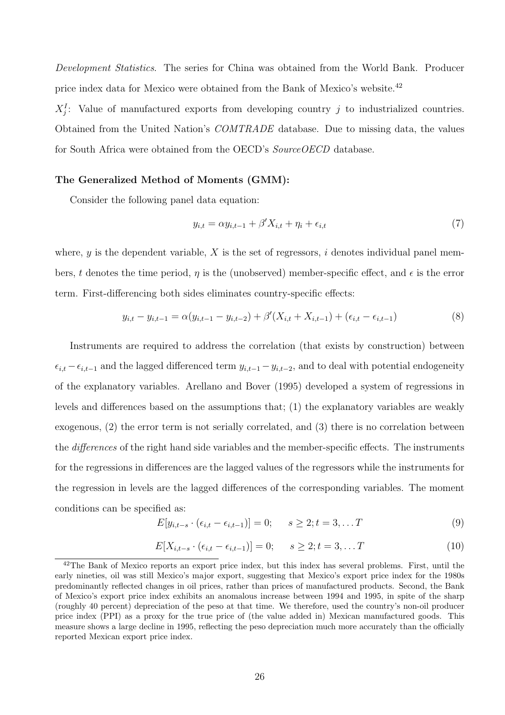Development Statistics. The series for China was obtained from the World Bank. Producer price index data for Mexico were obtained from the Bank of Mexico's website.<sup>42</sup>

 $X_j^I$ : Value of manufactured exports from developing country j to industrialized countries. Obtained from the United Nation's COMTRADE database. Due to missing data, the values for South Africa were obtained from the OECD's *SourceOECD* database.

#### The Generalized Method of Moments (GMM):

Consider the following panel data equation:

$$
y_{i,t} = \alpha y_{i,t-1} + \beta' X_{i,t} + \eta_i + \epsilon_{i,t} \tag{7}
$$

where, y is the dependent variable, X is the set of regressors, i denotes individual panel members, t denotes the time period,  $\eta$  is the (unobserved) member-specific effect, and  $\epsilon$  is the error term. First-differencing both sides eliminates country-specific effects:

$$
y_{i,t} - y_{i,t-1} = \alpha (y_{i,t-1} - y_{i,t-2}) + \beta' (X_{i,t} + X_{i,t-1}) + (\epsilon_{i,t} - \epsilon_{i,t-1})
$$
\n(8)

Instruments are required to address the correlation (that exists by construction) between  $\epsilon_{i,t} - \epsilon_{i,t-1}$  and the lagged differenced term  $y_{i,t-1} - y_{i,t-2}$ , and to deal with potential endogeneity of the explanatory variables. Arellano and Bover (1995) developed a system of regressions in levels and differences based on the assumptions that; (1) the explanatory variables are weakly exogenous, (2) the error term is not serially correlated, and (3) there is no correlation between the *differences* of the right hand side variables and the member-specific effects. The instruments for the regressions in differences are the lagged values of the regressors while the instruments for the regression in levels are the lagged differences of the corresponding variables. The moment conditions can be specified as:

$$
E[y_{i,t-s} \cdot (\epsilon_{i,t} - \epsilon_{i,t-1})] = 0; \qquad s \ge 2; t = 3, \dots T
$$
\n(9)

$$
E[X_{i,t-s} \cdot (\epsilon_{i,t} - \epsilon_{i,t-1})] = 0; \qquad s \ge 2; t = 3, ... T
$$
 (10)

<sup>&</sup>lt;sup>42</sup>The Bank of Mexico reports an export price index, but this index has several problems. First, until the early nineties, oil was still Mexico's major export, suggesting that Mexico's export price index for the 1980s predominantly reflected changes in oil prices, rather than prices of manufactured products. Second, the Bank of Mexico's export price index exhibits an anomalous increase between 1994 and 1995, in spite of the sharp (roughly 40 percent) depreciation of the peso at that time. We therefore, used the country's non-oil producer price index (PPI) as a proxy for the true price of (the value added in) Mexican manufactured goods. This measure shows a large decline in 1995, reflecting the peso depreciation much more accurately than the officially reported Mexican export price index.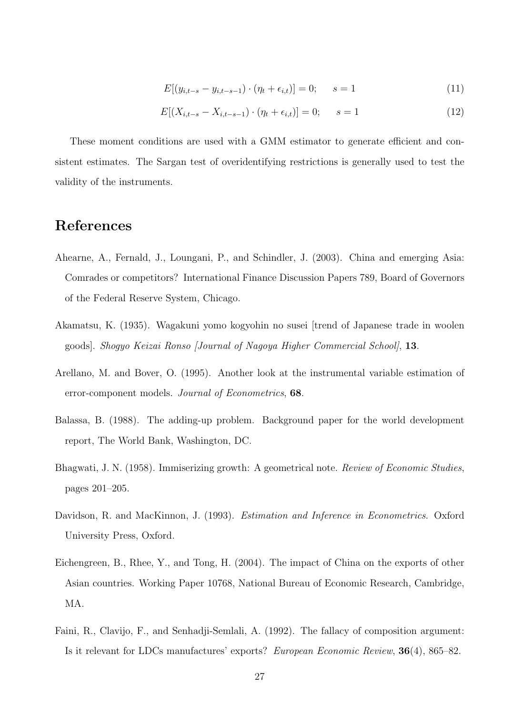$$
E[(y_{i,t-s} - y_{i,t-s-1}) \cdot (\eta_t + \epsilon_{i,t})] = 0; \qquad s = 1
$$
\n(11)

$$
E[(X_{i,t-s} - X_{i,t-s-1}) \cdot (\eta_t + \epsilon_{i,t})] = 0; \qquad s = 1
$$
\n(12)

These moment conditions are used with a GMM estimator to generate efficient and consistent estimates. The Sargan test of overidentifying restrictions is generally used to test the validity of the instruments.

## References

- Ahearne, A., Fernald, J., Loungani, P., and Schindler, J. (2003). China and emerging Asia: Comrades or competitors? International Finance Discussion Papers 789, Board of Governors of the Federal Reserve System, Chicago.
- Akamatsu, K. (1935). Wagakuni yomo kogyohin no susei [trend of Japanese trade in woolen goods]. Shogyo Keizai Ronso [Journal of Nagoya Higher Commercial School], 13.
- Arellano, M. and Bover, O. (1995). Another look at the instrumental variable estimation of error-component models. Journal of Econometrics, 68.
- Balassa, B. (1988). The adding-up problem. Background paper for the world development report, The World Bank, Washington, DC.
- Bhagwati, J. N. (1958). Immiserizing growth: A geometrical note. Review of Economic Studies, pages 201–205.
- Davidson, R. and MacKinnon, J. (1993). *Estimation and Inference in Econometrics*. Oxford University Press, Oxford.
- Eichengreen, B., Rhee, Y., and Tong, H. (2004). The impact of China on the exports of other Asian countries. Working Paper 10768, National Bureau of Economic Research, Cambridge, MA.
- Faini, R., Clavijo, F., and Senhadji-Semlali, A. (1992). The fallacy of composition argument: Is it relevant for LDCs manufactures' exports? European Economic Review, 36(4), 865–82.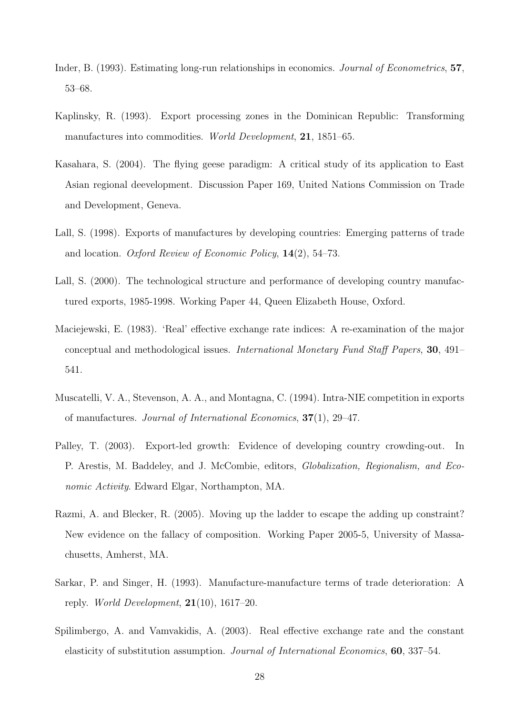- Inder, B. (1993). Estimating long-run relationships in economics. Journal of Econometrics, 57, 53–68.
- Kaplinsky, R. (1993). Export processing zones in the Dominican Republic: Transforming manufactures into commodities. World Development, 21, 1851–65.
- Kasahara, S. (2004). The flying geese paradigm: A critical study of its application to East Asian regional deevelopment. Discussion Paper 169, United Nations Commission on Trade and Development, Geneva.
- Lall, S. (1998). Exports of manufactures by developing countries: Emerging patterns of trade and location. Oxford Review of Economic Policy, 14(2), 54–73.
- Lall, S. (2000). The technological structure and performance of developing country manufactured exports, 1985-1998. Working Paper 44, Queen Elizabeth House, Oxford.
- Maciejewski, E. (1983). 'Real' effective exchange rate indices: A re-examination of the major conceptual and methodological issues. International Monetary Fund Staff Papers, 30, 491– 541.
- Muscatelli, V. A., Stevenson, A. A., and Montagna, C. (1994). Intra-NIE competition in exports of manufactures. Journal of International Economics, 37(1), 29–47.
- Palley, T. (2003). Export-led growth: Evidence of developing country crowding-out. In P. Arestis, M. Baddeley, and J. McCombie, editors, Globalization, Regionalism, and Economic Activity. Edward Elgar, Northampton, MA.
- Razmi, A. and Blecker, R. (2005). Moving up the ladder to escape the adding up constraint? New evidence on the fallacy of composition. Working Paper 2005-5, University of Massachusetts, Amherst, MA.
- Sarkar, P. and Singer, H. (1993). Manufacture-manufacture terms of trade deterioration: A reply. World Development,  $21(10)$ , 1617–20.
- Spilimbergo, A. and Vamvakidis, A. (2003). Real effective exchange rate and the constant elasticity of substitution assumption. Journal of International Economics, 60, 337–54.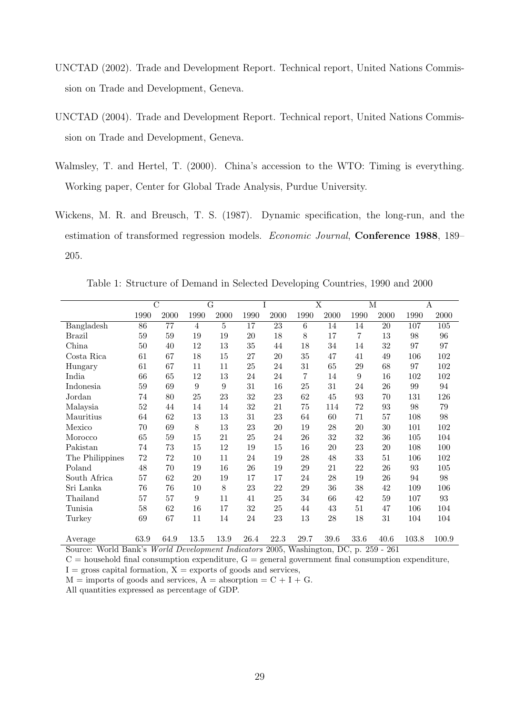- UNCTAD (2002). Trade and Development Report. Technical report, United Nations Commission on Trade and Development, Geneva.
- UNCTAD (2004). Trade and Development Report. Technical report, United Nations Commission on Trade and Development, Geneva.
- Walmsley, T. and Hertel, T. (2000). China's accession to the WTO: Timing is everything. Working paper, Center for Global Trade Analysis, Purdue University.
- Wickens, M. R. and Breusch, T. S. (1987). Dynamic specification, the long-run, and the estimation of transformed regression models. Economic Journal, Conference 1988, 189– 205.

Table 1: Structure of Demand in Selected Developing Countries, 1990 and 2000

|                 |        | $\overline{\rm C}$ |                | $\overline{\mathrm{G}}$ |        | I    |      | $\overline{\text{X}}$ | $\overline{\mathbf{M}}$ |      | $\boldsymbol{A}$ |       |
|-----------------|--------|--------------------|----------------|-------------------------|--------|------|------|-----------------------|-------------------------|------|------------------|-------|
|                 | 1990   | 2000               | 1990           | 2000                    | 1990   | 2000 | 1990 | 2000                  | 1990                    | 2000 | 1990             | 2000  |
| Bangladesh      | 86     | 77                 | $\overline{4}$ | $\overline{5}$          | 17     | 23   | 6    | 14                    | 14                      | 20   | 107              | 105   |
| <b>Brazil</b>   | 59     | 59                 | 19             | 19                      | $20\,$ | 18   | 8    | 17                    | 7                       | 13   | 98               | 96    |
| China           | 50     | 40                 | 12             | 13                      | 35     | 44   | 18   | 34                    | 14                      | 32   | 97               | 97    |
| Costa Rica      | 61     | 67                 | 18             | 15                      | 27     | 20   | 35   | 47                    | 41                      | 49   | 106              | 102   |
| Hungary         | 61     | 67                 | 11             | 11                      | $25\,$ | 24   | 31   | 65                    | 29                      | 68   | 97               | 102   |
| India           | 66     | 65                 | 12             | 13                      | 24     | 24   | 7    | 14                    | $\boldsymbol{9}$        | 16   | 102              | 102   |
| Indonesia       | 59     | 69                 | 9              | 9                       | 31     | 16   | 25   | 31                    | 24                      | 26   | 99               | 94    |
| Jordan          | 74     | 80                 | 25             | 23                      | 32     | 23   | 62   | 45                    | 93                      | 70   | 131              | 126   |
| Malaysia        | $52\,$ | 44                 | 14             | 14                      | 32     | 21   | 75   | 114                   | 72                      | 93   | 98               | 79    |
| Mauritius       | 64     | 62                 | 13             | 13                      | 31     | 23   | 64   | 60                    | 71                      | 57   | 108              | 98    |
| Mexico          | 70     | 69                 | 8              | 13                      | 23     | 20   | 19   | 28                    | 20                      | 30   | 101              | 102   |
| Morocco         | 65     | 59                 | 15             | 21                      | 25     | 24   | 26   | 32                    | 32                      | 36   | 105              | 104   |
| Pakistan        | 74     | 73                 | 15             | 12                      | 19     | 15   | 16   | 20                    | 23                      | 20   | 108              | 100   |
| The Philippines | 72     | 72                 | 10             | 11                      | 24     | 19   | 28   | 48                    | 33                      | 51   | 106              | 102   |
| Poland          | 48     | 70                 | 19             | 16                      | 26     | 19   | 29   | 21                    | 22                      | 26   | 93               | 105   |
| South Africa    | 57     | 62                 | 20             | 19                      | 17     | 17   | 24   | 28                    | 19                      | 26   | 94               | 98    |
| Sri Lanka       | 76     | 76                 | 10             | 8                       | 23     | 22   | 29   | 36                    | 38                      | 42   | 109              | 106   |
| Thailand        | 57     | 57                 | 9              | 11                      | 41     | 25   | 34   | 66                    | 42                      | 59   | 107              | 93    |
| Tunisia         | 58     | 62                 | 16             | 17                      | 32     | 25   | 44   | 43                    | 51                      | 47   | 106              | 104   |
| Turkey          | 69     | 67                 | 11             | 14                      | 24     | 23   | 13   | 28                    | 18                      | 31   | 104              | 104   |
| Average         | 63.9   | 64.9               | 13.5           | 13.9                    | 26.4   | 22.3 | 29.7 | 39.6                  | 33.6                    | 40.6 | 103.8            | 100.9 |

Source: World Bank's World Development Indicators 2005, Washington, DC, p. 259 - 261

 $C =$  household final consumption expenditure,  $G =$  general government final consumption expenditure,  $I =$  gross capital formation,  $X =$  exports of goods and services,

 $M =$  imports of goods and services,  $A =$  absorption  $= C + I + G$ .

All quantities expressed as percentage of GDP.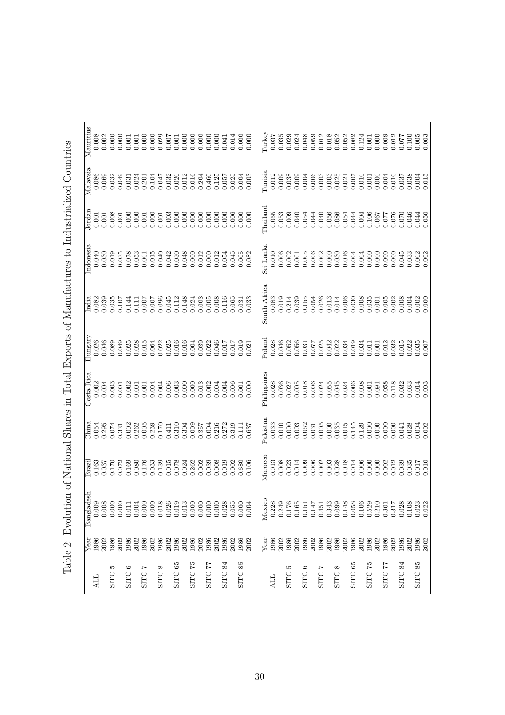| İ                  |
|--------------------|
| ֘֒                 |
|                    |
|                    |
|                    |
|                    |
|                    |
| i<br>Sa<br>i       |
| ì                  |
| くくら こうしょう          |
| j                  |
|                    |
| $\frac{1}{2}$      |
|                    |
|                    |
| ĺ                  |
|                    |
|                    |
| ĺ                  |
| j                  |
| ļ                  |
|                    |
|                    |
|                    |
|                    |
|                    |
|                    |
| $\frac{1}{2}$      |
| i                  |
|                    |
|                    |
|                    |
|                    |
|                    |
| ۱.                 |
| <br> <br>          |
| \$                 |
| - ニュー・コート アート・シート  |
| l<br>ļ             |
|                    |
| l                  |
|                    |
| $\frac{1}{2}$<br>l |
|                    |

|                    | Year         | esh<br>Banglad | Brazi              | China     | Costa Rica  | Hungary            | India              | Indonesia          | Jordan             | Malaysia                                               | Mauritius                                              |
|--------------------|--------------|----------------|--------------------|-----------|-------------|--------------------|--------------------|--------------------|--------------------|--------------------------------------------------------|--------------------------------------------------------|
| ДI                 | 1986         | 0.009          | 0.163              | 0.054     | 0.002       | 0.026              | 0.082              | 0.040              | 0.001              | 0.086                                                  | 0.008                                                  |
|                    | 2002         | 0.008          |                    | 0.295     | 0.004       | 0.046              | 0.039              | 0.030              | 0.001              | 0.069                                                  | 0.002                                                  |
| S<br><b>SITC</b>   | 1986         | 0.000          | 0.170              | 0.074     | 0.003       | 0.089              | 0.035              | 0.019              | 0.008              | 0.032                                                  | 0.000                                                  |
|                    | 2002         | 0.000          | 0.072              | 0.331     | 0.001       | 0.049              | 0.107              | 0.035              | $0.001\,$          | 0.049                                                  | 0.000                                                  |
| అ<br>SITC          | 1986         | 0.011          | $0.169$<br>$0.080$ | 0.002     | 0.002       | 0.025              | 0.144              | $0.078$<br>$0.053$ | 0.000              | $0.031$<br>$0.024$                                     | 0.001                                                  |
|                    | 2002         | 0.004          |                    | 0.262     | 0.001       | 0.028              | 0.111              |                    |                    |                                                        | 0.001                                                  |
| Ļ<br><b>SITC</b>   | 1986         | 0.000          | 0.176              | 0.005     | 0.001       | 0.015              | 0.007              | $0.001\,$          | $0.001\,$          | 0.201                                                  | 0.000                                                  |
|                    | 2002<br>1986 | 0.000          | 0.033              | 0.239     | 0.004       | 0.064              | 0.007<br>700.0     | 0.015              |                    | 0.104                                                  | $0.000$<br>$0.029$                                     |
| $^{\circ}$<br>SITC |              | 0.018          | 0.139              | 0.170     | 0.004       | $0.022$<br>$0.025$ |                    | 0.040              | $0.000$<br>$0.001$ | 0.047                                                  |                                                        |
|                    | 2002         | 0.026          | 0.015              | 0.411     | 0.006       |                    | 0.045              | 0.042              | 0.003              | 0.032                                                  | 0.007                                                  |
| 65<br><b>SITC</b>  | 1986         | 0.019          | 0.078              | 0.310     | 0.003       | 0.016              | 0.112              | 0.030              | 0.000              | 0.020                                                  | $0.001\,$                                              |
|                    | 2002         | 0.013          | 0.024              | 0.304     | 0.000       | 0.016              | 0.148              | 0.048              | 0.000              | 0.012                                                  | 0.000                                                  |
| 52<br>SITC         | 1986         | 0.000          | 0.262              | 0.009     | 0.000       | 0.004              | 0.024              | 0.000              | 0.000              | 0.016                                                  | 0.000                                                  |
|                    | 2002         | 0.000          | 0.002              | 0.357     | 0.013       | 0.039              | 0.003              | $\!0.012$          | 0.000              | 0.204                                                  | 0.000                                                  |
| 77<br><b>SITC</b>  | 1986         | 0.000          | 0.039              | 0.004     | 0.002       | 0.022              | 0.005              | 0.000              | 0.000              | 0.460                                                  | 0.000                                                  |
|                    | 2002         | 0.000          | 0.008              | 0.216     | 0.004       | 0.046              | 0.008              | 0.012              | 0.000              | 0.125                                                  |                                                        |
| 84<br><b>SITC</b>  | 1986         | 0.028          | 0.019              | 0.272     | 0.004       | 0.017              | 0.116              | 0.054              | 0.000              | 0.057                                                  | 0.041                                                  |
|                    | 2002         | 0.055          | 0.002              | 0.319     | 0.006       | 0.017              | 0.065              | 0.045              | 0.006              | 0.025                                                  |                                                        |
| 85<br><b>SITC</b>  | 1986         | 0.000          | 0.680              | 0.111     | 0.001       | 0.019              | 0.031              | 0.005              | 0.000              | 0.004                                                  | $0.014$<br>0.000                                       |
|                    | 2002         | 0.004          | 0.106              | 0.637     | 0.000       | 0.021              | 0.033              | 0.082              | 0.000              | 0.003                                                  | 0.000                                                  |
|                    |              |                |                    |           |             |                    |                    |                    |                    |                                                        |                                                        |
|                    | Year         | Mexico         | Morocco            | Pakistan  | Philippines | Poland             | South Africa       | Sri Lanka          | <b>Chailand</b>    | Tunisia                                                | Turkey                                                 |
| ЦA                 | 1986         | 0.228          | 0.013              | 0.033     | 0.028       | 0.028              | 0.083              | 0.010              | 0.055              | 0.012                                                  | 0.037                                                  |
|                    | 2002         | 0.249          | 0.008              | 0.010     | 0.036       | 0.046              | 0.019              | 0.006              | 0.053              | 0.009                                                  | 0.035                                                  |
| S<br><b>SITC</b>   | 1986         | 0.176          | 0.023              | 0.000     | 0.027       | 0.052              | 0.214              | 0.002              | 0.009              | 0.038                                                  | $0.029$<br>$0.024$                                     |
|                    | 2002         | 0.165          | 0.014              | 0.003     | 0.005       | 0.056              | 0.039              | 0.001              | 0.040              | 0.009                                                  |                                                        |
| ం<br>SITC          | 1986         | 0.151          | 0.009              | 0.062     | 0.018       | 0.031              | 0.155              | 0.005              | 0.054              | 0.004                                                  | 0.048                                                  |
|                    | 2002         | 0.147          | 0.006              | 0.031     | 0.006       | 0.077              | 0.054              | 0.006              | 0.044              |                                                        |                                                        |
| Ņ<br>SITC          | 1986         | 0.451          | 0.002              | 0.005     | 0.024       | 0.025              | 0.026              | 0.002              | 0.040              | $\begin{array}{c} 0.006 \\ 0.003 \\ 0.003 \end{array}$ | $\begin{array}{c} 0.059 \\ 0.012 \\ 0.018 \end{array}$ |
|                    | 2002         | 0.343          | 0.003              | 0.000     | 0.055       | 0.042              | 0.013              | 0.000              | 0.056              |                                                        |                                                        |
| ∞<br>SITC          | 1986         | 0.099          | 0.028              | 0.035     | 0.045       | 0.022              | 0.014              | 0.030              | 0.086              | 0.025                                                  | 0.052                                                  |
|                    | 2002<br>1986 | 0.148          | 0.018              | $0.015\,$ | 0.024       | 0.034              | $0.006$<br>$0.030$ | $0.016$<br>$0.004$ | 0.054              | 0.021                                                  | 0.052<br>0.082                                         |
| 65<br>SITC         |              | 0.058          | 0.014              | 0.145     | 0.006       | 0.019              |                    |                    | 0.044              | 0.007                                                  |                                                        |
|                    | 2002         | 0.106          | 0.006              | 0.129     | 0.008       | 0.034              | 0.008              | 0.004              | 0.004              | 0.010                                                  | $0.124\,$                                              |
| 52<br>SITC         | 1986         | 0.529          | 0.000              | 0.000     | 0.001       | 0.011              | 0.035              | 0.000              | 0.106              | $0.001\,$                                              | 0.001                                                  |
|                    | 2002         | 0.210          | 0.000              | 0.000     | 0.091       | 0.001              | 0.001              | 0.000              | 0.067              | 0.000                                                  | 0.000                                                  |
| 7<br>SITC          | 1986         | 0.301          | 0.002              | 0.000     | 0.058       | 0.012              | 0.005              | 0.000              | 0.077              | 0.004                                                  | 0.009                                                  |
|                    | 2002         | 0.317          | 0.012              | 0.000     | 0.118       | 0.032              | 0.002              | 0.000              | 0.076              | $0.010\,$                                              | 0.012                                                  |
| 84<br><b>SITC</b>  | 1986         | 0.028          | 0.039              | 0.041     | 0.032       | 0.015              | 0.008              | 0.045              | 0.070              | 0.037                                                  | 0.077                                                  |
|                    | 2002         | 0.108          | 0.035              | 0.028     | 0.033       | 0.022              | 0.004              | 0.033              | 0.046              | 0.038                                                  | 0.100                                                  |
| SITC <sub>85</sub> | 1986         | 0.023          | 0.017              | 0.004     | 0.014       | 0.035              | 0.002              | 0.002              | 0.044              | 0.004                                                  | 0.005                                                  |
|                    | 2002         | 0.022          | 0.010              | 0.002     | 0.003       | 0.007              | 0.000              | 0.002              | 0.050              | 0.015                                                  | 0.003                                                  |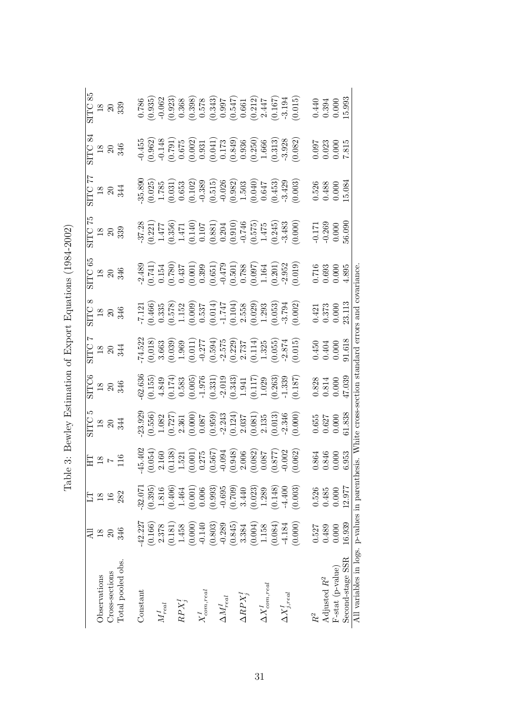| Observations                                                                                       | $\frac{8}{18}$                                  | $\frac{8}{2}$      | $\frac{911}{7}$                                                                                                                                                                                                                                                                              |                                                                                                                                                                                                                                                                                                                       | SITC6<br>18<br>346<br>346                                                                                                                                                                          | SITC :<br>18<br>344                                                                                                                                                                                                          |                                                                                                                                                                                                                          | SITC 65<br>18<br>18<br>346                                                                                                                                                                                                                                                                                                                                                                 | SITC 75<br>18<br>18<br>339                                                                                                                                                                                                     |                                                                                                                                                                                                                                    | SITC 84<br>18<br>18<br>346                                                                                                                                                                                                                                                                                                     | $\begin{array}{c} \mathrm{STIC} \ 85 \\ 18 \\ 20 \\ 339 \end{array}$                                                                                                                                                                                                                             |
|----------------------------------------------------------------------------------------------------|-------------------------------------------------|--------------------|----------------------------------------------------------------------------------------------------------------------------------------------------------------------------------------------------------------------------------------------------------------------------------------------|-----------------------------------------------------------------------------------------------------------------------------------------------------------------------------------------------------------------------------------------------------------------------------------------------------------------------|----------------------------------------------------------------------------------------------------------------------------------------------------------------------------------------------------|------------------------------------------------------------------------------------------------------------------------------------------------------------------------------------------------------------------------------|--------------------------------------------------------------------------------------------------------------------------------------------------------------------------------------------------------------------------|--------------------------------------------------------------------------------------------------------------------------------------------------------------------------------------------------------------------------------------------------------------------------------------------------------------------------------------------------------------------------------------------|--------------------------------------------------------------------------------------------------------------------------------------------------------------------------------------------------------------------------------|------------------------------------------------------------------------------------------------------------------------------------------------------------------------------------------------------------------------------------|--------------------------------------------------------------------------------------------------------------------------------------------------------------------------------------------------------------------------------------------------------------------------------------------------------------------------------|--------------------------------------------------------------------------------------------------------------------------------------------------------------------------------------------------------------------------------------------------------------------------------------------------|
| Cross-sections                                                                                     | $\Omega$                                        | $\frac{6}{1}$      |                                                                                                                                                                                                                                                                                              |                                                                                                                                                                                                                                                                                                                       |                                                                                                                                                                                                    |                                                                                                                                                                                                                              |                                                                                                                                                                                                                          |                                                                                                                                                                                                                                                                                                                                                                                            |                                                                                                                                                                                                                                |                                                                                                                                                                                                                                    |                                                                                                                                                                                                                                                                                                                                |                                                                                                                                                                                                                                                                                                  |
| Total pooled obs.                                                                                  | 346                                             | 282                |                                                                                                                                                                                                                                                                                              | SITC :<br>18<br>344<br>344                                                                                                                                                                                                                                                                                            |                                                                                                                                                                                                    |                                                                                                                                                                                                                              | $\frac{18}{18}$<br>$\frac{18}{346}$                                                                                                                                                                                      |                                                                                                                                                                                                                                                                                                                                                                                            |                                                                                                                                                                                                                                | SITC 77<br>18<br>18<br>344                                                                                                                                                                                                         |                                                                                                                                                                                                                                                                                                                                |                                                                                                                                                                                                                                                                                                  |
| Constant                                                                                           | $-42.227$                                       | 32.071             | ₹                                                                                                                                                                                                                                                                                            |                                                                                                                                                                                                                                                                                                                       |                                                                                                                                                                                                    |                                                                                                                                                                                                                              |                                                                                                                                                                                                                          |                                                                                                                                                                                                                                                                                                                                                                                            |                                                                                                                                                                                                                                |                                                                                                                                                                                                                                    |                                                                                                                                                                                                                                                                                                                                |                                                                                                                                                                                                                                                                                                  |
|                                                                                                    | (0.166)                                         | (0.395)            |                                                                                                                                                                                                                                                                                              |                                                                                                                                                                                                                                                                                                                       |                                                                                                                                                                                                    |                                                                                                                                                                                                                              |                                                                                                                                                                                                                          |                                                                                                                                                                                                                                                                                                                                                                                            |                                                                                                                                                                                                                                |                                                                                                                                                                                                                                    |                                                                                                                                                                                                                                                                                                                                |                                                                                                                                                                                                                                                                                                  |
| $M_{real}^I$                                                                                       | 2.378                                           | 1.816              |                                                                                                                                                                                                                                                                                              |                                                                                                                                                                                                                                                                                                                       |                                                                                                                                                                                                    |                                                                                                                                                                                                                              |                                                                                                                                                                                                                          |                                                                                                                                                                                                                                                                                                                                                                                            |                                                                                                                                                                                                                                |                                                                                                                                                                                                                                    |                                                                                                                                                                                                                                                                                                                                |                                                                                                                                                                                                                                                                                                  |
|                                                                                                    | $\begin{array}{c} (0.181) \\ 1.458 \end{array}$ | $(0.406)$<br>1.464 |                                                                                                                                                                                                                                                                                              |                                                                                                                                                                                                                                                                                                                       |                                                                                                                                                                                                    |                                                                                                                                                                                                                              |                                                                                                                                                                                                                          |                                                                                                                                                                                                                                                                                                                                                                                            |                                                                                                                                                                                                                                |                                                                                                                                                                                                                                    |                                                                                                                                                                                                                                                                                                                                |                                                                                                                                                                                                                                                                                                  |
| $RPX_j^I$                                                                                          |                                                 |                    |                                                                                                                                                                                                                                                                                              |                                                                                                                                                                                                                                                                                                                       |                                                                                                                                                                                                    |                                                                                                                                                                                                                              |                                                                                                                                                                                                                          |                                                                                                                                                                                                                                                                                                                                                                                            |                                                                                                                                                                                                                                |                                                                                                                                                                                                                                    |                                                                                                                                                                                                                                                                                                                                |                                                                                                                                                                                                                                                                                                  |
|                                                                                                    | (0.000)                                         | (0.001)            |                                                                                                                                                                                                                                                                                              |                                                                                                                                                                                                                                                                                                                       |                                                                                                                                                                                                    |                                                                                                                                                                                                                              |                                                                                                                                                                                                                          |                                                                                                                                                                                                                                                                                                                                                                                            |                                                                                                                                                                                                                                |                                                                                                                                                                                                                                    |                                                                                                                                                                                                                                                                                                                                |                                                                                                                                                                                                                                                                                                  |
| $X_{com,real}^I$                                                                                   | $-0.140$                                        | 0.006              |                                                                                                                                                                                                                                                                                              |                                                                                                                                                                                                                                                                                                                       |                                                                                                                                                                                                    |                                                                                                                                                                                                                              |                                                                                                                                                                                                                          |                                                                                                                                                                                                                                                                                                                                                                                            |                                                                                                                                                                                                                                |                                                                                                                                                                                                                                    |                                                                                                                                                                                                                                                                                                                                |                                                                                                                                                                                                                                                                                                  |
|                                                                                                    | (0.803)                                         | (0.993)            |                                                                                                                                                                                                                                                                                              |                                                                                                                                                                                                                                                                                                                       |                                                                                                                                                                                                    |                                                                                                                                                                                                                              |                                                                                                                                                                                                                          |                                                                                                                                                                                                                                                                                                                                                                                            |                                                                                                                                                                                                                                |                                                                                                                                                                                                                                    |                                                                                                                                                                                                                                                                                                                                |                                                                                                                                                                                                                                                                                                  |
| $\Delta M^I_{real}$                                                                                | $-0.289$                                        | $-0.695$           |                                                                                                                                                                                                                                                                                              |                                                                                                                                                                                                                                                                                                                       |                                                                                                                                                                                                    |                                                                                                                                                                                                                              |                                                                                                                                                                                                                          |                                                                                                                                                                                                                                                                                                                                                                                            |                                                                                                                                                                                                                                |                                                                                                                                                                                                                                    |                                                                                                                                                                                                                                                                                                                                |                                                                                                                                                                                                                                                                                                  |
|                                                                                                    | $\begin{array}{c} (0.845) \\ 3.384 \end{array}$ | (0.709)            |                                                                                                                                                                                                                                                                                              |                                                                                                                                                                                                                                                                                                                       |                                                                                                                                                                                                    |                                                                                                                                                                                                                              |                                                                                                                                                                                                                          |                                                                                                                                                                                                                                                                                                                                                                                            |                                                                                                                                                                                                                                |                                                                                                                                                                                                                                    |                                                                                                                                                                                                                                                                                                                                |                                                                                                                                                                                                                                                                                                  |
| $\Delta RPX^I_j$                                                                                   |                                                 | 3.440              |                                                                                                                                                                                                                                                                                              |                                                                                                                                                                                                                                                                                                                       |                                                                                                                                                                                                    |                                                                                                                                                                                                                              |                                                                                                                                                                                                                          |                                                                                                                                                                                                                                                                                                                                                                                            |                                                                                                                                                                                                                                |                                                                                                                                                                                                                                    |                                                                                                                                                                                                                                                                                                                                |                                                                                                                                                                                                                                                                                                  |
|                                                                                                    | (0.004)                                         | (0.023)            |                                                                                                                                                                                                                                                                                              |                                                                                                                                                                                                                                                                                                                       |                                                                                                                                                                                                    |                                                                                                                                                                                                                              |                                                                                                                                                                                                                          |                                                                                                                                                                                                                                                                                                                                                                                            |                                                                                                                                                                                                                                |                                                                                                                                                                                                                                    |                                                                                                                                                                                                                                                                                                                                |                                                                                                                                                                                                                                                                                                  |
| $\Delta X_{com,real}^{I}$                                                                          | 1.158                                           | 1.289              |                                                                                                                                                                                                                                                                                              |                                                                                                                                                                                                                                                                                                                       |                                                                                                                                                                                                    |                                                                                                                                                                                                                              |                                                                                                                                                                                                                          |                                                                                                                                                                                                                                                                                                                                                                                            |                                                                                                                                                                                                                                |                                                                                                                                                                                                                                    |                                                                                                                                                                                                                                                                                                                                |                                                                                                                                                                                                                                                                                                  |
|                                                                                                    | (0.084)                                         | (0.148)            |                                                                                                                                                                                                                                                                                              |                                                                                                                                                                                                                                                                                                                       |                                                                                                                                                                                                    |                                                                                                                                                                                                                              |                                                                                                                                                                                                                          |                                                                                                                                                                                                                                                                                                                                                                                            |                                                                                                                                                                                                                                |                                                                                                                                                                                                                                    |                                                                                                                                                                                                                                                                                                                                |                                                                                                                                                                                                                                                                                                  |
| $\Delta X^I_{j,real}$                                                                              | $-4.184$                                        | $-4.400$           |                                                                                                                                                                                                                                                                                              |                                                                                                                                                                                                                                                                                                                       |                                                                                                                                                                                                    |                                                                                                                                                                                                                              |                                                                                                                                                                                                                          |                                                                                                                                                                                                                                                                                                                                                                                            |                                                                                                                                                                                                                                |                                                                                                                                                                                                                                    |                                                                                                                                                                                                                                                                                                                                |                                                                                                                                                                                                                                                                                                  |
|                                                                                                    | (0.000)                                         | (0.003)            | $\begin{array}{c} -45.402\\ (0.054)\\ (0.160)\\ (1.130)\\ (0.001)\\ (0.001)\\ (0.001)\\ (0.004)\\ (0.0082)\\ (0.0087)\\ (0.0087)\\ (0.0087)\\ (0.002)\\ (0.002)\\ (0.002)\\ (0.002)\\ (0.003)\\ (0.003)\\ (0.003)\\ (0.003)\\ (0.003)\\ (0.003)\\ (0.003)\\ (0.003)\\ (0.003)\\ (0.003)\\ ($ | $\begin{array}{l} 23.929 \\ (1.556) \\ (1.082) \\ (1.081) \\ (1.082) \\ (1.083) \\ (0.000) \\ (0.087) \\ (0.000) \\ (0.001) \\ (0.013) \\ (0.013) \\ (0.013) \\ (0.001) \\ (0.001) \\ (0.000) \\ (0.000) \\ (0.000) \\ (0.000) \\ (0.000) \\ (0.000) \\ (0.000) \\ (0.000) \\ (0.000) \\ (0.000) \\ (0.000) \\ (0.00$ | $\begin{array}{l} 62.636\\ (0.155)\\ (0.174)\\ (0.174)\\ (0.05)\\ (0.05)\\ (0.05)\\ (0.331)\\ (0.331)\\ (0.17)\\ (0.19)\\ (0.117)\\ (0.129)\\ (0.263)\\ (0.187)\\ (0.187)\\ (0.187)\\ \end{array}$ | $\begin{array}{l} \{74.522 \\ (0,018) \\ (0,0.03) \\ (0,0.03) \\ (0,0.11) \\ (0,0.11) \\ (0,0.59) \\ (0,0.59) \\ (0,0.59) \\ (0,127) \\ (0,128) \\ (0,114) \\ (0,0.55) \\ (0,0.15) \\ (0,0.015) \\ (0,0.015) \\ \end{array}$ | $\begin{array}{l} -7.121 \\ (0.466) \\ (0.578) \\ (0.578) \\ (0.009) \\ (0.014) \\ (0.009) \\ (0.014) \\ (0.147) \\ (0.029) \\ (0.033) \\ (0.002) \\ (0.003) \\ (0.002) \\ (0.002) \\ (0.003) \\ (0.002) \\ \end{array}$ | $\begin{array}{l} \textbf{-2.489} \\ \textbf{-2.489} \\ \textbf{0.154} \\ \textbf{0.154} \\ \textbf{0.01} \\ \textbf{0.01} \\ \textbf{0.01} \\ \textbf{0.01} \\ \textbf{0.02} \\ \textbf{0.039} \\ \textbf{0.047} \\ \textbf{0.01} \\ \textbf{0.039} \\ \textbf{0.047} \\ \textbf{0.051} \\ \textbf{0.07} \\ \textbf{0.08} \\ \textbf{0.07} \\ \textbf{0.01} \\ \textbf{0.01} \\ \textbf{$ | $\begin{array}{l} -37.28 \\ (0.221) \\ (1.477) \\ (0.356) \\ (0.140) \\ (0.107) \\ (0.107) \\ (0.0010) \\ (0.0010) \\ (0.0010) \\ (0.0010) \\ (0.0010) \\ (0.0010) \\ (0.000) \\ (0.000) \\ (0.000) \\ (0.000) \\ \end{array}$ | $\begin{array}{l} 35.890 \\ (0.025) \\ (1.785) \\ (0.653) \\ (0.102) \\ (0.103) \\ (0.102) \\ (0.103) \\ (0.102) \\ (0.039) \\ (0.026) \\ (0.047) \\ (0.047) \\ (0.047) \\ (0.043) \\ (0.047) \\ (0.048) \\ (0.03) \\ \end{array}$ | $\begin{array}{l} -0.455 \\ -0.148 \\ -0.148 \\ 0.671 \\ -0.675 \\ 0.002 \\ 0.001 \\ -0.002 \\ 0.001 \\ -0.001 \\ -0.001 \\ -0.001 \\ -0.001 \\ -0.001 \\ -0.000 \\ -0.000 \\ -0.000 \\ -0.000 \\ -0.000 \\ -0.000 \\ -0.000 \\ -0.000 \\ -0.000 \\ -0.000 \\ -0.000 \\ -0.000 \\ -0.000 \\ -0.000 \\ -0.000 \\ -0.000 \\ -0.$ | $\begin{array}{l} 0.786\\[-4pt] 0.935)\\[-4pt] 0.062\\[-4pt] 0.923\\[-4pt] 0.938\\[-4pt] 0.578\\[-4pt] 0.578\\[-4pt] 0.578\\[-4pt] 0.578\\[-4pt] 0.577\\[-4pt] 0.577\\[-4pt] 0.577\\[-4pt] 0.577\\[-4pt] 0.577\\[-4pt] 0.577\\[-4pt] 0.577\\[-4pt] 0.577\\[-4pt] 0.577\\[-4pt] 0.577\\[-4pt] 0.$ |
|                                                                                                    | 0.527                                           | 0.526              |                                                                                                                                                                                                                                                                                              |                                                                                                                                                                                                                                                                                                                       |                                                                                                                                                                                                    |                                                                                                                                                                                                                              |                                                                                                                                                                                                                          |                                                                                                                                                                                                                                                                                                                                                                                            |                                                                                                                                                                                                                                |                                                                                                                                                                                                                                    |                                                                                                                                                                                                                                                                                                                                |                                                                                                                                                                                                                                                                                                  |
| Adjusted $R^2$                                                                                     | 0.489                                           | 0.485              |                                                                                                                                                                                                                                                                                              |                                                                                                                                                                                                                                                                                                                       | $\begin{array}{c} 0.828 \\ 0.814 \\ 0.000 \\ 47.039 \end{array}$                                                                                                                                   |                                                                                                                                                                                                                              |                                                                                                                                                                                                                          |                                                                                                                                                                                                                                                                                                                                                                                            |                                                                                                                                                                                                                                |                                                                                                                                                                                                                                    |                                                                                                                                                                                                                                                                                                                                |                                                                                                                                                                                                                                                                                                  |
| F-stat (p-value)                                                                                   | 0.000                                           | 0.000              |                                                                                                                                                                                                                                                                                              |                                                                                                                                                                                                                                                                                                                       |                                                                                                                                                                                                    |                                                                                                                                                                                                                              |                                                                                                                                                                                                                          |                                                                                                                                                                                                                                                                                                                                                                                            |                                                                                                                                                                                                                                |                                                                                                                                                                                                                                    |                                                                                                                                                                                                                                                                                                                                |                                                                                                                                                                                                                                                                                                  |
| Second-stage SSR                                                                                   | 16.939                                          | 12.977             | 0.864<br>0.846<br>0.000<br>6.953                                                                                                                                                                                                                                                             | $\begin{array}{c} 0.655 \\ 0.627 \\ 0.000 \\ 0.338 \end{array}$                                                                                                                                                                                                                                                       |                                                                                                                                                                                                    | $\begin{array}{c} 0.450 \\ 0.404 \\ 0.000 \\ 0.000 \end{array}$                                                                                                                                                              | $\begin{array}{c} 0.421 \\ 0.373 \\ 0.000 \\ 2.113 \end{array}$                                                                                                                                                          | $\begin{array}{c} 0.716 \\ 0.693 \\ 0.000 \\ 4.895 \end{array}$                                                                                                                                                                                                                                                                                                                            | $-0.171$<br>$-0.269$<br>$0.000$<br>$56.090$                                                                                                                                                                                    | $\begin{array}{c} 0.526 \\ 0.488 \\ 0.000 \\ 15.084 \end{array}$                                                                                                                                                                   | $\begin{array}{c} 0.097 \\ 0.023 \\ 0.000 \\ 7.815 \end{array}$                                                                                                                                                                                                                                                                | $\begin{array}{c} 0.440 \\ 0.394 \\ 0.000 \\ 15.993 \end{array}$                                                                                                                                                                                                                                 |
| All variables in logs. p-values in parenthesis. White cross-section standard errors and covariance |                                                 |                    |                                                                                                                                                                                                                                                                                              |                                                                                                                                                                                                                                                                                                                       |                                                                                                                                                                                                    |                                                                                                                                                                                                                              |                                                                                                                                                                                                                          |                                                                                                                                                                                                                                                                                                                                                                                            |                                                                                                                                                                                                                                |                                                                                                                                                                                                                                    |                                                                                                                                                                                                                                                                                                                                |                                                                                                                                                                                                                                                                                                  |

Table 3: Bewley Estimation of Export Equations (1984-2002) Table 3: Bewley Estimation of Export Equations (1984-2002)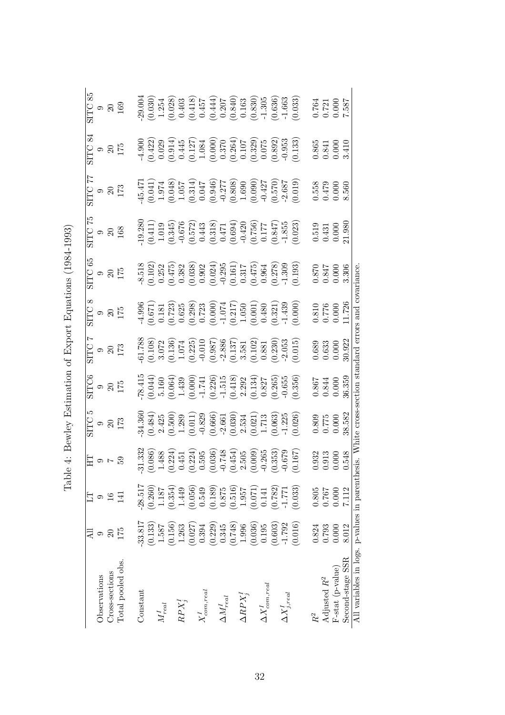|                                                                                                     |          |                 |                                                                                                                                                                                                                                                                                              |                                                                                                                                                                                                                                                                                                                       |                                                                                                                                                                                                   |                                                                                                                                                                                                                 |                                                                                                                                                                                                                                                                                             |                                                                                                                                                                                                                                                                                                                                   |                                                                                                                                                                                                                       |                                                                                                                                                                                                                                                                                                                        | ळ                                                                                                                                                                                                                                |                                                                                                                                                                                              |
|-----------------------------------------------------------------------------------------------------|----------|-----------------|----------------------------------------------------------------------------------------------------------------------------------------------------------------------------------------------------------------------------------------------------------------------------------------------|-----------------------------------------------------------------------------------------------------------------------------------------------------------------------------------------------------------------------------------------------------------------------------------------------------------------------|---------------------------------------------------------------------------------------------------------------------------------------------------------------------------------------------------|-----------------------------------------------------------------------------------------------------------------------------------------------------------------------------------------------------------------|---------------------------------------------------------------------------------------------------------------------------------------------------------------------------------------------------------------------------------------------------------------------------------------------|-----------------------------------------------------------------------------------------------------------------------------------------------------------------------------------------------------------------------------------------------------------------------------------------------------------------------------------|-----------------------------------------------------------------------------------------------------------------------------------------------------------------------------------------------------------------------|------------------------------------------------------------------------------------------------------------------------------------------------------------------------------------------------------------------------------------------------------------------------------------------------------------------------|----------------------------------------------------------------------------------------------------------------------------------------------------------------------------------------------------------------------------------|----------------------------------------------------------------------------------------------------------------------------------------------------------------------------------------------|
| Observations                                                                                        |          | ⊝               |                                                                                                                                                                                                                                                                                              |                                                                                                                                                                                                                                                                                                                       |                                                                                                                                                                                                   |                                                                                                                                                                                                                 |                                                                                                                                                                                                                                                                                             |                                                                                                                                                                                                                                                                                                                                   |                                                                                                                                                                                                                       |                                                                                                                                                                                                                                                                                                                        |                                                                                                                                                                                                                                  |                                                                                                                                                                                              |
| Cross-sections                                                                                      | $\Omega$ | $\overline{16}$ | 유 ~ ㅎ 도                                                                                                                                                                                                                                                                                      | $\begin{array}{c}\n\text{STTC} \\ 9 \\ 20 \\ 173\n\end{array}$                                                                                                                                                                                                                                                        |                                                                                                                                                                                                   | $\begin{array}{c} {\rm STTC} \ 9 \ 20 \ 173 \end{array}$                                                                                                                                                        |                                                                                                                                                                                                                                                                                             |                                                                                                                                                                                                                                                                                                                                   |                                                                                                                                                                                                                       |                                                                                                                                                                                                                                                                                                                        |                                                                                                                                                                                                                                  |                                                                                                                                                                                              |
| Total pooled obs.                                                                                   | 175      | 三               |                                                                                                                                                                                                                                                                                              |                                                                                                                                                                                                                                                                                                                       | SITC6<br>9<br>175<br>175                                                                                                                                                                          |                                                                                                                                                                                                                 | $\frac{9}{9}$<br>$\frac{20}{175}$                                                                                                                                                                                                                                                           | $\begin{array}{c} {\rm SITC}\,\,65\,\\ 9\,\\ 20\,\\ 175\, \end{array}$                                                                                                                                                                                                                                                            | $\begin{array}{c} {\rm SITC} \ \ 75 \\ 9 \\ 20 \\ 168 \end{array}$                                                                                                                                                    | $\begin{array}{l} {\rm STIC} \ 77 \\ 9 \\ 20 \\ 173 \end{array}$                                                                                                                                                                                                                                                       | SITC:<br>9<br>90<br>175                                                                                                                                                                                                          | $\begin{array}{c} {\rm SITC} \ 85 \\ 9 \\ 20 \\ 169 \end{array}$                                                                                                                             |
| Constant                                                                                            | 33.817   | 28.517          |                                                                                                                                                                                                                                                                                              |                                                                                                                                                                                                                                                                                                                       |                                                                                                                                                                                                   |                                                                                                                                                                                                                 |                                                                                                                                                                                                                                                                                             |                                                                                                                                                                                                                                                                                                                                   |                                                                                                                                                                                                                       |                                                                                                                                                                                                                                                                                                                        |                                                                                                                                                                                                                                  |                                                                                                                                                                                              |
|                                                                                                     | (0.133)  | (0.260)         |                                                                                                                                                                                                                                                                                              |                                                                                                                                                                                                                                                                                                                       |                                                                                                                                                                                                   |                                                                                                                                                                                                                 |                                                                                                                                                                                                                                                                                             |                                                                                                                                                                                                                                                                                                                                   |                                                                                                                                                                                                                       |                                                                                                                                                                                                                                                                                                                        |                                                                                                                                                                                                                                  |                                                                                                                                                                                              |
| $M_{real}^I$                                                                                        | 1.587    | 1.187           |                                                                                                                                                                                                                                                                                              |                                                                                                                                                                                                                                                                                                                       |                                                                                                                                                                                                   |                                                                                                                                                                                                                 |                                                                                                                                                                                                                                                                                             |                                                                                                                                                                                                                                                                                                                                   |                                                                                                                                                                                                                       |                                                                                                                                                                                                                                                                                                                        |                                                                                                                                                                                                                                  |                                                                                                                                                                                              |
|                                                                                                     | (0.156)  | (0.354)         | $\begin{array}{c} -31.332\\ -31.332\\ (0.086)\\ (0.086)\\ (1.488)\\ (0.224)\\ (0.224)\\ (0.595)\\ (0.036)\\ (0.036)\\ (0.036)\\ (0.009)\\ (0.009)\\ (0.007)\\ (0.009)\\ (0.079)\\ (0.07)\\ (0.007)\\ (0.008)\\ (0.009)\\ (0.000)\\ (0.007)\\ (0.008)\\ (0.000)\\ (0.000)\\ (0.000)\\ (0.000$ |                                                                                                                                                                                                                                                                                                                       |                                                                                                                                                                                                   |                                                                                                                                                                                                                 |                                                                                                                                                                                                                                                                                             |                                                                                                                                                                                                                                                                                                                                   |                                                                                                                                                                                                                       |                                                                                                                                                                                                                                                                                                                        |                                                                                                                                                                                                                                  |                                                                                                                                                                                              |
| $\mathbb{R}\mathbb{P}X^I_j$                                                                         | 1.263    | 1.449           |                                                                                                                                                                                                                                                                                              |                                                                                                                                                                                                                                                                                                                       |                                                                                                                                                                                                   |                                                                                                                                                                                                                 |                                                                                                                                                                                                                                                                                             |                                                                                                                                                                                                                                                                                                                                   |                                                                                                                                                                                                                       |                                                                                                                                                                                                                                                                                                                        |                                                                                                                                                                                                                                  |                                                                                                                                                                                              |
|                                                                                                     | (0.027)  | (0.056)         |                                                                                                                                                                                                                                                                                              |                                                                                                                                                                                                                                                                                                                       |                                                                                                                                                                                                   |                                                                                                                                                                                                                 |                                                                                                                                                                                                                                                                                             |                                                                                                                                                                                                                                                                                                                                   |                                                                                                                                                                                                                       |                                                                                                                                                                                                                                                                                                                        |                                                                                                                                                                                                                                  |                                                                                                                                                                                              |
| $X_{com,real}^I$                                                                                    | 0.394    | 0.549           |                                                                                                                                                                                                                                                                                              |                                                                                                                                                                                                                                                                                                                       |                                                                                                                                                                                                   |                                                                                                                                                                                                                 |                                                                                                                                                                                                                                                                                             |                                                                                                                                                                                                                                                                                                                                   |                                                                                                                                                                                                                       |                                                                                                                                                                                                                                                                                                                        |                                                                                                                                                                                                                                  |                                                                                                                                                                                              |
|                                                                                                     | (0.229)  | (0.189)         |                                                                                                                                                                                                                                                                                              |                                                                                                                                                                                                                                                                                                                       |                                                                                                                                                                                                   |                                                                                                                                                                                                                 |                                                                                                                                                                                                                                                                                             |                                                                                                                                                                                                                                                                                                                                   |                                                                                                                                                                                                                       |                                                                                                                                                                                                                                                                                                                        |                                                                                                                                                                                                                                  |                                                                                                                                                                                              |
| $\Delta M^I_{real}$                                                                                 | 0.345    | 0.875           |                                                                                                                                                                                                                                                                                              |                                                                                                                                                                                                                                                                                                                       |                                                                                                                                                                                                   |                                                                                                                                                                                                                 |                                                                                                                                                                                                                                                                                             |                                                                                                                                                                                                                                                                                                                                   |                                                                                                                                                                                                                       |                                                                                                                                                                                                                                                                                                                        |                                                                                                                                                                                                                                  |                                                                                                                                                                                              |
|                                                                                                     | (0.748)  | (0.516)         |                                                                                                                                                                                                                                                                                              |                                                                                                                                                                                                                                                                                                                       |                                                                                                                                                                                                   |                                                                                                                                                                                                                 |                                                                                                                                                                                                                                                                                             |                                                                                                                                                                                                                                                                                                                                   |                                                                                                                                                                                                                       |                                                                                                                                                                                                                                                                                                                        |                                                                                                                                                                                                                                  |                                                                                                                                                                                              |
| $\Delta RPX_i^I$                                                                                    | 1.996    | 1.957           |                                                                                                                                                                                                                                                                                              |                                                                                                                                                                                                                                                                                                                       |                                                                                                                                                                                                   |                                                                                                                                                                                                                 |                                                                                                                                                                                                                                                                                             |                                                                                                                                                                                                                                                                                                                                   |                                                                                                                                                                                                                       |                                                                                                                                                                                                                                                                                                                        |                                                                                                                                                                                                                                  |                                                                                                                                                                                              |
|                                                                                                     | (0.036)  | (0.071)         |                                                                                                                                                                                                                                                                                              |                                                                                                                                                                                                                                                                                                                       |                                                                                                                                                                                                   |                                                                                                                                                                                                                 |                                                                                                                                                                                                                                                                                             |                                                                                                                                                                                                                                                                                                                                   |                                                                                                                                                                                                                       |                                                                                                                                                                                                                                                                                                                        |                                                                                                                                                                                                                                  |                                                                                                                                                                                              |
| $\Delta X_{com,real}^{I}$                                                                           | 0.195    | 0.141           |                                                                                                                                                                                                                                                                                              |                                                                                                                                                                                                                                                                                                                       |                                                                                                                                                                                                   |                                                                                                                                                                                                                 |                                                                                                                                                                                                                                                                                             |                                                                                                                                                                                                                                                                                                                                   |                                                                                                                                                                                                                       |                                                                                                                                                                                                                                                                                                                        |                                                                                                                                                                                                                                  |                                                                                                                                                                                              |
|                                                                                                     | (0.603)  | (0.782)         |                                                                                                                                                                                                                                                                                              |                                                                                                                                                                                                                                                                                                                       |                                                                                                                                                                                                   |                                                                                                                                                                                                                 |                                                                                                                                                                                                                                                                                             |                                                                                                                                                                                                                                                                                                                                   |                                                                                                                                                                                                                       |                                                                                                                                                                                                                                                                                                                        |                                                                                                                                                                                                                                  |                                                                                                                                                                                              |
| $\Delta X^I_{j,real}$                                                                               | $-1.792$ | $-1.771$        |                                                                                                                                                                                                                                                                                              |                                                                                                                                                                                                                                                                                                                       |                                                                                                                                                                                                   |                                                                                                                                                                                                                 |                                                                                                                                                                                                                                                                                             |                                                                                                                                                                                                                                                                                                                                   |                                                                                                                                                                                                                       |                                                                                                                                                                                                                                                                                                                        |                                                                                                                                                                                                                                  |                                                                                                                                                                                              |
|                                                                                                     | (0.016)  | (0.033)         |                                                                                                                                                                                                                                                                                              | $\begin{array}{l} 34.360 \\ (0.484) \\ (0.495) \\ (0.500) \\ (0.011) \\ (0.011) \\ (0.066) \\ (0.030) \\ (0.030) \\ (0.021) \\ (0.021) \\ (0.030) \\ (0.021) \\ (0.030) \\ (0.003) \\ (0.003) \\ (0.024) \\ (0.030) \\ (0.025) \\ (0.030) \\ (0.030) \\ (0.031) \\ (0.032) \\ (0.033) \\ (0.034) \\ (0.035) \\ (0.03$ | $\begin{array}{l} \textbf{-78.415} \\ (0.044) \\ (0.064) \\ (0.064) \\ (0.000) \\ (0.000) \\ (0.001) \\ (0.226) \\ (0.134) \\ (0.134) \\ (0.085) \\ (0.055) \\ (0.036) \\ (0.366) \\ \end{array}$ | $\begin{array}{l} 61.788\\ (0.108)\\ (0.108)\\ (0.136)\\ (0.135)\\ (0.225)\\ (0.235)\\ (0.010\\ (0.010\\ (0.137)\\ (0.137)\\ (0.102)\\ (0.023)\\ (0.010)\\ (0.010)\\ (0.015)\\ (0.015)\\ (0.015)\\ \end{array}$ | $\begin{array}{l} 4.996\\ (0.671)\\ (0.181)\\ (0.723)\\ (0.625)\\ (0.000)\\ (0.000)\\ (0.001)\\ (0.001)\\ (0.001)\\ (0.001)\\ (0.001)\\ (0.001)\\ (0.001)\\ (0.001)\\ (0.000)\\ (0.000)\\ (0.000)\\ (0.000)\\ (0.000)\\ (0.000)\\ (0.000)\\ (0.000)\\ (0.000)\\ (0.000)\\ (0.000)\\ (0.000$ | $\begin{array}{c} 4.518 \\ -4.518 \\ -0.252 \\ -0.252 \\ -0.383 \\ -0.038 \\ -0.038 \\ -0.038 \\ -0.024 \\ -0.024 \\ -0.024 \\ -0.024 \\ -0.024 \\ -0.027 \\ -0.031 \\ -0.031 \\ -0.030 \\ -0.030 \\ -0.030 \\ -0.030 \\ -0.030 \\ -0.030 \\ -0.030 \\ -0.030 \\ -0.030 \\ -0.030 \\ -0.030 \\ -0.030 \\ -0.030 \\ -0.030 \\ -0.$ | $\begin{array}{l} 19.280 \\ (0.411) \\ (0.345) \\ (0.572) \\ (0.572) \\ (0.657) \\ (0.613) \\ (0.611) \\ (0.612) \\ (0.613) \\ (0.694) \\ (0.756) \\ (0.757) \\ (0.817) \\ (0.023) \\ (0.033) \\ (0.023) \end{array}$ | $\begin{array}{l} (45.471, \\ (1.974) \\ (1.974) \\ (1.974) \\ (1.051) \\ (0.044) \\ (0.105) \\ (0.104) \\ (0.105) \\ (0.047) \\ (0.046) \\ (0.000) \\ (0.000) \\ (0.000) \\ (0.070) \\ (0.070) \\ (0.019) \\ (0.019) \\ (0.019) \\ (0.019) \\ (0.019) \\ (0.019) \\ (0.019) \\ (0.019) \\ (0.019) \\ (0.010) \\ (0.0$ | $\begin{array}{l} 4.900\\ (0.422)\\ (0.029)\\ (0.0145)\\ (0.127)\\ (0.137)\\ (0.1084)\\ (0.100)\\ (0.100)\\ (0.100)\\ (0.107)\\ (0.1082)\\ (0.000)\\ (0.000)\\ (0.000)\\ (0.001)\\ (0.1133)\\ (0.1133)\\ (0.1133)\\ \end{array}$ | $\begin{array}{l} 29.004\\ (0.030)\\ (1.254)\\ (0.028)\\ (0.418)\\ (0.418)\\ (0.444)\\ (0.840)\\ (0.841)\\ (0.85)\\ (0.830)\\ (0.636)\\ (0.633)\\ (0.633)\\ (0.633)\\ (0.633)\\ \end{array}$ |
| R <sup>2</sup>                                                                                      | 0.824    | 0.805           |                                                                                                                                                                                                                                                                                              |                                                                                                                                                                                                                                                                                                                       |                                                                                                                                                                                                   |                                                                                                                                                                                                                 |                                                                                                                                                                                                                                                                                             |                                                                                                                                                                                                                                                                                                                                   |                                                                                                                                                                                                                       |                                                                                                                                                                                                                                                                                                                        |                                                                                                                                                                                                                                  |                                                                                                                                                                                              |
| Adjusted $R^2$                                                                                      | 0.793    | 0.767           | 32<br>9.3.3<br>9.3.48                                                                                                                                                                                                                                                                        | $\begin{array}{c} 0.809 \\ 0.775 \\ 0.000 \\ 0.8582 \end{array}$                                                                                                                                                                                                                                                      | $\begin{array}{c} 0.867 \\ 0.844 \\ 0.000 \\ 0.000 \\ 36.359 \end{array}$                                                                                                                         | $\begin{array}{c} 0.689 \\ 0.633 \\ 0.000 \\ 0.922 \end{array}$                                                                                                                                                 | $\begin{array}{c} 0.810 \\ 0.776 \\ 0.000 \\ 1.726 \end{array}$                                                                                                                                                                                                                             | $0.870$<br>0.847<br>0.000<br>0.396                                                                                                                                                                                                                                                                                                |                                                                                                                                                                                                                       | $0.558$<br>0.479<br>0.000<br>8.560                                                                                                                                                                                                                                                                                     |                                                                                                                                                                                                                                  |                                                                                                                                                                                              |
| $F\text{-stat (p-value)}$                                                                           | 0.000    | 0.000           |                                                                                                                                                                                                                                                                                              |                                                                                                                                                                                                                                                                                                                       |                                                                                                                                                                                                   |                                                                                                                                                                                                                 |                                                                                                                                                                                                                                                                                             |                                                                                                                                                                                                                                                                                                                                   |                                                                                                                                                                                                                       |                                                                                                                                                                                                                                                                                                                        |                                                                                                                                                                                                                                  |                                                                                                                                                                                              |
| Second-stage SSR                                                                                    | 8.012    | 7.112           |                                                                                                                                                                                                                                                                                              |                                                                                                                                                                                                                                                                                                                       |                                                                                                                                                                                                   |                                                                                                                                                                                                                 |                                                                                                                                                                                                                                                                                             |                                                                                                                                                                                                                                                                                                                                   | $\begin{array}{c} 0.519 \\ 0.431 \\ 0.000 \\ 21.980 \end{array}$                                                                                                                                                      |                                                                                                                                                                                                                                                                                                                        | $\begin{array}{c} 0.865 \\ 0.841 \\ 0.000 \\ 3.410 \end{array}$                                                                                                                                                                  | $\begin{array}{c} 0.764 \\ 0.721 \\ 0.000 \\ 1.587 \end{array}$                                                                                                                              |
| All variables in logs, p-values in parenthesis. White cross-section standard errors and covariance. |          |                 |                                                                                                                                                                                                                                                                                              |                                                                                                                                                                                                                                                                                                                       |                                                                                                                                                                                                   |                                                                                                                                                                                                                 |                                                                                                                                                                                                                                                                                             |                                                                                                                                                                                                                                                                                                                                   |                                                                                                                                                                                                                       |                                                                                                                                                                                                                                                                                                                        |                                                                                                                                                                                                                                  |                                                                                                                                                                                              |

Table 4: Bewley Estimation of Export Equations (1984-1993) Table 4: Bewley Estimation of Export Equations (1984-1993)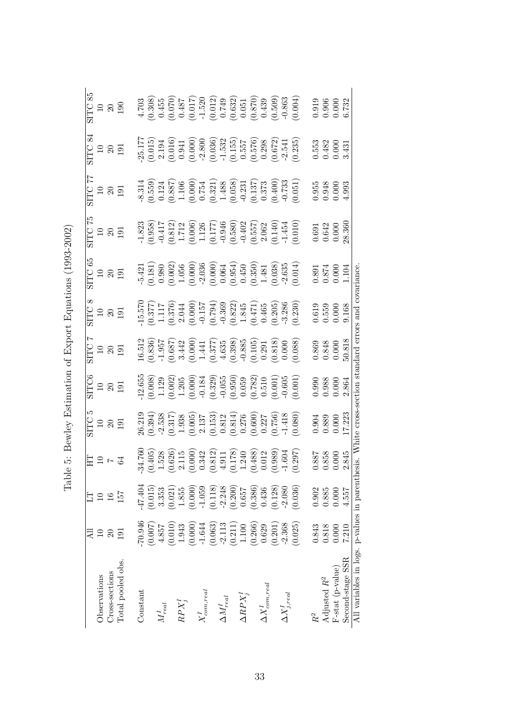|                                                                                                    |          |               |                                                                                                                                                                                                                                   |                                                                                                                                                                                                                                                                    |                                                                                                                                                                                                                                |                                                                                                                                                                                              |                                                                                                                                                                                                             |                                                                                                                                                                                                                          |                                                                                                                                                                                                                                                                                                                       |                                                                                                                                                                                                                                                                                                                        | 84                                                                                                                                                                                                                                                                                          |                                                                                                                                                                                                        |
|----------------------------------------------------------------------------------------------------|----------|---------------|-----------------------------------------------------------------------------------------------------------------------------------------------------------------------------------------------------------------------------------|--------------------------------------------------------------------------------------------------------------------------------------------------------------------------------------------------------------------------------------------------------------------|--------------------------------------------------------------------------------------------------------------------------------------------------------------------------------------------------------------------------------|----------------------------------------------------------------------------------------------------------------------------------------------------------------------------------------------|-------------------------------------------------------------------------------------------------------------------------------------------------------------------------------------------------------------|--------------------------------------------------------------------------------------------------------------------------------------------------------------------------------------------------------------------------|-----------------------------------------------------------------------------------------------------------------------------------------------------------------------------------------------------------------------------------------------------------------------------------------------------------------------|------------------------------------------------------------------------------------------------------------------------------------------------------------------------------------------------------------------------------------------------------------------------------------------------------------------------|---------------------------------------------------------------------------------------------------------------------------------------------------------------------------------------------------------------------------------------------------------------------------------------------|--------------------------------------------------------------------------------------------------------------------------------------------------------------------------------------------------------|
| Observations                                                                                       | $\Xi$    |               | $E \cup E$                                                                                                                                                                                                                        | $\begin{array}{c} {\rm SITC} \\ 10 \\ 20 \\ 191 \end{array}$                                                                                                                                                                                                       | SITC6<br>10<br>19<br>19<br>19                                                                                                                                                                                                  | SITC<br>10<br>191<br>191                                                                                                                                                                     |                                                                                                                                                                                                             | SITC 65<br>10<br>10<br>191                                                                                                                                                                                               | SITC 75<br>10<br>10<br>191                                                                                                                                                                                                                                                                                            | SITC 77<br>10<br>191<br>191                                                                                                                                                                                                                                                                                            | $\frac{10}{10}$<br>10<br>19<br>19<br>19                                                                                                                                                                                                                                                     | $\frac{\rm SITC~85}{10} \ \frac{10}{190}$                                                                                                                                                              |
| Cross-sections                                                                                     | $\Omega$ | $\frac{6}{1}$ |                                                                                                                                                                                                                                   |                                                                                                                                                                                                                                                                    |                                                                                                                                                                                                                                |                                                                                                                                                                                              |                                                                                                                                                                                                             |                                                                                                                                                                                                                          |                                                                                                                                                                                                                                                                                                                       |                                                                                                                                                                                                                                                                                                                        |                                                                                                                                                                                                                                                                                             |                                                                                                                                                                                                        |
| Total pooled obs.                                                                                  | 191      | 157           |                                                                                                                                                                                                                                   |                                                                                                                                                                                                                                                                    |                                                                                                                                                                                                                                |                                                                                                                                                                                              | $\frac{10}{10}$<br>$\frac{10}{191}$                                                                                                                                                                         |                                                                                                                                                                                                                          |                                                                                                                                                                                                                                                                                                                       |                                                                                                                                                                                                                                                                                                                        |                                                                                                                                                                                                                                                                                             |                                                                                                                                                                                                        |
| Constant                                                                                           | 70.946   | 47.404        |                                                                                                                                                                                                                                   |                                                                                                                                                                                                                                                                    |                                                                                                                                                                                                                                |                                                                                                                                                                                              |                                                                                                                                                                                                             |                                                                                                                                                                                                                          |                                                                                                                                                                                                                                                                                                                       |                                                                                                                                                                                                                                                                                                                        |                                                                                                                                                                                                                                                                                             |                                                                                                                                                                                                        |
|                                                                                                    | (0.007)  | (0.015)       | $\begin{array}{c} -34.760 \\ (0.405) \\ (1.528) \\ (0.626) \\ (0.000) \\ (0.342) \\ (0.311) \\ (0.178) \\ (0.178) \\ (0.124) \\ (0.178) \\ (0.083) \\ (0.012) \\ (0.004) \\ (0.014) \\ (0.004) \\ (0.297) \\ (0.297) \end{array}$ |                                                                                                                                                                                                                                                                    |                                                                                                                                                                                                                                |                                                                                                                                                                                              |                                                                                                                                                                                                             |                                                                                                                                                                                                                          |                                                                                                                                                                                                                                                                                                                       |                                                                                                                                                                                                                                                                                                                        |                                                                                                                                                                                                                                                                                             |                                                                                                                                                                                                        |
| $M_{real}^I$                                                                                       | 4.857    | 3.353         |                                                                                                                                                                                                                                   |                                                                                                                                                                                                                                                                    |                                                                                                                                                                                                                                |                                                                                                                                                                                              |                                                                                                                                                                                                             |                                                                                                                                                                                                                          |                                                                                                                                                                                                                                                                                                                       |                                                                                                                                                                                                                                                                                                                        |                                                                                                                                                                                                                                                                                             |                                                                                                                                                                                                        |
|                                                                                                    | (0.010)  | (0.021)       |                                                                                                                                                                                                                                   |                                                                                                                                                                                                                                                                    |                                                                                                                                                                                                                                |                                                                                                                                                                                              |                                                                                                                                                                                                             |                                                                                                                                                                                                                          |                                                                                                                                                                                                                                                                                                                       |                                                                                                                                                                                                                                                                                                                        |                                                                                                                                                                                                                                                                                             |                                                                                                                                                                                                        |
| $RPX_j^I$                                                                                          | 1.943    | 1.855         |                                                                                                                                                                                                                                   |                                                                                                                                                                                                                                                                    |                                                                                                                                                                                                                                |                                                                                                                                                                                              |                                                                                                                                                                                                             |                                                                                                                                                                                                                          |                                                                                                                                                                                                                                                                                                                       |                                                                                                                                                                                                                                                                                                                        |                                                                                                                                                                                                                                                                                             |                                                                                                                                                                                                        |
|                                                                                                    | (0.000)  | (0.000)       |                                                                                                                                                                                                                                   |                                                                                                                                                                                                                                                                    |                                                                                                                                                                                                                                |                                                                                                                                                                                              |                                                                                                                                                                                                             |                                                                                                                                                                                                                          |                                                                                                                                                                                                                                                                                                                       |                                                                                                                                                                                                                                                                                                                        |                                                                                                                                                                                                                                                                                             |                                                                                                                                                                                                        |
| $X_{com,real}^I$                                                                                   | $-1.644$ | $-1.059$      |                                                                                                                                                                                                                                   |                                                                                                                                                                                                                                                                    |                                                                                                                                                                                                                                |                                                                                                                                                                                              |                                                                                                                                                                                                             |                                                                                                                                                                                                                          |                                                                                                                                                                                                                                                                                                                       |                                                                                                                                                                                                                                                                                                                        |                                                                                                                                                                                                                                                                                             |                                                                                                                                                                                                        |
|                                                                                                    | (0.063)  | (0.118)       |                                                                                                                                                                                                                                   |                                                                                                                                                                                                                                                                    |                                                                                                                                                                                                                                |                                                                                                                                                                                              |                                                                                                                                                                                                             |                                                                                                                                                                                                                          |                                                                                                                                                                                                                                                                                                                       |                                                                                                                                                                                                                                                                                                                        |                                                                                                                                                                                                                                                                                             |                                                                                                                                                                                                        |
| $\Delta M^I_{real}$                                                                                | $-2.113$ | $-2.248$      |                                                                                                                                                                                                                                   |                                                                                                                                                                                                                                                                    |                                                                                                                                                                                                                                |                                                                                                                                                                                              |                                                                                                                                                                                                             |                                                                                                                                                                                                                          |                                                                                                                                                                                                                                                                                                                       |                                                                                                                                                                                                                                                                                                                        |                                                                                                                                                                                                                                                                                             |                                                                                                                                                                                                        |
|                                                                                                    | (0.211)  | (0.200)       |                                                                                                                                                                                                                                   |                                                                                                                                                                                                                                                                    |                                                                                                                                                                                                                                |                                                                                                                                                                                              |                                                                                                                                                                                                             |                                                                                                                                                                                                                          |                                                                                                                                                                                                                                                                                                                       |                                                                                                                                                                                                                                                                                                                        |                                                                                                                                                                                                                                                                                             |                                                                                                                                                                                                        |
| $\Delta RPX^I_i$                                                                                   | 1.100    | 0.657         |                                                                                                                                                                                                                                   |                                                                                                                                                                                                                                                                    |                                                                                                                                                                                                                                |                                                                                                                                                                                              |                                                                                                                                                                                                             |                                                                                                                                                                                                                          |                                                                                                                                                                                                                                                                                                                       |                                                                                                                                                                                                                                                                                                                        |                                                                                                                                                                                                                                                                                             |                                                                                                                                                                                                        |
|                                                                                                    | (0.266)  | (0.386)       |                                                                                                                                                                                                                                   |                                                                                                                                                                                                                                                                    |                                                                                                                                                                                                                                |                                                                                                                                                                                              |                                                                                                                                                                                                             |                                                                                                                                                                                                                          |                                                                                                                                                                                                                                                                                                                       |                                                                                                                                                                                                                                                                                                                        |                                                                                                                                                                                                                                                                                             |                                                                                                                                                                                                        |
| $\Delta X_{com,real}^{I}$                                                                          | 0.629    | 0.436         |                                                                                                                                                                                                                                   |                                                                                                                                                                                                                                                                    |                                                                                                                                                                                                                                |                                                                                                                                                                                              |                                                                                                                                                                                                             |                                                                                                                                                                                                                          |                                                                                                                                                                                                                                                                                                                       |                                                                                                                                                                                                                                                                                                                        |                                                                                                                                                                                                                                                                                             |                                                                                                                                                                                                        |
|                                                                                                    | (0.201)  | (0.128)       |                                                                                                                                                                                                                                   |                                                                                                                                                                                                                                                                    |                                                                                                                                                                                                                                |                                                                                                                                                                                              |                                                                                                                                                                                                             |                                                                                                                                                                                                                          |                                                                                                                                                                                                                                                                                                                       |                                                                                                                                                                                                                                                                                                                        |                                                                                                                                                                                                                                                                                             |                                                                                                                                                                                                        |
| $\Delta X_{j,real}^{I}$                                                                            | $-2.368$ | $-2.080$      |                                                                                                                                                                                                                                   |                                                                                                                                                                                                                                                                    |                                                                                                                                                                                                                                |                                                                                                                                                                                              |                                                                                                                                                                                                             |                                                                                                                                                                                                                          |                                                                                                                                                                                                                                                                                                                       |                                                                                                                                                                                                                                                                                                                        |                                                                                                                                                                                                                                                                                             |                                                                                                                                                                                                        |
|                                                                                                    | (0.025)  | (0.036)       |                                                                                                                                                                                                                                   | $\begin{array}{l} 26.219\\(0.394)\\(0.317)\\(0.193)\\(0.05)\\(0.05)\\(0.15)\\(0.15)\\(0.15)\\(0.005)\\(0.015)\\(0.001)\\(0.000)\\(0.001)\\(0.000)\\(0.000)\\(0.000)\\(0.000)\\(0.000)\\(0.000)\\(0.000)\\(0.000)\\(0.000)\\(0.000)\\(0.000)\\(0.000)\\(0.000)\\(0$ | $\begin{array}{l} 12.655\ (0.008) \ (0.002) \ (0.002) \ (0.001) \ (0.001) \ (0.013) \ (0.001) \ (0.0184) \ (0.001) \ (0.0184) \ (0.0185) \ (0.0186) \ (0.0101) \ (0.0100) \ (0.001) \ (0.001) \ (0.001) \ (0.001) \end{array}$ | $\begin{array}{l} 16.512\\ (0.836)\\ (0.836)\\ (1.957)\\ (0.687)\\ (0.000)\\ (0.000)\\ (1.41)\\ (0.377)\\ (0.398)\\ (0.398)\\ (0.105)\\ (0.000)\\ (0.000)\\ (0.000)\\ (0.008)\\ \end{array}$ | $\begin{array}{l} 15.570 \\ (0.377) \\ (1.117) \\ (0.376) \\ (0.000) \\ (0.000) \\ (0.157) \\ (0.000) \\ (0.157) \\ (0.000) \\ (0.45) \\ (0.45) \\ (0.405) \\ (0.205) \\ (0.230) \\ (0.230) \\ \end{array}$ | $\begin{array}{l} -5.421 \\ (0.181) \\ (0.002) \\ (0.000) \\ (0.000) \\ (0.000) \\ (0.000) \\ (0.000) \\ (0.000) \\ (0.000) \\ (0.000) \\ (0.001) \\ (0.030) \\ (0.038) \\ (0.038) \\ (0.014) \\ (0.014) \\ \end{array}$ | $\begin{array}{l} 1.823 \\ (0.958) \\ (0.417 \\ (0.0117 \\ (0.006) \\ (0.172) \\ (0.006) \\ (0.177) \\ (0.177) \\ (0.177) \\ (0.177) \\ (0.177) \\ (0.194) \\ (0.140) \\ (0.140) \\ (0.1454) \\ (0.1454) \\ (0.1454) \\ (0.140) \\ (0.140) \\ (0.140) \\ (0.1454) \\ (0.1454) \\ (0.1454) \\ (0.140) \\ (0.140) \\ ($ | $\begin{array}{l} -8.314 \\ (0.559) \\ (0.124) \\ (0.000) \\ (0.000) \\ (0.000) \\ (0.321) \\ (0.058) \\ (0.137) \\ (0.137) \\ (0.137) \\ (0.058) \\ (0.137) \\ (0.051) \\ (0.013) \\ (0.011) \\ (0.011) \\ (0.011) \\ (0.011) \\ (0.011) \\ (0.011) \\ (0.011) \\ (0.011) \\ (0.012) \\ (0.012) \\ (0.013) \\ (0.013$ | $\begin{array}{l} 25.177\\ (0.015)\\ (0.016)\\ (0.019)\\ (0.019)\\ (0.000)\\ (0.000)\\ (0.000)\\ (0.036)\\ (0.155)\\ (0.576)\\ (0.672)\\ (0.672)\\ (0.672)\\ (0.673)\\ (0.235)\\ (0.235)\\ (0.235)\\ (0.235)\\ (0.235)\\ (0.235)\\ (0.235)\\ (0.235)\\ (0.235)\\ (0.235)\\ (0.235)\\ (0.23$ | $\begin{array}{l} 4.703\\ (0.308)\\ (0.455)\\ (0.070)\\ (0.017)\\ (0.017)\\ (0.012)\\ (0.012)\\ (0.012)\\ (0.012)\\ (0.013)\\ (0.014)\\ (0.014)\\ (0.009)\\ (0.004)\\ (0.004)\\ (0.004)\\ \end{array}$ |
|                                                                                                    | 0.843    | 0.902         |                                                                                                                                                                                                                                   |                                                                                                                                                                                                                                                                    |                                                                                                                                                                                                                                |                                                                                                                                                                                              |                                                                                                                                                                                                             |                                                                                                                                                                                                                          |                                                                                                                                                                                                                                                                                                                       |                                                                                                                                                                                                                                                                                                                        |                                                                                                                                                                                                                                                                                             |                                                                                                                                                                                                        |
| Adjusted $\mathbb{R}^2$                                                                            | 0.818    | 0.885         | 887<br>858<br>888<br>88                                                                                                                                                                                                           | $\begin{array}{c} 0.904 \\ 0.889 \\ 0.000 \\ 17.223 \end{array}$                                                                                                                                                                                                   | $\begin{array}{c} 0.990 \\ 0.988 \\ 0.000 \\ 2.864 \end{array}$                                                                                                                                                                | $\begin{array}{c} 0.869 \\ 0.848 \\ 0.000 \\ 0.000 \end{array}$                                                                                                                              | $\begin{array}{c} 0.619 \\ 0.559 \\ 0.000 \\ 0.168 \end{array}$                                                                                                                                             | $0.874$<br>0.000<br>0.000<br>1.104                                                                                                                                                                                       | $\begin{array}{c} 0.691 \\ 0.642 \\ 0.000 \\ 28.360 \end{array}$                                                                                                                                                                                                                                                      | $\begin{array}{c} 0.955 \\ 0.948 \\ 0.000 \\ 4.993 \end{array}$                                                                                                                                                                                                                                                        | $\begin{array}{c} 0.553 \\ 0.482 \\ 0.000 \\ 3.431 \end{array}$                                                                                                                                                                                                                             | $0.919$<br>0.906<br>0.000<br>0.732                                                                                                                                                                     |
| $F\text{-stat (p-value)}$                                                                          | 0.000    | 0.000         |                                                                                                                                                                                                                                   |                                                                                                                                                                                                                                                                    |                                                                                                                                                                                                                                |                                                                                                                                                                                              |                                                                                                                                                                                                             |                                                                                                                                                                                                                          |                                                                                                                                                                                                                                                                                                                       |                                                                                                                                                                                                                                                                                                                        |                                                                                                                                                                                                                                                                                             |                                                                                                                                                                                                        |
| Second-stage SSR                                                                                   | 7.210    | 1.557         |                                                                                                                                                                                                                                   |                                                                                                                                                                                                                                                                    |                                                                                                                                                                                                                                |                                                                                                                                                                                              |                                                                                                                                                                                                             |                                                                                                                                                                                                                          |                                                                                                                                                                                                                                                                                                                       |                                                                                                                                                                                                                                                                                                                        |                                                                                                                                                                                                                                                                                             |                                                                                                                                                                                                        |
| All variables in logs. p-values in parenthesis. White cross-section standard errors and covariance |          |               |                                                                                                                                                                                                                                   |                                                                                                                                                                                                                                                                    |                                                                                                                                                                                                                                |                                                                                                                                                                                              |                                                                                                                                                                                                             |                                                                                                                                                                                                                          |                                                                                                                                                                                                                                                                                                                       |                                                                                                                                                                                                                                                                                                                        |                                                                                                                                                                                                                                                                                             |                                                                                                                                                                                                        |

| J<br>くへへへへへ<br>$\frac{1}{2}$<br>j                                    |
|----------------------------------------------------------------------|
| ł<br>$\frac{1}{2}$<br>İ<br>I<br>ſ<br>i<br>.<br>ļ                     |
| j<br>$-2$ $-2$ $-1$ $-1$ $-1$<br>ł<br>$\ddot{\phantom{0}}$<br>ļ<br>¢ |
| -<br>-<br>+<br>İ<br>ł<br>$\frac{1}{2}$<br>ļ                          |
| ١<br>$\ddot{\phantom{a}}$<br>ׇ֚֘֡<br>ſ                               |
| ì<br>l<br>l                                                          |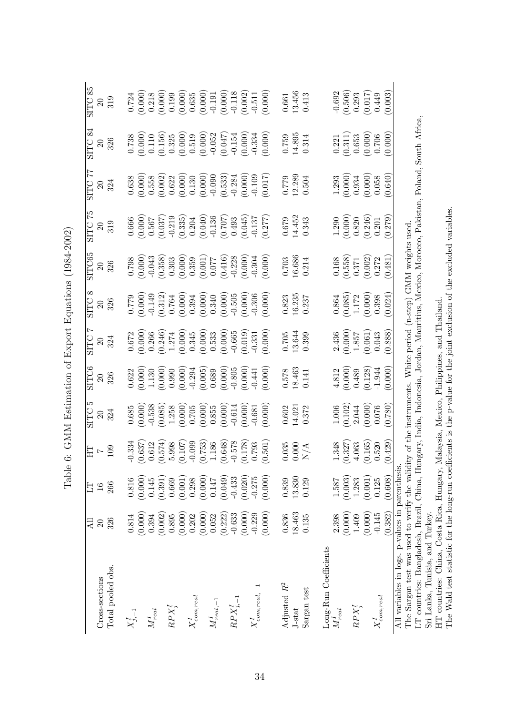| くくく こくくこ<br>ı<br>)<br>I<br>I<br>ا<br>(<br>ׇ֚֓֡                    |  |
|-------------------------------------------------------------------|--|
| ı<br>$5 - 2 = 0.4$<br>i<br>İ<br>ſ<br>ŗ                            |  |
| I<br>ł<br>$\ddot{\text{}}$<br>ŗ<br>ć                              |  |
| 、くらい<br>ı<br>ׇ֚֓<br>$\frac{1}{2}$<br>ׇׅ֘֝֬<br>יִ<br>$\frac{1}{2}$ |  |
| $\vdots$<br>キャイ<br>ł                                              |  |
| ¢<br>1<br>l                                                       |  |

|                                                                                                                                                                                                             | Дl       | 日             |                                                                                                         |                                                                                                                                                                                                                                                                                                                     |                                                                                                                                                                                                                                                                                             |                                                                                                                                                                                                                                                                                                     |                                                                                                                                                                                                                                                                                            | SITC65                                                                                                                                                                                                                                                                                                              |                                                                                                                                                                                                                                |                                                                                                                                                                                                                                                                                                     | $\overline{84}$<br>SITC.                                                                                                                                                                                                                                                                      | SITC 85                                                                                                                                                                                                                                                           |
|-------------------------------------------------------------------------------------------------------------------------------------------------------------------------------------------------------------|----------|---------------|---------------------------------------------------------------------------------------------------------|---------------------------------------------------------------------------------------------------------------------------------------------------------------------------------------------------------------------------------------------------------------------------------------------------------------------|---------------------------------------------------------------------------------------------------------------------------------------------------------------------------------------------------------------------------------------------------------------------------------------------|-----------------------------------------------------------------------------------------------------------------------------------------------------------------------------------------------------------------------------------------------------------------------------------------------------|--------------------------------------------------------------------------------------------------------------------------------------------------------------------------------------------------------------------------------------------------------------------------------------------|---------------------------------------------------------------------------------------------------------------------------------------------------------------------------------------------------------------------------------------------------------------------------------------------------------------------|--------------------------------------------------------------------------------------------------------------------------------------------------------------------------------------------------------------------------------|-----------------------------------------------------------------------------------------------------------------------------------------------------------------------------------------------------------------------------------------------------------------------------------------------------|-----------------------------------------------------------------------------------------------------------------------------------------------------------------------------------------------------------------------------------------------------------------------------------------------|-------------------------------------------------------------------------------------------------------------------------------------------------------------------------------------------------------------------------------------------------------------------|
|                                                                                                                                                                                                             |          |               |                                                                                                         |                                                                                                                                                                                                                                                                                                                     |                                                                                                                                                                                                                                                                                             |                                                                                                                                                                                                                                                                                                     |                                                                                                                                                                                                                                                                                            |                                                                                                                                                                                                                                                                                                                     |                                                                                                                                                                                                                                |                                                                                                                                                                                                                                                                                                     |                                                                                                                                                                                                                                                                                               |                                                                                                                                                                                                                                                                   |
| Cross-sections                                                                                                                                                                                              | $\Omega$ | $\frac{1}{6}$ |                                                                                                         |                                                                                                                                                                                                                                                                                                                     |                                                                                                                                                                                                                                                                                             |                                                                                                                                                                                                                                                                                                     |                                                                                                                                                                                                                                                                                            |                                                                                                                                                                                                                                                                                                                     |                                                                                                                                                                                                                                |                                                                                                                                                                                                                                                                                                     |                                                                                                                                                                                                                                                                                               |                                                                                                                                                                                                                                                                   |
| Total pooled obs.                                                                                                                                                                                           | 326      | 266           | еог<br>ЧН                                                                                               | SITC<br>20<br>324                                                                                                                                                                                                                                                                                                   | SITC6<br>20<br>326                                                                                                                                                                                                                                                                          | SITC 7<br>20<br>324                                                                                                                                                                                                                                                                                 | $\frac{1}{20}$<br>$\frac{20}{326}$                                                                                                                                                                                                                                                         | $\frac{20}{326}$                                                                                                                                                                                                                                                                                                    | $\begin{array}{c} {\rm SITC\ 75}\\ 20\\ 319 \end{array}$                                                                                                                                                                       | $\begin{array}{c} {\rm SITC} \ 77 \\ 20 \\ 324 \end{array}$                                                                                                                                                                                                                                         | $20\atop{}326$                                                                                                                                                                                                                                                                                | $\frac{20}{319}$                                                                                                                                                                                                                                                  |
| $X^I_{j,-1}$                                                                                                                                                                                                | 0.814    | 0.816         |                                                                                                         |                                                                                                                                                                                                                                                                                                                     |                                                                                                                                                                                                                                                                                             |                                                                                                                                                                                                                                                                                                     |                                                                                                                                                                                                                                                                                            |                                                                                                                                                                                                                                                                                                                     |                                                                                                                                                                                                                                |                                                                                                                                                                                                                                                                                                     |                                                                                                                                                                                                                                                                                               |                                                                                                                                                                                                                                                                   |
|                                                                                                                                                                                                             | (0.000)  | (0.000)       | $\begin{array}{c} -0.334 \\ (0.637) \\ 0.612 \\ (0.574) \\ 5.998 \\ \end{array}$                        | $\begin{array}{l} 0.685 \\ 0.0000 \\ 0.5385 \\ -0.5385 \\ -0.5385 \\ -0.0000 \\ -0.0000 \\ -0.0000 \\ -0.0000 \\ -0.0000 \\ -0.0000 \\ -0.0000 \\ -0.0000 \\ -0.0000 \\ -0.0000 \\ -0.0000 \\ -0.0000 \\ -0.0000 \\ -0.0000 \\ -0.0000 \\ -0.0000 \\ -0.0000 \\ -0.0000 \\ -0.0000 \\ -0.0000 \\ -0.0000 \\ -0.000$ | $\begin{array}{c} 0.622 \\ 0.0000 \\ 1.130 \\ 0.0000 \\ 0.0000 \\ 0.0000 \\ 0.0000 \\ 0.0000 \\ 0.0000 \\ 0.0000 \\ 0.0000 \\ 0.0000 \\ 0.0000 \\ 0.0000 \\ 0.0000 \\ 0.0000 \\ 0.0000 \\ 0.0000 \\ 0.0000 \\ 0.0000 \\ 0.0000 \\ 0.0000 \\ 0.0000 \\ 0.0000 \\ 0.0000 \\ 0.0000 \\ 0.0000$ | $\begin{array}{l} 0.672 \\ 0.000 \\ 0.266 \\ 0.246 \\ 0.247 \\ 0.000 \\ 0.000 \\ 0.000 \\ 0.000 \\ 0.000 \\ 0.000 \\ 0.000 \\ 0.000 \\ 0.000 \\ 0.000 \\ 0.000 \\ 0.000 \\ 0.000 \\ 0.000 \\ 0.000 \\ 0.000 \\ 0.000 \\ 0.000 \\ 0.000 \\ 0.000 \\ 0.000 \\ 0.000 \\ 0.000 \\ 0.000 \\ 0.000 \\ 0.$ | $\begin{array}{l} 0.0000\\ 0.0000\\ -0.149\\ -0.0000\\ -0.0000\\ -0.0000\\ -0.0000\\ -0.0000\\ -0.0000\\ -0.0000\\ -0.0000\\ -0.0000\\ -0.0000\\ -0.0000\\ -0.0000\\ -0.0000\\ -0.0000\\ -0.0000\\ -0.0000\\ -0.0000\\ -0.0000\\ -0.0000\\ -0.0000\\ -0.0000\\ -0.0000\\ -0.0000\\ -0.000$ | $\begin{array}{c} 0.798 \\[-4pt] 0.000 \\[-4pt] 0.000 \\[-4pt] 0.338 \\[-4pt] 0.330 \\[-4pt] 0.000 \\[-4pt] 0.000 \\[-4pt] 0.000 \\[-4pt] 0.000 \\[-4pt] 0.000 \\[-4pt] 0.000 \\[-4pt] 0.000 \\[-4pt] 0.000 \\[-4pt] 0.000 \\[-4pt] 0.000 \\[-4pt] 0.000 \\[-4pt] 0.000 \\[-4pt] 0.000 \\[-4pt] 0.000 \\[-4pt] 0.0$ |                                                                                                                                                                                                                                |                                                                                                                                                                                                                                                                                                     | $\begin{array}{c} 0.738 \\ 0.0000 \\ 0.110 \\ 0.110 \\ 0.0000 \\ 0.0000 \\ 0.0000 \\ 0.0000 \\ 0.0000 \\ 0.0000 \\ 0.0000 \\ 0.0000 \\ 0.0000 \\ 0.0000 \\ 0.0000 \\ 0.0000 \\ 0.0000 \\ 0.0000 \\ 0.0000 \\ 0.0000 \\ 0.0000 \\ 0.0000 \\ 0.0000 \\ 0.0000 \\ 0.0000 \\ 0.0000 \\ 0.0000 \\$ |                                                                                                                                                                                                                                                                   |
| $M_{real}^I$                                                                                                                                                                                                | 0.394    | 0.145         |                                                                                                         |                                                                                                                                                                                                                                                                                                                     |                                                                                                                                                                                                                                                                                             |                                                                                                                                                                                                                                                                                                     |                                                                                                                                                                                                                                                                                            |                                                                                                                                                                                                                                                                                                                     |                                                                                                                                                                                                                                |                                                                                                                                                                                                                                                                                                     |                                                                                                                                                                                                                                                                                               |                                                                                                                                                                                                                                                                   |
|                                                                                                                                                                                                             | (0.002)  | (0.391)       |                                                                                                         |                                                                                                                                                                                                                                                                                                                     |                                                                                                                                                                                                                                                                                             |                                                                                                                                                                                                                                                                                                     |                                                                                                                                                                                                                                                                                            |                                                                                                                                                                                                                                                                                                                     |                                                                                                                                                                                                                                |                                                                                                                                                                                                                                                                                                     |                                                                                                                                                                                                                                                                                               |                                                                                                                                                                                                                                                                   |
| $RPX_i^I$                                                                                                                                                                                                   | 0.895    | 0.669         |                                                                                                         |                                                                                                                                                                                                                                                                                                                     |                                                                                                                                                                                                                                                                                             |                                                                                                                                                                                                                                                                                                     |                                                                                                                                                                                                                                                                                            |                                                                                                                                                                                                                                                                                                                     |                                                                                                                                                                                                                                |                                                                                                                                                                                                                                                                                                     |                                                                                                                                                                                                                                                                                               |                                                                                                                                                                                                                                                                   |
|                                                                                                                                                                                                             | (0.000)  | (0.001)       |                                                                                                         |                                                                                                                                                                                                                                                                                                                     |                                                                                                                                                                                                                                                                                             |                                                                                                                                                                                                                                                                                                     |                                                                                                                                                                                                                                                                                            |                                                                                                                                                                                                                                                                                                                     |                                                                                                                                                                                                                                |                                                                                                                                                                                                                                                                                                     |                                                                                                                                                                                                                                                                                               |                                                                                                                                                                                                                                                                   |
| $X^I_{com,real}$                                                                                                                                                                                            | 0.202    | 0.298         |                                                                                                         |                                                                                                                                                                                                                                                                                                                     |                                                                                                                                                                                                                                                                                             |                                                                                                                                                                                                                                                                                                     |                                                                                                                                                                                                                                                                                            |                                                                                                                                                                                                                                                                                                                     |                                                                                                                                                                                                                                |                                                                                                                                                                                                                                                                                                     |                                                                                                                                                                                                                                                                                               |                                                                                                                                                                                                                                                                   |
|                                                                                                                                                                                                             | (0.000)  | (0.000)       |                                                                                                         |                                                                                                                                                                                                                                                                                                                     |                                                                                                                                                                                                                                                                                             |                                                                                                                                                                                                                                                                                                     |                                                                                                                                                                                                                                                                                            |                                                                                                                                                                                                                                                                                                                     |                                                                                                                                                                                                                                |                                                                                                                                                                                                                                                                                                     |                                                                                                                                                                                                                                                                                               |                                                                                                                                                                                                                                                                   |
| ${\cal M}_{real,-1}^I$                                                                                                                                                                                      | 0.052    | 0.147         |                                                                                                         |                                                                                                                                                                                                                                                                                                                     |                                                                                                                                                                                                                                                                                             |                                                                                                                                                                                                                                                                                                     |                                                                                                                                                                                                                                                                                            |                                                                                                                                                                                                                                                                                                                     |                                                                                                                                                                                                                                |                                                                                                                                                                                                                                                                                                     |                                                                                                                                                                                                                                                                                               |                                                                                                                                                                                                                                                                   |
|                                                                                                                                                                                                             | (0.222)  | (0.049)       | $\begin{array}{c} 0.099 \\ (0.753) \\ 1.186 \\ (0.648) \\ (0.648) \\ (0.178) \\ (0.178) \\ \end{array}$ |                                                                                                                                                                                                                                                                                                                     |                                                                                                                                                                                                                                                                                             |                                                                                                                                                                                                                                                                                                     |                                                                                                                                                                                                                                                                                            |                                                                                                                                                                                                                                                                                                                     |                                                                                                                                                                                                                                |                                                                                                                                                                                                                                                                                                     |                                                                                                                                                                                                                                                                                               |                                                                                                                                                                                                                                                                   |
| $\mathcal{R}\mathcal{P} X^I_{j,-1}$                                                                                                                                                                         | $-0.633$ | $-0.433$      |                                                                                                         |                                                                                                                                                                                                                                                                                                                     |                                                                                                                                                                                                                                                                                             |                                                                                                                                                                                                                                                                                                     |                                                                                                                                                                                                                                                                                            |                                                                                                                                                                                                                                                                                                                     |                                                                                                                                                                                                                                |                                                                                                                                                                                                                                                                                                     |                                                                                                                                                                                                                                                                                               |                                                                                                                                                                                                                                                                   |
|                                                                                                                                                                                                             | (0.000)  | (0.020)       |                                                                                                         |                                                                                                                                                                                                                                                                                                                     |                                                                                                                                                                                                                                                                                             |                                                                                                                                                                                                                                                                                                     |                                                                                                                                                                                                                                                                                            |                                                                                                                                                                                                                                                                                                                     |                                                                                                                                                                                                                                |                                                                                                                                                                                                                                                                                                     |                                                                                                                                                                                                                                                                                               |                                                                                                                                                                                                                                                                   |
| $X^{\mathfrak{l}}_{com,real,-1}$                                                                                                                                                                            | $-0.229$ | $-0.275$      |                                                                                                         |                                                                                                                                                                                                                                                                                                                     |                                                                                                                                                                                                                                                                                             |                                                                                                                                                                                                                                                                                                     |                                                                                                                                                                                                                                                                                            |                                                                                                                                                                                                                                                                                                                     |                                                                                                                                                                                                                                |                                                                                                                                                                                                                                                                                                     |                                                                                                                                                                                                                                                                                               |                                                                                                                                                                                                                                                                   |
|                                                                                                                                                                                                             | (0.000)  | (0.000)       | 0.501)                                                                                                  |                                                                                                                                                                                                                                                                                                                     |                                                                                                                                                                                                                                                                                             |                                                                                                                                                                                                                                                                                                     |                                                                                                                                                                                                                                                                                            |                                                                                                                                                                                                                                                                                                                     | $\begin{array}{l} 0.666\\[-4pt] 0.0000\\[-4pt] 0.567\\[-4pt] 0.037\\[-4pt] 0.219\\[-4pt] 0.204\\[-4pt] 0.204\\[-4pt] 0.204\\[-4pt] 0.204\\[-4pt] 0.207\\[-4pt] 0.204\\[-4pt] 0.277)\\[-4pt] 0.277)\\[-4pt] 0.277) \end{array}$ | $\begin{array}{l} 0.638 \\ 0.0000 \\ 0.558 \\ 0.622 \\ 0.623 \\ 0.000 \\ 0.000 \\ 0.000 \\ 0.000 \\ 0.000 \\ 0.000 \\ 0.000 \\ 0.000 \\ 0.000 \\ 0.000 \\ 0.000 \\ 0.017 \\ 0.017 \\ 0.017 \\ 0.010 \\ 0.010 \\ 0.017 \\ 0.010 \\ 0.010 \\ 0.010 \\ 0.010 \\ 0.010 \\ 0.010 \\ 0.010 \\ 0.010 \\ 0$ |                                                                                                                                                                                                                                                                                               | $\begin{array}{l} 0.724\\ 0.0000\\ 0.0120\\ 0.0000\\ 0.0000\\ 0.0000\\ 0.0000\\ 0.0000\\ 0.0000\\ 0.0000\\ 0.0000\\ 0.0000\\ 0.0000\\ 0.0000\\ 0.0000\\ 0.0000\\ 0.0000\\ 0.0000\\ 0.0000\\ 0.0000\\ 0.0000\\ 0.0000\\ 0.0000\\ 0.0000\\ 0.0000\\ 0.0000\\ 0.000$ |
| Adjusted $R^2$                                                                                                                                                                                              | 0.836    | 0.839         |                                                                                                         |                                                                                                                                                                                                                                                                                                                     |                                                                                                                                                                                                                                                                                             |                                                                                                                                                                                                                                                                                                     |                                                                                                                                                                                                                                                                                            |                                                                                                                                                                                                                                                                                                                     |                                                                                                                                                                                                                                |                                                                                                                                                                                                                                                                                                     |                                                                                                                                                                                                                                                                                               |                                                                                                                                                                                                                                                                   |
| J-stat                                                                                                                                                                                                      | 18.463   | 13.830        |                                                                                                         |                                                                                                                                                                                                                                                                                                                     |                                                                                                                                                                                                                                                                                             |                                                                                                                                                                                                                                                                                                     |                                                                                                                                                                                                                                                                                            |                                                                                                                                                                                                                                                                                                                     |                                                                                                                                                                                                                                |                                                                                                                                                                                                                                                                                                     |                                                                                                                                                                                                                                                                                               |                                                                                                                                                                                                                                                                   |
| Sargan test                                                                                                                                                                                                 | 0.135    | 0.129         | $\frac{0.035}{0.000}$                                                                                   | $\begin{array}{c} 0.602 \\ 14.021 \\ 0.372 \end{array}$                                                                                                                                                                                                                                                             | $\begin{array}{c} 0.578 \\ 18.463 \\ 0.141 \end{array}$                                                                                                                                                                                                                                     | $\frac{0.705}{13.644}$                                                                                                                                                                                                                                                                              | $\frac{0.823}{16.235}$                                                                                                                                                                                                                                                                     | $\frac{0.703}{16.686}$                                                                                                                                                                                                                                                                                              | $\frac{0.679}{14.452}$<br>0.343                                                                                                                                                                                                | $\frac{0.779}{12.289}$                                                                                                                                                                                                                                                                              | $\frac{0.759}{14.895}$                                                                                                                                                                                                                                                                        | $\begin{array}{c} 0.661 \\ 13.456 \\ 0.413 \end{array}$                                                                                                                                                                                                           |
| Long-Run Coefficients                                                                                                                                                                                       |          |               |                                                                                                         |                                                                                                                                                                                                                                                                                                                     |                                                                                                                                                                                                                                                                                             |                                                                                                                                                                                                                                                                                                     |                                                                                                                                                                                                                                                                                            |                                                                                                                                                                                                                                                                                                                     |                                                                                                                                                                                                                                |                                                                                                                                                                                                                                                                                                     |                                                                                                                                                                                                                                                                                               |                                                                                                                                                                                                                                                                   |
| $M_{real}^{\cal I}$                                                                                                                                                                                         | 2.398    | 1.587         |                                                                                                         |                                                                                                                                                                                                                                                                                                                     |                                                                                                                                                                                                                                                                                             |                                                                                                                                                                                                                                                                                                     |                                                                                                                                                                                                                                                                                            |                                                                                                                                                                                                                                                                                                                     |                                                                                                                                                                                                                                |                                                                                                                                                                                                                                                                                                     |                                                                                                                                                                                                                                                                                               |                                                                                                                                                                                                                                                                   |
|                                                                                                                                                                                                             | (0.000)  | (0.003)       |                                                                                                         |                                                                                                                                                                                                                                                                                                                     |                                                                                                                                                                                                                                                                                             |                                                                                                                                                                                                                                                                                                     |                                                                                                                                                                                                                                                                                            |                                                                                                                                                                                                                                                                                                                     |                                                                                                                                                                                                                                |                                                                                                                                                                                                                                                                                                     |                                                                                                                                                                                                                                                                                               |                                                                                                                                                                                                                                                                   |
| $RPX_i^I$                                                                                                                                                                                                   | 1.409    | 1.283         | $\begin{array}{c} 1.348 \\ (0.327) \\ 4.063 \\ (0.165) \\ 0.520 \end{array}$                            | $\begin{array}{c} 1.006 \\ 0.102 \\ 2.044 \\ 0.000 \\ 0.076 \end{array}$                                                                                                                                                                                                                                            | $\begin{array}{c} 4.812 \\ (0.000) \\ 0.489 \\ (0.128) \\ -1.944 \\ \end{array}$                                                                                                                                                                                                            | $\begin{array}{c} 2.436 \\ 0.000 \\ 1.857 \\ 0.061 \\ 0.043 \end{array}$                                                                                                                                                                                                                            | $\begin{array}{c} 0.864 \\ 0.085) \\ 1.172 \\ 0.000) \\ 0.398 \end{array}$                                                                                                                                                                                                                 | $\begin{array}{c} 0.168 \\ 0.558) \\ 0.371 \\ 0.002) \\ 0.272 \end{array}$                                                                                                                                                                                                                                          | $\begin{array}{c} 1.290 \\ 0.000 \\ 0.820 \\ 0.246 \\ 0.21 \end{array}$                                                                                                                                                        | $\begin{array}{c} 1.293 \\ (0.000) \\ 0.934 \\ (0.000) \\ (0.005) \\ (0.640) \end{array}$                                                                                                                                                                                                           | $\begin{array}{c} 0.221 \\ (0.311) \\ 0.653 \\ (0.000) \\ (0.706) \\ (0.000) \end{array}$                                                                                                                                                                                                     | $-0.692$<br>$(0.506)$<br>$0.293$<br>$(0.017)$<br>$0.449$<br>$0.449$                                                                                                                                                                                               |
|                                                                                                                                                                                                             | (0.000)  | (0.001)       |                                                                                                         |                                                                                                                                                                                                                                                                                                                     |                                                                                                                                                                                                                                                                                             |                                                                                                                                                                                                                                                                                                     |                                                                                                                                                                                                                                                                                            |                                                                                                                                                                                                                                                                                                                     |                                                                                                                                                                                                                                |                                                                                                                                                                                                                                                                                                     |                                                                                                                                                                                                                                                                                               |                                                                                                                                                                                                                                                                   |
| $X^{\mathfrak 1}_{com,real}$                                                                                                                                                                                | $-0.145$ | 0.125         |                                                                                                         |                                                                                                                                                                                                                                                                                                                     |                                                                                                                                                                                                                                                                                             |                                                                                                                                                                                                                                                                                                     |                                                                                                                                                                                                                                                                                            |                                                                                                                                                                                                                                                                                                                     |                                                                                                                                                                                                                                |                                                                                                                                                                                                                                                                                                     |                                                                                                                                                                                                                                                                                               |                                                                                                                                                                                                                                                                   |
|                                                                                                                                                                                                             | (0.382)  | (0.608)       | (0.429)                                                                                                 | (0.780)                                                                                                                                                                                                                                                                                                             |                                                                                                                                                                                                                                                                                             | (0.888)                                                                                                                                                                                                                                                                                             | (0.024)                                                                                                                                                                                                                                                                                    | (0.481)                                                                                                                                                                                                                                                                                                             | (0.279)                                                                                                                                                                                                                        |                                                                                                                                                                                                                                                                                                     |                                                                                                                                                                                                                                                                                               |                                                                                                                                                                                                                                                                   |
| All variables in logs. p-values in parenthesis.                                                                                                                                                             |          |               |                                                                                                         |                                                                                                                                                                                                                                                                                                                     |                                                                                                                                                                                                                                                                                             |                                                                                                                                                                                                                                                                                                     |                                                                                                                                                                                                                                                                                            |                                                                                                                                                                                                                                                                                                                     |                                                                                                                                                                                                                                |                                                                                                                                                                                                                                                                                                     |                                                                                                                                                                                                                                                                                               |                                                                                                                                                                                                                                                                   |
|                                                                                                                                                                                                             |          |               |                                                                                                         |                                                                                                                                                                                                                                                                                                                     |                                                                                                                                                                                                                                                                                             |                                                                                                                                                                                                                                                                                                     |                                                                                                                                                                                                                                                                                            |                                                                                                                                                                                                                                                                                                                     |                                                                                                                                                                                                                                |                                                                                                                                                                                                                                                                                                     |                                                                                                                                                                                                                                                                                               |                                                                                                                                                                                                                                                                   |
| The Sargan test was used to verify the validity of the instruments. White period (n-step) GMM weights used.<br>IT countries: Pangladesh Paccil China Humenu India Indonesia Lordon Mountine Movice Moreogly |          |               |                                                                                                         |                                                                                                                                                                                                                                                                                                                     |                                                                                                                                                                                                                                                                                             |                                                                                                                                                                                                                                                                                                     |                                                                                                                                                                                                                                                                                            |                                                                                                                                                                                                                                                                                                                     | $D_0$                                                                                                                                                                                                                          | ن<br>موران<br>ا                                                                                                                                                                                                                                                                                     | $C_{\alpha+1}$ A frice                                                                                                                                                                                                                                                                        |                                                                                                                                                                                                                                                                   |

LT countries: Bangladesh, Brazil, China, Hungary, India, Indonesia, Jordan, Mauritius, Mexico, Morocco, Pakistan, Poland, South Africa,

LT countries: Bangladesh, Brazil, China, Hungary, India, Indonesia, Jordan, Mauritius, Mexico, Morocco, Pakistan, Poland, South Africa,<br>Sri Lanka, Tunisia, and Turkey.<br>HT countries: China, Costa Rica, Hungary, Malaysia, Me Sri Lanka, Tunisia, and Turkey.

HT countries: China, Costa Rica, Hungary, Malaysia, Mexico, Philippines, and Thailand.

The Wald test statistic for the long-run coefficients is the p-value for the joint exclusion of the excluded variables.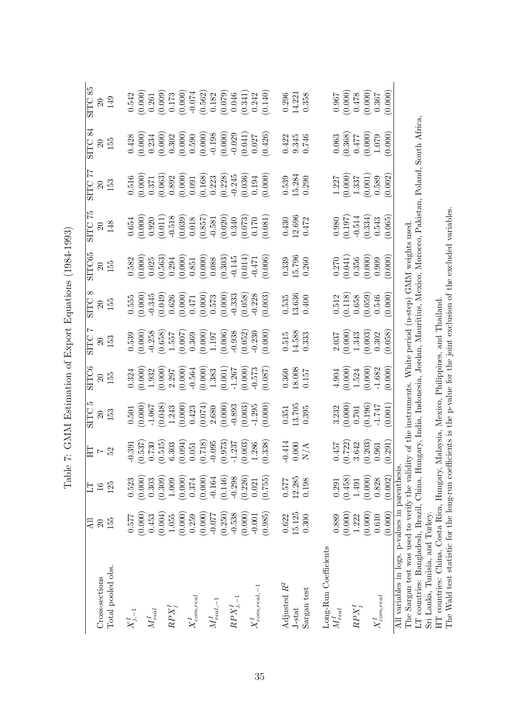| t<br>C<br>)<br>)<br>-<br>-<br>-<br>-<br>l                                                                                                                                                                                                              |  |
|--------------------------------------------------------------------------------------------------------------------------------------------------------------------------------------------------------------------------------------------------------|--|
| į<br>֧֧֧֧֧ׅ֧֧֧ׅ֧֧֪֪ׅ֧֚֚֚֚֚֚֚֚֚֚֚֚֚֚֚֚֚֚֚֚֚֚֚֚֚֚֚֚֚֚֚֚֚֚֡֝֟֓֝֓֝֓֓֜֝֬֝֓֜֝֬֝<br>֠<br>ł<br>L<br>֧֖֖֖֚֚֚֚֚֬֝֬<br>ł<br>ļ<br>$\ddot{\text{}}$                                                                                                                 |  |
| ļ<br>֕<br>ׇ֚֓<br>֧֚֚֚֚֚֚֚֚֚֚֚֚֚֚֚֚֚֚֚֚֚֚֚֚֚֚֚֚֚֚֚֬֡֡֟֡֟֓֡֝<br>i                                                                                                                                                                                        |  |
| $\frac{1}{2}$<br>ししょう<br>$-1$ , $-1$ , $-1$ , $-1$ , $-1$ , $-1$ , $-1$ , $-1$ , $-1$ , $-1$ , $-1$ , $-1$ , $-1$ , $-1$ , $-1$ , $-1$ , $-1$ , $-1$ , $-1$ , $-1$ , $-1$ , $-1$ , $-1$ , $-1$ , $-1$ , $-1$ , $-1$ , $-1$ , $-1$ , $-1$ , $-1$ , $-1$ |  |
| l<br>l                                                                                                                                                                                                                                                 |  |

|                                                                                                                                         | 급        | 日             | EН             | IJ<br><b>SITC</b> | SITC6               | <b>SITC</b> | ∞<br><b>SITC</b> | SITC65   | $\frac{5}{2}$<br><b>SITC</b> | SITC 77  | <b>SITC 84</b>     | SITC 85        |
|-----------------------------------------------------------------------------------------------------------------------------------------|----------|---------------|----------------|-------------------|---------------------|-------------|------------------|----------|------------------------------|----------|--------------------|----------------|
|                                                                                                                                         |          |               |                |                   |                     |             |                  |          |                              |          |                    |                |
| Cross-sections                                                                                                                          | $\Omega$ | $\frac{6}{1}$ | $\overline{z}$ | $\Omega$          | $\Omega$            | $\Omega$    | 20               | $\Omega$ | $\Omega$                     | 20       | $\overline{20}$    | $\overline{c}$ |
| Total pooled obs.                                                                                                                       | 155      | 125           | 52             | 153               | 155                 | 153         | 155              | 155      | 148                          | 153      | 155                | 149            |
| $X_{j,-1}^I$                                                                                                                            | 0.577    | 0.523         | $-0.391$       | 0.501             | 0.324               | 0.539       | 0.555            | 0.582    | 0.654                        | 0.516    | 0.428              | 0.542          |
|                                                                                                                                         | (0.000)  | (0.000)       | (0.537)        | (0.000)           | (0.000)             | (0.000)     | (0.000)          | (0.000)  | (0.000)                      | (0.000)  | (0.000)            | (0.000)        |
| $M_{real}^I$                                                                                                                            | 0.453    | 0.303         | 0.730          | $-1.067$          | 1.932               | $-0.258$    | $-0.345$         | 0.025    | 0.920                        | 0.371    | 0.234              | 0.261          |
|                                                                                                                                         | (0.004)  | (0.309)       | (0.515)        | (0.048)           | (0.000)             | (0.658)     | (0.049)          | (0.563)  | (0.011)                      | (0.063)  | (0.000)            | (0.009)        |
| $RPX^I_i$                                                                                                                               | 1.055    | $1.009\,$     | 6.303          | 1.243             | 2.297               | 1.557       | 0.626            | 0.294    | $-0.518$                     | 0.892    | 0.302              | 0.173          |
|                                                                                                                                         | (0.000)  | (0.000)       | (0.094)        | (0.000)           | (0.000)             | (0.007)     | (0.000)          | (0.000)  | (0.039)                      | (0.000)  | (0.000)            | (0.000)        |
| $X^{I}_{com,real}$                                                                                                                      | 0.259    | 0.374         | 0.051          | 0.423             | $-0.564$            | 0.369       | 0.471            | 0.851    | 0.018                        | 0.091    | 0.590              | $-0.074$       |
|                                                                                                                                         | (0.000)  | (0.000)       | (0.718)        | (0.074)           | (0.000)             | (0.000)     | (0.000)          | (0.000)  | (0.857)                      | (0.168)  | (0.000)            | (0.562)        |
| ${\cal M}_{real,-1}^I$                                                                                                                  | $-0.077$ | $-0.164$      | $-0.095$       | 2.680             | 1.383               | 1.197       | 0.573            | 0.088    | $-0.581$                     | 0.223    | $-0.198$           | 0.182          |
|                                                                                                                                         | (0.250)  | (0.146)       | (0.973)        | (0.000)           | $(0.001)$<br>-1.267 | (0.006)     | (0.000)          | (0.303)  | (0.020)                      | (0.228)  | (0.000)            | (0.079)        |
| $\mathbb{R}\mathbb{P}X^1_{j,-1}$                                                                                                        | $-0.538$ | $-0.298$      | $-1.237$       | $-0.893$          |                     | $-0.938$    | $-0.333$         | $-0.145$ | $0.340\,$                    | $-0.245$ | $-0.029$           | 0.046          |
|                                                                                                                                         | (0.000)  | (0.226)       | (0.003)        | (0.003)           | (0.000)             | (0.052)     | (0.058)          | (0.014)  | (0.073)                      | (0.036)  | (0.041)            | (0.341)        |
| $X_{com,real,-1}^I$                                                                                                                     | $-0.001$ | 0.021         | 1.286          | $-1.295$          | $-0.573$            | $-0.230$    | $-0.228$         | $-0.471$ | 0.170                        | 0.194    | $0.027\,$          | 0.242          |
|                                                                                                                                         | (0.985)  | (0.755)       | (0.338)        | (0.000)           | (0.087)             | (0.000)     | (0.003)          | (0.006)  | (0.081)                      | (0.000)  | (0.426)            | (0.140)        |
| Adjusted $R^2$                                                                                                                          | 0.622    | 0.577         | $-0.414$       | 0.351             | 0.360               | 0.515       | 0.535            | 0.339    | 0.430                        | 0.539    | 0.422              | 0.296          |
| J-stat                                                                                                                                  | 15.125   | 12.285        | 0.000          | 13.705            | 18.008              | 14.588      | 13.636           | 15.796   | 12.696                       | 15.284   | 9.345              | 14.221         |
| Sargan test                                                                                                                             | 0.300    | 0.198         | $\rm N/A$      | 0.395             | 0.157               | 0.333       | 0.400            | 0.260    | 0.472                        | 0.290    | 0.746              | 0.358          |
|                                                                                                                                         |          |               |                |                   |                     |             |                  |          |                              |          |                    |                |
| Long-Run Coefficients<br>$M_{real}^{\mathfrak{t}}$                                                                                      | 0.889    | 0.291         | 0.457          | 3.232             | 4.904               | 2.037       | 0.512            | 0.270    | 0.980                        | 1.227    | 0.063              | 0.967          |
|                                                                                                                                         | (0.000)  | (0.458)       | (0.722)        | (0.000)           | (0.000)             | (0.000)     | (0.118)          | (0.041)  | (0.197)                      | (0.000)  | (0.368)            | (0.000)        |
| $RPX^I_i$                                                                                                                               | 1.222    | 1.491         | 3.642          | 0.701             | 1.524               | 1.343       | 0.658            | 0.356    | $-0.514$                     | 1.337    | 0.477              | 0.478          |
|                                                                                                                                         | (0.000)  | (0.000)       | (0.203)        | (0.196)           | (0.000)             | (0.003)     | (0.059)          | (0.000)  | (0.334)                      | (0.001)  | $(0.000)$<br>1.079 | (0.000)        |
| $_{com,real}$                                                                                                                           | 0.610    | 0.828         | 0.961          | $-1.747$          | $-1.682$            | 0.302       | 0.546            | 0.909    | 0.543                        | 0.589    |                    | 0.367          |
|                                                                                                                                         | (0.000)  | (0.002)       | (0.291)        | (0.001)           | (0.000)             | (0.058)     | (0.000)          | (0.000)  | (0.065)                      | (0.002)  | (0.000)            | (0.000)        |
| All variables in logs. p-values in parenthesis.                                                                                         |          |               |                |                   |                     |             |                  |          |                              |          |                    |                |
| The Sargan test was used to verify the validity of the instruments. White period (n-step) GMM weights used                              |          |               |                |                   |                     |             |                  |          |                              |          |                    |                |
| LT countries: Bangladesh, Brazil, China, Hungary, India, Indonesia, Jordan, Mauritius, Mexico, Morocco, Pakistan, Poland, South Africa, |          |               |                |                   |                     |             |                  |          |                              |          |                    |                |
| Sri Lanka, Tunisia, and Turkey.                                                                                                         |          |               |                |                   |                     |             |                  |          |                              |          |                    |                |
| HT countries: China, Costa Rica, Hungary, Malaysia, Mexico, Philippines, and Thailand                                                   |          |               |                |                   |                     |             |                  |          |                              |          |                    |                |
| The Wald test statistic for the long-run coefficients is the p-value for the joint exclusion of the excluded variables.                 |          |               |                |                   |                     |             |                  |          |                              |          |                    |                |

35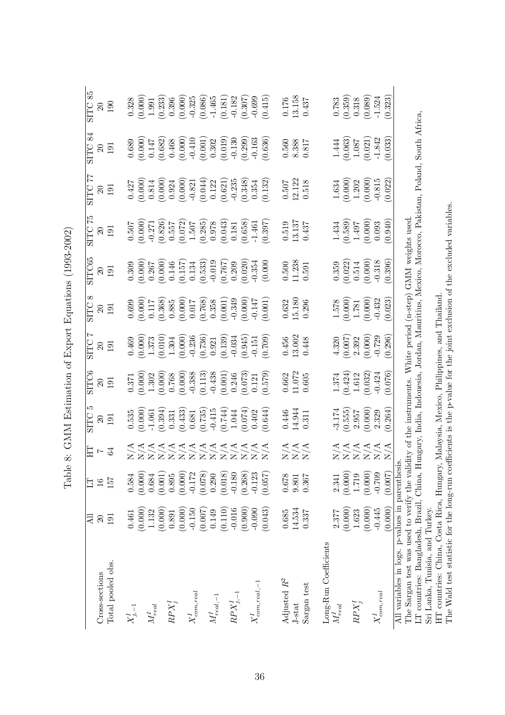|                                                                                                                                                                                                                                         | Дl       | ET       | E                 | ഥ<br>SILC                                    | SITC6    | Ņ<br><b>SITC</b> | ∞<br><b>SILC</b>       | SITC65                                                          | 52<br>SILC          | 77<br><b>SILC</b>                                        | 84<br><b>SITC</b> | 85<br><b>SITC</b>      |
|-----------------------------------------------------------------------------------------------------------------------------------------------------------------------------------------------------------------------------------------|----------|----------|-------------------|----------------------------------------------|----------|------------------|------------------------|-----------------------------------------------------------------|---------------------|----------------------------------------------------------|-------------------|------------------------|
| Cross-sections                                                                                                                                                                                                                          | $\Omega$ | $16\,$   | $\overline{z}$    | $20\,$                                       | $\Omega$ | $\Omega$         | $\Omega$               | $\Omega$                                                        | $\Omega$            | $\Omega$                                                 | $\Omega$          | $\Omega$               |
| Total pooled obs.                                                                                                                                                                                                                       | 191      | 757      | 64                | 191                                          | 191      | 191              | 191                    | 191                                                             | 191                 | 191                                                      | 191               | 001                    |
| $X_{j,-1}^{\mathbf{1}}$                                                                                                                                                                                                                 | 0.461    | 0.584    |                   | 0.535                                        | 0.371    | 0.469            | 0.699                  | 0.309                                                           | 0.507               | 0.427                                                    | 0.689             | 0.328                  |
|                                                                                                                                                                                                                                         | (0.000)  | (0.000)  |                   | (0.000)                                      | (0.000)  | (0.000)          | (0.000)                | (0.000)                                                         | (0.000)             | (0.000)                                                  | (0.000)           | (0.000)                |
| $M_{real}^I$                                                                                                                                                                                                                            | 1.132    | 0.684    |                   | $-1.061$                                     | 1.302    | 1.373            | 0.117                  | 0.267                                                           | $-0.271$            | 0.814                                                    | 0.147             | 1.991                  |
|                                                                                                                                                                                                                                         | (0.000)  | (0.001)  |                   | (0.394)                                      | (0.000)  | (0.010)          | (0.368)                | (0.000)                                                         | (0.826)             | (0.000)                                                  | (0.682)           | (0.233)                |
| $RPX_i^I$                                                                                                                                                                                                                               | 0.891    | 0.895    |                   | 0.331                                        | 0.768    | 1.304            | 0.885                  | 0.146                                                           | 0.557               | 0.924                                                    | 0.468             | 0.396                  |
|                                                                                                                                                                                                                                         | (0.000)  | (0.000)  |                   | (0.433)                                      | (0.000)  | (0.000)          | (0.000)                | (0.157)                                                         | $(0.072)$<br>1.507  | (0.000)                                                  | (0.000)           | (0.000)                |
| $X^{\mathfrak 1}_{com,real}$                                                                                                                                                                                                            | $-0.150$ | $-0.172$ |                   | 0.681                                        | $-0.388$ | $-0.236$         | 0.017                  | 0.134                                                           |                     | $-0.821$                                                 | $-0.410$          | $-0.325$               |
|                                                                                                                                                                                                                                         | (0.007)  | (0.078)  |                   | (0.735)                                      | (0.113)  | (0.736)          | (0.768)                | (0.533)                                                         | (0.285)             | (0.044)                                                  | (0.001)           | $(0.086)$<br>-1.465    |
| ${\cal M}_{real,-1}^I$                                                                                                                                                                                                                  | 0.149    | 0.290    |                   | $-0.415$                                     | $-0.438$ | 0.921            | 0.358                  | $-0.019$                                                        | 0.978               | 0.122                                                    | 0.302             |                        |
|                                                                                                                                                                                                                                         | (0.110)  | (0.018)  |                   | (0.744)                                      | (0.001)  | (0.139)          | (0.001)                | (0.767)                                                         | (0.043)             | (0.621)                                                  | (0.019)           | (0.181)                |
| $\mathbb{R}P X_{i,-1}^I$                                                                                                                                                                                                                | $-0.016$ | $-0.180$ |                   | 1.044                                        | 0.246    | $-0.034$         | $-0.349$               | 0.209                                                           | $0.181\,$           | $-0.235$                                                 | $-0.130$          | $-0.182$               |
|                                                                                                                                                                                                                                         | (0.900)  | (0.268)  |                   | (0.074)                                      | (0.073)  | (0.945)          | (0.000)                | (0.020)                                                         | $(0.658)$<br>-1.461 | (0.348)                                                  | (0.299)           | (0.307)                |
| $X_{com,real,-1}^{\mathcal{I}}$                                                                                                                                                                                                         | $-0.090$ | $-0.123$ |                   | 0.402                                        | 0.121    | $-0.151$         | $-0.147$               | $-0.354$                                                        |                     | 0.354                                                    | $-0.163$          | $-0.699$               |
|                                                                                                                                                                                                                                         | (0.043)  | (0.057)  |                   | (0.644)                                      | (6.579)  | (602.0)          | (0.001)                | (0.000)                                                         | (0.397)             | (0.132)                                                  | (0.636)           | (0.415)                |
| Adjusted $R^2$                                                                                                                                                                                                                          | 0.685    | 0.678    |                   | 0.446                                        | 0.662    | $0.456\,$        |                        | 0.500                                                           | 0.519               |                                                          | 0.560             |                        |
| J-stat                                                                                                                                                                                                                                  | 14.534   | 9.801    | A<br>XXX<br>XXX   | 14.944                                       | 11.072   | 13.002           | $\frac{0.632}{15.180}$ | 11.238                                                          | 13.137              | $\frac{0.507}{12.122}$                                   | 8.388             | $\frac{0.176}{13.158}$ |
| Sargan test                                                                                                                                                                                                                             | 0.337    | 0.367    |                   | 0.311                                        | 0.605    | 0.448            | 0.296                  | 0.591                                                           | 0.437               | 0.518                                                    | 0.817             | 0.437                  |
|                                                                                                                                                                                                                                         |          |          |                   |                                              |          |                  |                        |                                                                 |                     |                                                          |                   |                        |
| Long-Run Coefficients<br>$M_{real}^I$                                                                                                                                                                                                   | 2.377    | 2.341    |                   | $-3.174$                                     | 1.374    | 4.320            | $1.578\,$              | 0.359                                                           | 1.434               |                                                          | 1.444             | 0.783                  |
|                                                                                                                                                                                                                                         | (0.000)  | (0.000)  |                   | (0.555)                                      | (0.424)  | (700.0)          | (0.000)                |                                                                 | (0.589)             |                                                          | (0.063)           | (0.359)                |
| $RPX^I_3$                                                                                                                                                                                                                               | 1.623    | 1.719    | TTTTTTT<br>XXXXXX | 2.957                                        | 1.612    | 2.392            | 1.781                  | $(0.022)$<br>$0.514$                                            | 1.497               | $\begin{array}{c} 1.634 \\ (0.000) \\ 1.202 \end{array}$ | $1.087\,$         | 0.318                  |
|                                                                                                                                                                                                                                         | (0.000)  | (0.000)  |                   | (0.000)                                      | (0.032)  | (0.000)          | (0.000)                | (0.000)                                                         | (0.000)             | (0.000)                                                  | (0.021)           | (0.089)                |
| $X_{com,real}^{\mathcal{I}}$                                                                                                                                                                                                            | $-0.445$ | $-0.709$ |                   | 2.329                                        | $-0.424$ | $-0.729$         | $-0.432$               | $-0.318$                                                        | 0.093               | $-0.815$                                                 | $-1.842$          | $-1.524$               |
|                                                                                                                                                                                                                                         | (0.000)  | (0.007)  |                   | (0.264)                                      | (0.076)  | (0.296)          | (0.023)                | (0.396)                                                         | (0.940)             | (0.022)                                                  | (0.033)           | (0.323)                |
| LT countries: Bangladesh, Brazil, China, Hungary, India, Indonesia, Jordan, Mauritius, Mexico, Morocco, Pakistan, Poland, South Africa,<br>All variables in logs. p-values in parenthesi<br>The Sargan test was used to verify the vali |          |          |                   |                                              |          |                  |                        | dity of the instruments. White period (n-step) GMM weights used |                     |                                                          |                   |                        |
| Sri Lanka, Tunisia, and Turkey.                                                                                                                                                                                                         |          |          |                   |                                              |          |                  |                        |                                                                 |                     |                                                          |                   |                        |
| The Wald test statistic for the long-run coefficients is the p-value for the joint exclusion of the excluded variables<br>HT countries: China, Costa Rica, Hungary,                                                                     |          |          |                   | Malaysia, Mexico, Philippines, and Thailand. |          |                  |                        |                                                                 |                     |                                                          |                   |                        |
|                                                                                                                                                                                                                                         |          |          |                   |                                              |          |                  |                        |                                                                 |                     |                                                          |                   |                        |

Table 8: GMM Estimation of Export Equations (1993-2002) Table 8: GMM Estimation of Export Equations (1993-2002)

36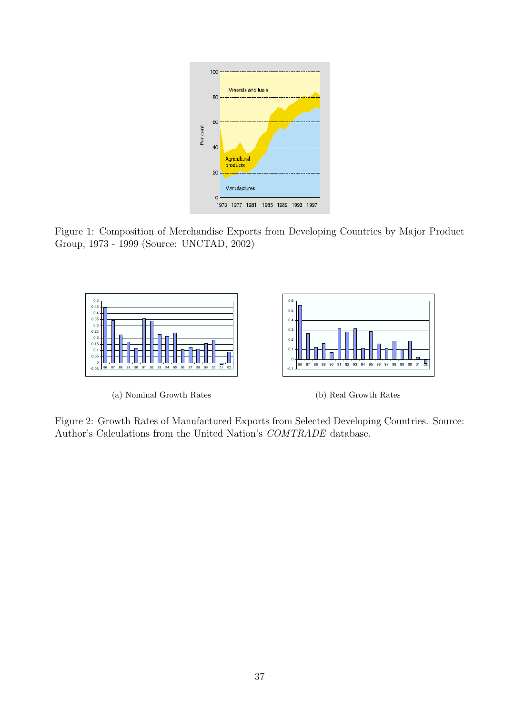

Figure 1: Composition of Merchandise Exports from Developing Countries by Major Product Group, 1973 - 1999 (Source: UNCTAD, 2002)



(a) Nominal Growth Rates

(b) Real Growth Rates

Figure 2: Growth Rates of Manufactured Exports from Selected Developing Countries. Source: Author's Calculations from the United Nation's COMTRADE database.